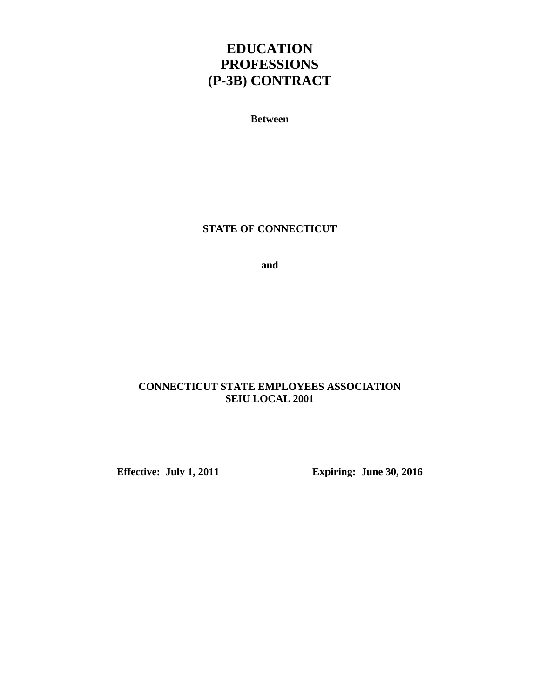# **EDUCATION PROFESSIONS (P-3B) CONTRACT**

**Between** 

**STATE OF CONNECTICUT** 

**and** 

# **CONNECTICUT STATE EMPLOYEES ASSOCIATION SEIU LOCAL 2001**

**Effective: July 1, 2011 Expiring: June 30, 2016**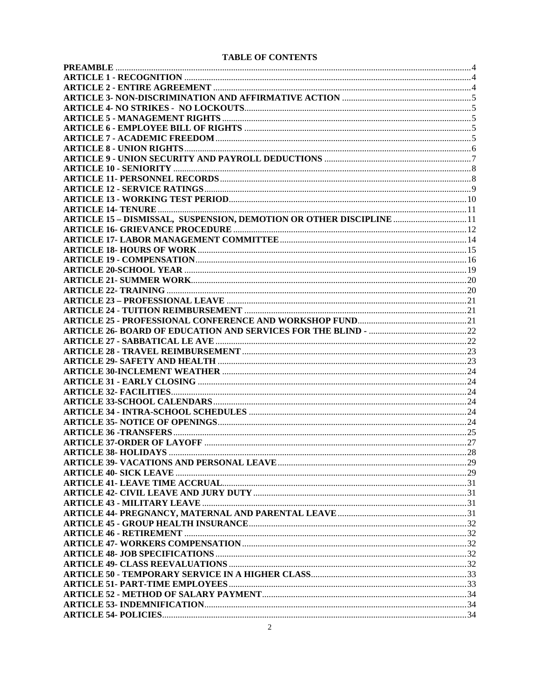| TADLE OF CONTENTS                                                           |     |
|-----------------------------------------------------------------------------|-----|
|                                                                             |     |
|                                                                             |     |
|                                                                             |     |
|                                                                             |     |
|                                                                             |     |
|                                                                             |     |
|                                                                             |     |
|                                                                             |     |
|                                                                             |     |
|                                                                             |     |
|                                                                             |     |
|                                                                             |     |
|                                                                             |     |
|                                                                             |     |
|                                                                             |     |
| <b>ARTICLE 15 - DISMISSAL, SUSPENSION, DEMOTION OR OTHER DISCIPLINE  11</b> |     |
|                                                                             |     |
|                                                                             |     |
|                                                                             |     |
|                                                                             |     |
|                                                                             |     |
|                                                                             |     |
|                                                                             |     |
|                                                                             |     |
|                                                                             |     |
|                                                                             |     |
|                                                                             |     |
|                                                                             |     |
|                                                                             |     |
|                                                                             |     |
|                                                                             |     |
|                                                                             |     |
|                                                                             |     |
|                                                                             |     |
|                                                                             |     |
|                                                                             |     |
|                                                                             |     |
|                                                                             |     |
| <b>ARTICLE 38- HOLIDAYS</b>                                                 | .28 |
|                                                                             |     |
|                                                                             |     |
|                                                                             |     |
|                                                                             |     |
|                                                                             |     |
|                                                                             |     |
|                                                                             |     |
|                                                                             |     |
|                                                                             |     |
|                                                                             |     |
|                                                                             |     |
|                                                                             |     |
|                                                                             |     |
|                                                                             |     |
|                                                                             |     |
|                                                                             |     |
|                                                                             |     |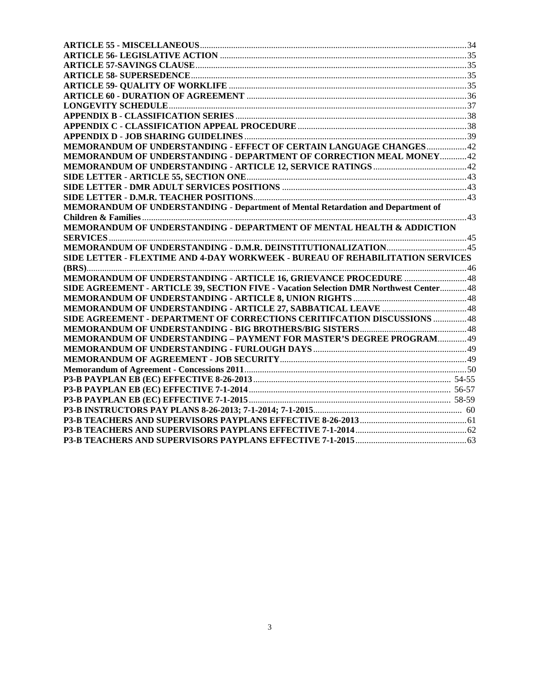| MEMORANDUM OF UNDERSTANDING - EFFECT OF CERTAIN LANGUAGE CHANGES 42                    |  |
|----------------------------------------------------------------------------------------|--|
| MEMORANDUM OF UNDERSTANDING - DEPARTMENT OF CORRECTION MEAL MONEY42                    |  |
|                                                                                        |  |
|                                                                                        |  |
|                                                                                        |  |
|                                                                                        |  |
| MEMORANDUM OF UNDERSTANDING - Department of Mental Retardation and Department of       |  |
|                                                                                        |  |
| MEMORANDUM OF UNDERSTANDING - DEPARTMENT OF MENTAL HEALTH & ADDICTION                  |  |
|                                                                                        |  |
|                                                                                        |  |
| SIDE LETTER - FLEXTIME AND 4-DAY WORKWEEK - BUREAU OF REHABILITATION SERVICES          |  |
|                                                                                        |  |
|                                                                                        |  |
| SIDE AGREEMENT - ARTICLE 39, SECTION FIVE - Vacation Selection DMR Northwest Center 48 |  |
|                                                                                        |  |
|                                                                                        |  |
| SIDE AGREEMENT - DEPARTMENT OF CORRECTIONS CERITIFCATION DISCUSSIONS  48               |  |
|                                                                                        |  |
| MEMORANDUM OF UNDERSTANDING - PAYMENT FOR MASTER'S DEGREE PROGRAM49                    |  |
|                                                                                        |  |
|                                                                                        |  |
|                                                                                        |  |
|                                                                                        |  |
|                                                                                        |  |
|                                                                                        |  |
|                                                                                        |  |
|                                                                                        |  |
|                                                                                        |  |
|                                                                                        |  |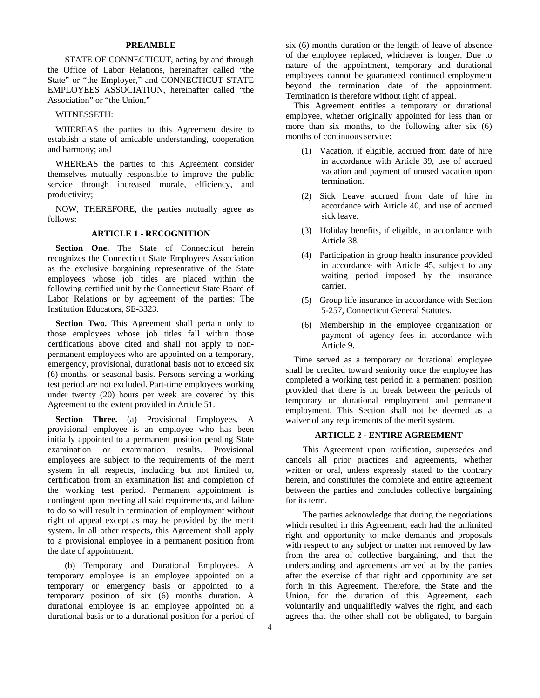# **PREAMBLE**

STATE OF CONNECTICUT, acting by and through the Office of Labor Relations, hereinafter called "the State" or "the Employer," and CONNECTICUT STATE EMPLOYEES ASSOCIATION, hereinafter called "the Association" or "the Union,"

### WITNESSETH:

WHEREAS the parties to this Agreement desire to establish a state of amicable understanding, cooperation and harmony; and

WHEREAS the parties to this Agreement consider themselves mutually responsible to improve the public service through increased morale, efficiency, and productivity;

NOW, THEREFORE, the parties mutually agree as follows:

# **ARTICLE 1 - RECOGNITION**

**Section One.** The State of Connecticut herein recognizes the Connecticut State Employees Association as the exclusive bargaining representative of the State employees whose job titles are placed within the following certified unit by the Connecticut State Board of Labor Relations or by agreement of the parties: The Institution Educators, SE-3323.

Section Two. This Agreement shall pertain only to those employees whose job titles fall within those certifications above cited and shall not apply to nonpermanent employees who are appointed on a temporary, emergency, provisional, durational basis not to exceed six (6) months, or seasonal basis. Persons serving a working test period are not excluded. Part-time employees working under twenty (20) hours per week are covered by this Agreement to the extent provided in Article 51.

**Section Three.** (a) Provisional Employees. A provisional employee is an employee who has been initially appointed to a permanent position pending State examination or examination results. Provisional employees are subject to the requirements of the merit system in all respects, including but not limited to, certification from an examination list and completion of the working test period. Permanent appointment is contingent upon meeting all said requirements, and failure to do so will result in termination of employment without right of appeal except as may he provided by the merit system. In all other respects, this Agreement shall apply to a provisional employee in a permanent position from the date of appointment.

(b) Temporary and Durational Employees. A temporary employee is an employee appointed on a temporary or emergency basis or appointed to a temporary position of six (6) months duration. A durational employee is an employee appointed on a durational basis or to a durational position for a period of

six (6) months duration or the length of leave of absence of the employee replaced, whichever is longer. Due to nature of the appointment, temporary and durational employees cannot be guaranteed continued employment beyond the termination date of the appointment. Termination is therefore without right of appeal.

This Agreement entitles a temporary or durational employee, whether originally appointed for less than or more than six months, to the following after six (6) months of continuous service:

- (1) Vacation, if eligible, accrued from date of hire in accordance with Article 39, use of accrued vacation and payment of unused vacation upon termination.
- (2) Sick Leave accrued from date of hire in accordance with Article 40, and use of accrued sick leave.
- (3) Holiday benefits, if eligible, in accordance with Article 38.
- (4) Participation in group health insurance provided in accordance with Article 45, subject to any waiting period imposed by the insurance carrier.
- (5) Group life insurance in accordance with Section 5-257, Connecticut General Statutes.
- (6) Membership in the employee organization or payment of agency fees in accordance with Article 9.

Time served as a temporary or durational employee shall be credited toward seniority once the employee has completed a working test period in a permanent position provided that there is no break between the periods of temporary or durational employment and permanent employment. This Section shall not be deemed as a waiver of any requirements of the merit system.

# **ARTICLE 2 - ENTIRE AGREEMENT**

This Agreement upon ratification, supersedes and cancels all prior practices and agreements, whether written or oral, unless expressly stated to the contrary herein, and constitutes the complete and entire agreement between the parties and concludes collective bargaining for its term.

The parties acknowledge that during the negotiations which resulted in this Agreement, each had the unlimited right and opportunity to make demands and proposals with respect to any subject or matter not removed by law from the area of collective bargaining, and that the understanding and agreements arrived at by the parties after the exercise of that right and opportunity are set forth in this Agreement. Therefore, the State and the Union, for the duration of this Agreement, each voluntarily and unqualifiedly waives the right, and each agrees that the other shall not be obligated, to bargain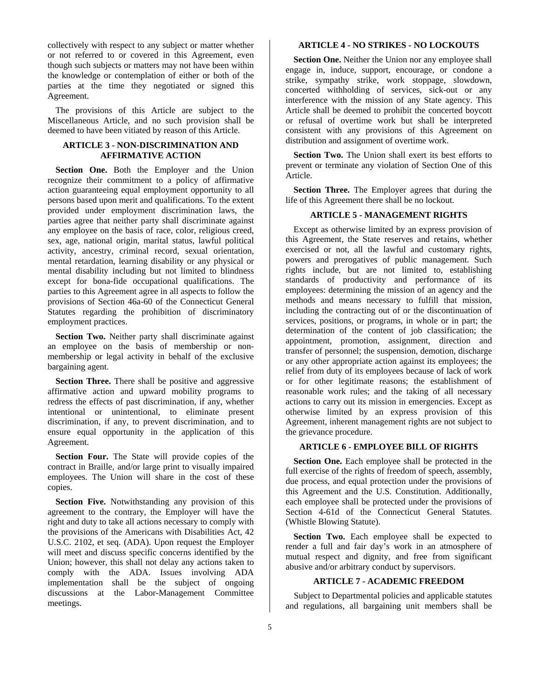collectively with respect to any subject or matter whether or not referred to or covered in this Agreement, even though such subjects or matters may not have been within the knowledge or contemplation of either or both of the parties at the time they negotiated or signed this Agreement.

The provisions of this Article are subject to the Miscellaneous Article, and no such provision shall be deemed to have been vitiated by reason of this Article.

# **ARTICLE 3 - NON-DISCRIMINATION AND AFFIRMATIVE ACTION**

**Section One.** Both the Employer and the Union recognize their commitment to a policy of affirmative action guaranteeing equal employment opportunity to all persons based upon merit and qualifications. To the extent provided under employment discrimination laws, the parties agree that neither party shall discriminate against any employee on the basis of race, color, religious creed, sex, age, national origin, marital status, lawful political activity, ancestry, criminal record, sexual orientation, mental retardation, learning disability or any physical or mental disability including but not limited to blindness except for bona-fide occupational qualifications. The parties to this Agreement agree in all aspects to follow the provisions of Section 46a-60 of the Connecticut General Statutes regarding the prohibition of discriminatory employment practices.

**Section Two.** Neither party shall discriminate against an employee on the basis of membership or nonmembership or legal activity in behalf of the exclusive bargaining agent.

**Section Three.** There shall be positive and aggressive affirmative action and upward mobility programs to redress the effects of past discrimination, if any, whether intentional or unintentional, to eliminate present discrimination, if any, to prevent discrimination, and to ensure equal opportunity in the application of this Agreement.

**Section Four.** The State will provide copies of the contract in Braille, and/or large print to visually impaired employees. The Union will share in the cost of these copies.

**Section Five.** Notwithstanding any provision of this agreement to the contrary, the Employer will have the right and duty to take all actions necessary to comply with the provisions of the Americans with Disabilities Act, 42 U.S.C. 2102, et seq. (ADA). Upon request the Employer will meet and discuss specific concerns identified by the Union; however, this shall not delay any actions taken to comply with the ADA. Issues involving ADA implementation shall be the subject of ongoing discussions at the Labor-Management Committee meetings.

# **ARTICLE 4 - NO STRIKES - NO LOCKOUTS**

**Section One.** Neither the Union nor any employee shall engage in, induce, support, encourage, or condone a strike, sympathy strike, work stoppage, slowdown, concerted withholding of services, sick-out or any interference with the mission of any State agency. This Article shall be deemed to prohibit the concerted boycott or refusal of overtime work but shall be interpreted consistent with any provisions of this Agreement on distribution and assignment of overtime work.

**Section Two.** The Union shall exert its best efforts to prevent or terminate any violation of Section One of this Article.

**Section Three.** The Employer agrees that during the life of this Agreement there shall be no lockout.

### **ARTICLE 5 - MANAGEMENT RIGHTS**

Except as otherwise limited by an express provision of this Agreement, the State reserves and retains, whether exercised or not, all the lawful and customary rights, powers and prerogatives of public management. Such rights include, but are not limited to, establishing standards of productivity and performance of its employees: determining the mission of an agency and the methods and means necessary to fulfill that mission, including the contracting out of or the discontinuation of services, positions, or programs, in whole or in part; the determination of the content of job classification; the appointment, promotion, assignment, direction and transfer of personnel; the suspension, demotion, discharge or any other appropriate action against its employees; the relief from duty of its employees because of lack of work or for other legitimate reasons; the establishment of reasonable work rules; and the taking of all necessary actions to carry out its mission in emergencies. Except as otherwise limited by an express provision of this Agreement, inherent management rights are not subject to the grievance procedure.

# **ARTICLE 6 - EMPLOYEE BILL OF RIGHTS**

**Section One.** Each employee shall be protected in the full exercise of the rights of freedom of speech, assembly, due process, and equal protection under the provisions of this Agreement and the U.S. Constitution. Additionally, each employee shall be protected under the provisions of Section 4-61d of the Connecticut General Statutes. (Whistle Blowing Statute).

Section Two. Each employee shall be expected to render a full and fair day's work in an atmosphere of mutual respect and dignity, and free from significant abusive and/or arbitrary conduct by supervisors.

# **ARTICLE 7 - ACADEMIC FREEDOM**

Subject to Departmental policies and applicable statutes and regulations, all bargaining unit members shall be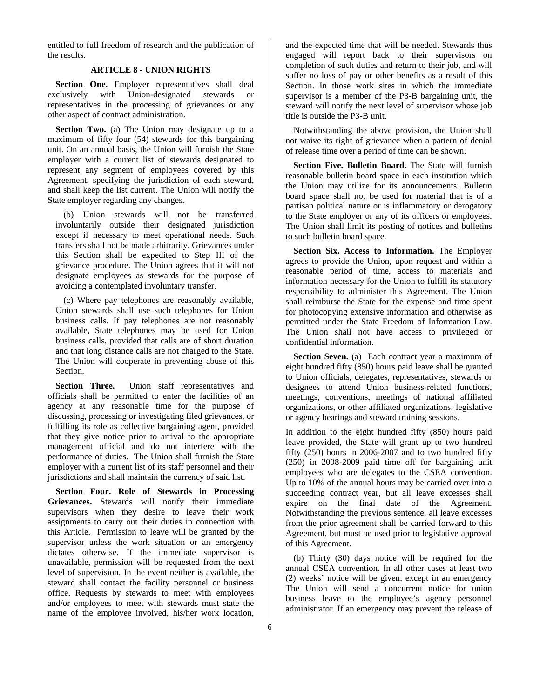entitled to full freedom of research and the publication of the results.

# **ARTICLE 8 - UNION RIGHTS**

Section One. Employer representatives shall deal exclusively with Union-designated stewards or representatives in the processing of grievances or any other aspect of contract administration.

**Section Two.** (a) The Union may designate up to a maximum of fifty four (54) stewards for this bargaining unit. On an annual basis, the Union will furnish the State employer with a current list of stewards designated to represent any segment of employees covered by this Agreement, specifying the jurisdiction of each steward, and shall keep the list current. The Union will notify the State employer regarding any changes.

(b) Union stewards will not be transferred involuntarily outside their designated jurisdiction except if necessary to meet operational needs. Such transfers shall not be made arbitrarily. Grievances under this Section shall be expedited to Step III of the grievance procedure. The Union agrees that it will not designate employees as stewards for the purpose of avoiding a contemplated involuntary transfer.

(c) Where pay telephones are reasonably available, Union stewards shall use such telephones for Union business calls. If pay telephones are not reasonably available, State telephones may be used for Union business calls, provided that calls are of short duration and that long distance calls are not charged to the State. The Union will cooperate in preventing abuse of this Section.

Section Three. Union staff representatives and officials shall be permitted to enter the facilities of an agency at any reasonable time for the purpose of discussing, processing or investigating filed grievances, or fulfilling its role as collective bargaining agent, provided that they give notice prior to arrival to the appropriate management official and do not interfere with the performance of duties. The Union shall furnish the State employer with a current list of its staff personnel and their jurisdictions and shall maintain the currency of said list.

**Section Four. Role of Stewards in Processing Grievances.** Stewards will notify their immediate supervisors when they desire to leave their work assignments to carry out their duties in connection with this Article. Permission to leave will be granted by the supervisor unless the work situation or an emergency dictates otherwise. If the immediate supervisor is unavailable, permission will be requested from the next level of supervision. In the event neither is available, the steward shall contact the facility personnel or business office. Requests by stewards to meet with employees and/or employees to meet with stewards must state the name of the employee involved, his/her work location,

and the expected time that will be needed. Stewards thus engaged will report back to their supervisors on completion of such duties and return to their job, and will suffer no loss of pay or other benefits as a result of this Section. In those work sites in which the immediate supervisor is a member of the P3-B bargaining unit, the steward will notify the next level of supervisor whose job title is outside the P3-B unit.

Notwithstanding the above provision, the Union shall not waive its right of grievance when a pattern of denial of release time over a period of time can be shown.

**Section Five. Bulletin Board.** The State will furnish reasonable bulletin board space in each institution which the Union may utilize for its announcements. Bulletin board space shall not be used for material that is of a partisan political nature or is inflammatory or derogatory to the State employer or any of its officers or employees. The Union shall limit its posting of notices and bulletins to such bulletin board space.

**Section Six. Access to Information.** The Employer agrees to provide the Union, upon request and within a reasonable period of time, access to materials and information necessary for the Union to fulfill its statutory responsibility to administer this Agreement. The Union shall reimburse the State for the expense and time spent for photocopying extensive information and otherwise as permitted under the State Freedom of Information Law. The Union shall not have access to privileged or confidential information.

Section Seven. (a) Each contract year a maximum of eight hundred fifty (850) hours paid leave shall be granted to Union officials, delegates, representatives, stewards or designees to attend Union business-related functions, meetings, conventions, meetings of national affiliated organizations, or other affiliated organizations, legislative or agency hearings and steward training sessions.

In addition to the eight hundred fifty (850) hours paid leave provided, the State will grant up to two hundred fifty (250) hours in 2006-2007 and to two hundred fifty (250) in 2008-2009 paid time off for bargaining unit employees who are delegates to the CSEA convention. Up to 10% of the annual hours may be carried over into a succeeding contract year, but all leave excesses shall expire on the final date of the Agreement. Notwithstanding the previous sentence, all leave excesses from the prior agreement shall be carried forward to this Agreement, but must be used prior to legislative approval of this Agreement.

(b) Thirty (30) days notice will be required for the annual CSEA convention. In all other cases at least two (2) weeks' notice will be given, except in an emergency The Union will send a concurrent notice for union business leave to the employee's agency personnel administrator. If an emergency may prevent the release of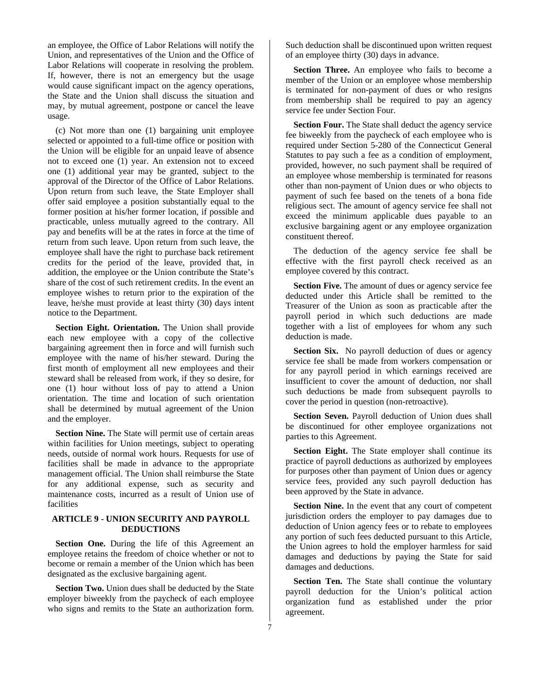an employee, the Office of Labor Relations will notify the Union, and representatives of the Union and the Office of Labor Relations will cooperate in resolving the problem. If, however, there is not an emergency but the usage would cause significant impact on the agency operations, the State and the Union shall discuss the situation and may, by mutual agreement, postpone or cancel the leave usage.

(c) Not more than one (1) bargaining unit employee selected or appointed to a full-time office or position with the Union will be eligible for an unpaid leave of absence not to exceed one (1) year. An extension not to exceed one (1) additional year may be granted, subject to the approval of the Director of the Office of Labor Relations. Upon return from such leave, the State Employer shall offer said employee a position substantially equal to the former position at his/her former location, if possible and practicable, unless mutually agreed to the contrary. All pay and benefits will be at the rates in force at the time of return from such leave. Upon return from such leave, the employee shall have the right to purchase back retirement credits for the period of the leave, provided that, in addition, the employee or the Union contribute the State's share of the cost of such retirement credits. In the event an employee wishes to return prior to the expiration of the leave, he/she must provide at least thirty (30) days intent notice to the Department.

Section Eight. Orientation. The Union shall provide each new employee with a copy of the collective bargaining agreement then in force and will furnish such employee with the name of his/her steward. During the first month of employment all new employees and their steward shall be released from work, if they so desire, for one (1) hour without loss of pay to attend a Union orientation. The time and location of such orientation shall be determined by mutual agreement of the Union and the employer.

**Section Nine.** The State will permit use of certain areas within facilities for Union meetings, subject to operating needs, outside of normal work hours. Requests for use of facilities shall be made in advance to the appropriate management official. The Union shall reimburse the State for any additional expense, such as security and maintenance costs, incurred as a result of Union use of facilities

# **ARTICLE 9 - UNION SECURITY AND PAYROLL DEDUCTIONS**

**Section One.** During the life of this Agreement an employee retains the freedom of choice whether or not to become or remain a member of the Union which has been designated as the exclusive bargaining agent.

**Section Two.** Union dues shall be deducted by the State employer biweekly from the paycheck of each employee who signs and remits to the State an authorization form.

Such deduction shall be discontinued upon written request of an employee thirty (30) days in advance.

**Section Three.** An employee who fails to become a member of the Union or an employee whose membership is terminated for non-payment of dues or who resigns from membership shall be required to pay an agency service fee under Section Four.

**Section Four.** The State shall deduct the agency service fee biweekly from the paycheck of each employee who is required under Section 5-280 of the Connecticut General Statutes to pay such a fee as a condition of employment, provided, however, no such payment shall be required of an employee whose membership is terminated for reasons other than non-payment of Union dues or who objects to payment of such fee based on the tenets of a bona fide religious sect. The amount of agency service fee shall not exceed the minimum applicable dues payable to an exclusive bargaining agent or any employee organization constituent thereof.

The deduction of the agency service fee shall be effective with the first payroll check received as an employee covered by this contract.

**Section Five.** The amount of dues or agency service fee deducted under this Article shall be remitted to the Treasurer of the Union as soon as practicable after the payroll period in which such deductions are made together with a list of employees for whom any such deduction is made.

**Section Six.** No payroll deduction of dues or agency service fee shall be made from workers compensation or for any payroll period in which earnings received are insufficient to cover the amount of deduction, nor shall such deductions be made from subsequent payrolls to cover the period in question (non-retroactive).

**Section Seven.** Payroll deduction of Union dues shall be discontinued for other employee organizations not parties to this Agreement.

**Section Eight.** The State employer shall continue its practice of payroll deductions as authorized by employees for purposes other than payment of Union dues or agency service fees, provided any such payroll deduction has been approved by the State in advance.

**Section Nine.** In the event that any court of competent jurisdiction orders the employer to pay damages due to deduction of Union agency fees or to rebate to employees any portion of such fees deducted pursuant to this Article, the Union agrees to hold the employer harmless for said damages and deductions by paying the State for said damages and deductions.

Section Ten. The State shall continue the voluntary payroll deduction for the Union's political action organization fund as established under the prior agreement.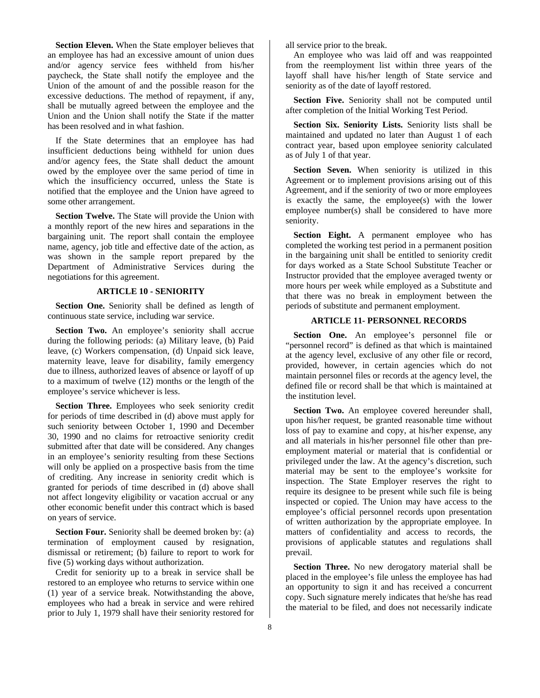**Section Eleven.** When the State employer believes that an employee has had an excessive amount of union dues and/or agency service fees withheld from his/her paycheck, the State shall notify the employee and the Union of the amount of and the possible reason for the excessive deductions. The method of repayment, if any, shall be mutually agreed between the employee and the Union and the Union shall notify the State if the matter has been resolved and in what fashion.

If the State determines that an employee has had insufficient deductions being withheld for union dues and/or agency fees, the State shall deduct the amount owed by the employee over the same period of time in which the insufficiency occurred, unless the State is notified that the employee and the Union have agreed to some other arrangement.

**Section Twelve.** The State will provide the Union with a monthly report of the new hires and separations in the bargaining unit. The report shall contain the employee name, agency, job title and effective date of the action, as was shown in the sample report prepared by the Department of Administrative Services during the negotiations for this agreement.

# **ARTICLE 10 - SENIORITY**

**Section One.** Seniority shall be defined as length of continuous state service, including war service.

Section Two. An employee's seniority shall accrue during the following periods: (a) Military leave, (b) Paid leave, (c) Workers compensation, (d) Unpaid sick leave, maternity leave, leave for disability, family emergency due to illness, authorized leaves of absence or layoff of up to a maximum of twelve (12) months or the length of the employee's service whichever is less.

**Section Three.** Employees who seek seniority credit for periods of time described in (d) above must apply for such seniority between October 1, 1990 and December 30, 1990 and no claims for retroactive seniority credit submitted after that date will be considered. Any changes in an employee's seniority resulting from these Sections will only be applied on a prospective basis from the time of crediting. Any increase in seniority credit which is granted for periods of time described in (d) above shall not affect longevity eligibility or vacation accrual or any other economic benefit under this contract which is based on years of service.

**Section Four.** Seniority shall be deemed broken by: (a) termination of employment caused by resignation, dismissal or retirement; (b) failure to report to work for five (5) working days without authorization.

Credit for seniority up to a break in service shall be restored to an employee who returns to service within one (1) year of a service break. Notwithstanding the above, employees who had a break in service and were rehired prior to July 1, 1979 shall have their seniority restored for

all service prior to the break.

An employee who was laid off and was reappointed from the reemployment list within three years of the layoff shall have his/her length of State service and seniority as of the date of layoff restored.

**Section Five.** Seniority shall not be computed until after completion of the Initial Working Test Period.

**Section Six. Seniority Lists.** Seniority lists shall be maintained and updated no later than August 1 of each contract year, based upon employee seniority calculated as of July 1 of that year.

**Section Seven.** When seniority is utilized in this Agreement or to implement provisions arising out of this Agreement, and if the seniority of two or more employees is exactly the same, the employee(s) with the lower employee number(s) shall be considered to have more seniority.

**Section Eight.** A permanent employee who has completed the working test period in a permanent position in the bargaining unit shall be entitled to seniority credit for days worked as a State School Substitute Teacher or Instructor provided that the employee averaged twenty or more hours per week while employed as a Substitute and that there was no break in employment between the periods of substitute and permanent employment.

# **ARTICLE 11- PERSONNEL RECORDS**

Section One. An employee's personnel file or "personnel record" is defined as that which is maintained at the agency level, exclusive of any other file or record, provided, however, in certain agencies which do not maintain personnel files or records at the agency level, the defined file or record shall be that which is maintained at the institution level.

**Section Two.** An employee covered hereunder shall, upon his/her request, be granted reasonable time without loss of pay to examine and copy, at his/her expense, any and all materials in his/her personnel file other than preemployment material or material that is confidential or privileged under the law. At the agency's discretion, such material may be sent to the employee's worksite for inspection. The State Employer reserves the right to require its designee to be present while such file is being inspected or copied. The Union may have access to the employee's official personnel records upon presentation of written authorization by the appropriate employee. In matters of confidentiality and access to records, the provisions of applicable statutes and regulations shall prevail.

**Section Three.** No new derogatory material shall be placed in the employee's file unless the employee has had an opportunity to sign it and has received a concurrent copy. Such signature merely indicates that he/she has read the material to be filed, and does not necessarily indicate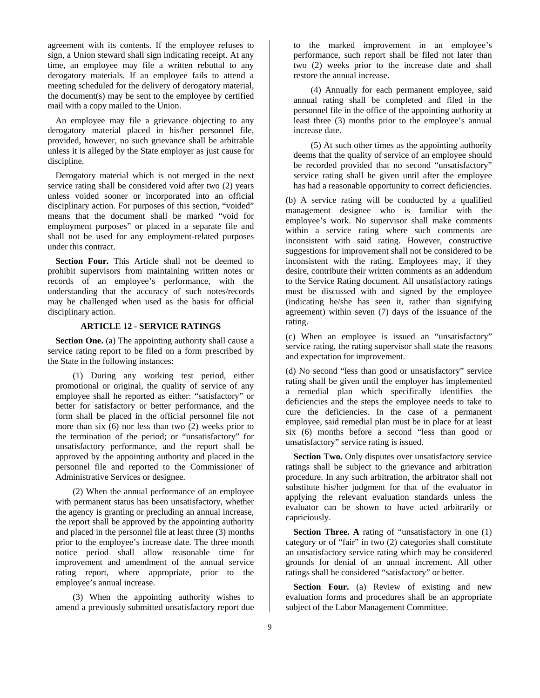agreement with its contents. If the employee refuses to sign, a Union steward shall sign indicating receipt. At any time, an employee may file a written rebuttal to any derogatory materials. If an employee fails to attend a meeting scheduled for the delivery of derogatory material, the document(s) may be sent to the employee by certified mail with a copy mailed to the Union.

An employee may file a grievance objecting to any derogatory material placed in his/her personnel file, provided, however, no such grievance shall be arbitrable unless it is alleged by the State employer as just cause for discipline.

Derogatory material which is not merged in the next service rating shall be considered void after two (2) years unless voided sooner or incorporated into an official disciplinary action. For purposes of this section, "voided" means that the document shall be marked "void for employment purposes" or placed in a separate file and shall not be used for any employment-related purposes under this contract.

**Section Four.** This Article shall not be deemed to prohibit supervisors from maintaining written notes or records of an employee's performance, with the understanding that the accuracy of such notes/records may be challenged when used as the basis for official disciplinary action.

### **ARTICLE 12 - SERVICE RATINGS**

**Section One.** (a) The appointing authority shall cause a service rating report to be filed on a form prescribed by the State in the following instances:

(1) During any working test period, either promotional or original, the quality of service of any employee shall he reported as either: "satisfactory" or better for satisfactory or better performance, and the form shall be placed in the official personnel file not more than six (6) nor less than two (2) weeks prior to the termination of the period; or "unsatisfactory" for unsatisfactory performance, and the report shall be approved by the appointing authority and placed in the personnel file and reported to the Commissioner of Administrative Services or designee.

(2) When the annual performance of an employee with permanent status has been unsatisfactory, whether the agency is granting or precluding an annual increase, the report shall be approved by the appointing authority and placed in the personnel file at least three (3) months prior to the employee's increase date. The three month notice period shall allow reasonable time for improvement and amendment of the annual service rating report, where appropriate, prior to the employee's annual increase.

(3) When the appointing authority wishes to amend a previously submitted unsatisfactory report due to the marked improvement in an employee's performance, such report shall be filed not later than two (2) weeks prior to the increase date and shall restore the annual increase.

(4) Annually for each permanent employee, said annual rating shall be completed and filed in the personnel file in the office of the appointing authority at least three (3) months prior to the employee's annual increase date.

(5) At such other times as the appointing authority deems that the quality of service of an employee should be recorded provided that no second "unsatisfactory" service rating shall he given until after the employee has had a reasonable opportunity to correct deficiencies.

(b) A service rating will be conducted by a qualified management designee who is familiar with the employee's work. No supervisor shall make comments within a service rating where such comments are inconsistent with said rating. However, constructive suggestions for improvement shall not be considered to be inconsistent with the rating. Employees may, if they desire, contribute their written comments as an addendum to the Service Rating document. All unsatisfactory ratings must be discussed with and signed by the employee (indicating he/she has seen it, rather than signifying agreement) within seven (7) days of the issuance of the rating.

(c) When an employee is issued an "unsatisfactory" service rating, the rating supervisor shall state the reasons and expectation for improvement.

(d) No second "less than good or unsatisfactory" service rating shall be given until the employer has implemented a remedial plan which specifically identifies the deficiencies and the steps the employee needs to take to cure the deficiencies. In the case of a permanent employee, said remedial plan must be in place for at least six (6) months before a second "less than good or unsatisfactory" service rating is issued.

**Section Two.** Only disputes over unsatisfactory service ratings shall be subject to the grievance and arbitration procedure. In any such arbitration, the arbitrator shall not substitute his/her judgment for that of the evaluator in applying the relevant evaluation standards unless the evaluator can be shown to have acted arbitrarily or capriciously.

**Section Three. A** rating of "unsatisfactory in one (1) category or of "fair" in two (2) categories shall constitute an unsatisfactory service rating which may be considered grounds for denial of an annual increment. All other ratings shall he considered "satisfactory" or better.

**Section Four.** (a) Review of existing and new evaluation forms and procedures shall be an appropriate subject of the Labor Management Committee.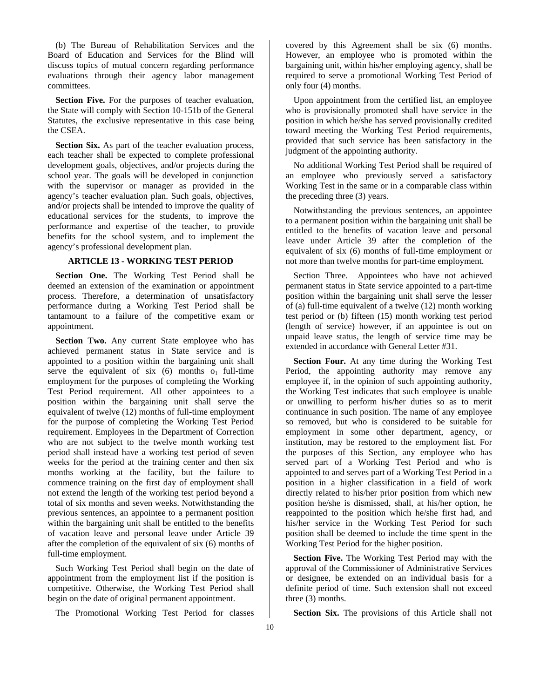(b) The Bureau of Rehabilitation Services and the Board of Education and Services for the Blind will discuss topics of mutual concern regarding performance evaluations through their agency labor management committees.

**Section Five.** For the purposes of teacher evaluation, the State will comply with Section 10-151b of the General Statutes, the exclusive representative in this case being the CSEA.

**Section Six.** As part of the teacher evaluation process, each teacher shall be expected to complete professional development goals, objectives, and/or projects during the school year. The goals will be developed in conjunction with the supervisor or manager as provided in the agency's teacher evaluation plan. Such goals, objectives, and/or projects shall be intended to improve the quality of educational services for the students, to improve the performance and expertise of the teacher, to provide benefits for the school system, and to implement the agency's professional development plan.

# **ARTICLE 13 - WORKING TEST PERIOD**

**Section One.** The Working Test Period shall be deemed an extension of the examination or appointment process. Therefore, a determination of unsatisfactory performance during a Working Test Period shall be tantamount to a failure of the competitive exam or appointment.

**Section Two.** Any current State employee who has achieved permanent status in State service and is appointed to a position within the bargaining unit shall serve the equivalent of six  $(6)$  months o<sub>1</sub> full-time employment for the purposes of completing the Working Test Period requirement. All other appointees to a position within the bargaining unit shall serve the equivalent of twelve (12) months of full-time employment for the purpose of completing the Working Test Period requirement. Employees in the Department of Correction who are not subject to the twelve month working test period shall instead have a working test period of seven weeks for the period at the training center and then six months working at the facility, but the failure to commence training on the first day of employment shall not extend the length of the working test period beyond a total of six months and seven weeks. Notwithstanding the previous sentences, an appointee to a permanent position within the bargaining unit shall be entitled to the benefits of vacation leave and personal leave under Article 39 after the completion of the equivalent of six (6) months of full-time employment.

Such Working Test Period shall begin on the date of appointment from the employment list if the position is competitive. Otherwise, the Working Test Period shall begin on the date of original permanent appointment.

The Promotional Working Test Period for classes

covered by this Agreement shall be six (6) months. However, an employee who is promoted within the bargaining unit, within his/her employing agency, shall be required to serve a promotional Working Test Period of only four (4) months.

Upon appointment from the certified list, an employee who is provisionally promoted shall have service in the position in which he/she has served provisionally credited toward meeting the Working Test Period requirements, provided that such service has been satisfactory in the judgment of the appointing authority.

No additional Working Test Period shall be required of an employee who previously served a satisfactory Working Test in the same or in a comparable class within the preceding three (3) years.

Notwithstanding the previous sentences, an appointee to a permanent position within the bargaining unit shall be entitled to the benefits of vacation leave and personal leave under Article 39 after the completion of the equivalent of six (6) months of full-time employment or not more than twelve months for part-time employment.

Section Three. Appointees who have not achieved permanent status in State service appointed to a part-time position within the bargaining unit shall serve the lesser of (a) full-time equivalent of a twelve (12) month working test period or (b) fifteen (15) month working test period (length of service) however, if an appointee is out on unpaid leave status, the length of service time may be extended in accordance with General Letter #31.

**Section Four.** At any time during the Working Test Period, the appointing authority may remove any employee if, in the opinion of such appointing authority, the Working Test indicates that such employee is unable or unwilling to perform his/her duties so as to merit continuance in such position. The name of any employee so removed, but who is considered to be suitable for employment in some other department, agency, or institution, may be restored to the employment list. For the purposes of this Section, any employee who has served part of a Working Test Period and who is appointed to and serves part of a Working Test Period in a position in a higher classification in a field of work directly related to his/her prior position from which new position he/she is dismissed, shall, at his/her option, he reappointed to the position which he/she first had, and his/her service in the Working Test Period for such position shall be deemed to include the time spent in the Working Test Period for the higher position.

**Section Five.** The Working Test Period may with the approval of the Commissioner of Administrative Services or designee, be extended on an individual basis for a definite period of time. Such extension shall not exceed three (3) months.

**Section Six.** The provisions of this Article shall not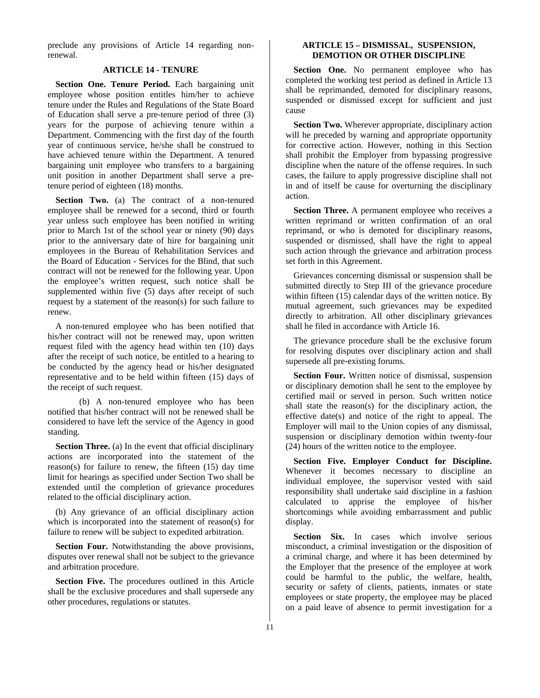preclude any provisions of Article 14 regarding nonrenewal.

### **ARTICLE 14 - TENURE**

**Section One. Tenure Period.** Each bargaining unit employee whose position entitles him/her to achieve tenure under the Rules and Regulations of the State Board of Education shall serve a pre-tenure period of three (3) years for the purpose of achieving tenure within a Department. Commencing with the first day of the fourth year of continuous service, he/she shall be construed to have achieved tenure within the Department. A tenured bargaining unit employee who transfers to a bargaining unit position in another Department shall serve a pretenure period of eighteen (18) months.

**Section Two.** (a) The contract of a non-tenured employee shall be renewed for a second, third or fourth year unless such employee has been notified in writing prior to March 1st of the school year or ninety (90) days prior to the anniversary date of hire for bargaining unit employees in the Bureau of Rehabilitation Services and the Board of Education - Services for the Blind, that such contract will not be renewed for the following year. Upon the employee's written request, such notice shall be supplemented within five (5) days after receipt of such request by a statement of the reason(s) for such failure to renew.

A non-tenured employee who has been notified that his/her contract will not be renewed may, upon written request filed with the agency head within ten (10) days after the receipt of such notice, be entitled to a hearing to be conducted by the agency head or his/her designated representative and to be held within fifteen (15) days of the receipt of such request.

(b) A non-tenured employee who has been notified that his/her contract will not be renewed shall be considered to have left the service of the Agency in good standing.

**Section Three.** (a) In the event that official disciplinary actions are incorporated into the statement of the reason(s) for failure to renew, the fifteen (15) day time limit for hearings as specified under Section Two shall be extended until the completion of grievance procedures related to the official disciplinary action.

(b) Any grievance of an official disciplinary action which is incorporated into the statement of reason(s) for failure to renew will be subject to expedited arbitration.

**Section Four.** Notwithstanding the above provisions, disputes over renewal shall not be subject to the grievance and arbitration procedure.

**Section Five.** The procedures outlined in this Article shall be the exclusive procedures and shall supersede any other procedures, regulations or statutes.

# **ARTICLE 15 – DISMISSAL, SUSPENSION, DEMOTION OR OTHER DISCIPLINE**

Section One. No permanent employee who has completed the working test period as defined in Article 13 shall be reprimanded, demoted for disciplinary reasons, suspended or dismissed except for sufficient and just cause

**Section Two.** Wherever appropriate, disciplinary action will he preceded by warning and appropriate opportunity for corrective action. However, nothing in this Section shall prohibit the Employer from bypassing progressive discipline when the nature of the offense requires. In such cases, the failure to apply progressive discipline shall not in and of itself be cause for overturning the disciplinary action.

**Section Three.** A permanent employee who receives a written reprimand or written confirmation of an oral reprimand, or who is demoted for disciplinary reasons, suspended or dismissed, shall have the right to appeal such action through the grievance and arbitration process set forth in this Agreement.

Grievances concerning dismissal or suspension shall be submitted directly to Step III of the grievance procedure within fifteen (15) calendar days of the written notice. By mutual agreement, such grievances may be expedited directly to arbitration. All other disciplinary grievances shall he filed in accordance with Article 16.

The grievance procedure shall be the exclusive forum for resolving disputes over disciplinary action and shall supersede all pre-existing forums.

**Section Four.** Written notice of dismissal, suspension or disciplinary demotion shall he sent to the employee by certified mail or served in person. Such written notice shall state the reason(s) for the disciplinary action, the effective date(s) and notice of the right to appeal. The Employer will mail to the Union copies of any dismissal, suspension or disciplinary demotion within twenty-four (24) hours of the written notice to the employee.

**Section Five. Employer Conduct for Discipline.**  Whenever it becomes necessary to discipline an individual employee, the supervisor vested with said responsibility shall undertake said discipline in a fashion calculated to apprise the employee of his/her shortcomings while avoiding embarrassment and public display.

Section Six. In cases which involve serious misconduct, a criminal investigation or the disposition of a criminal charge, and where it has been determined by the Employer that the presence of the employee at work could be harmful to the public, the welfare, health, security or safety of clients, patients, inmates or state employees or state property, the employee may be placed on a paid leave of absence to permit investigation for a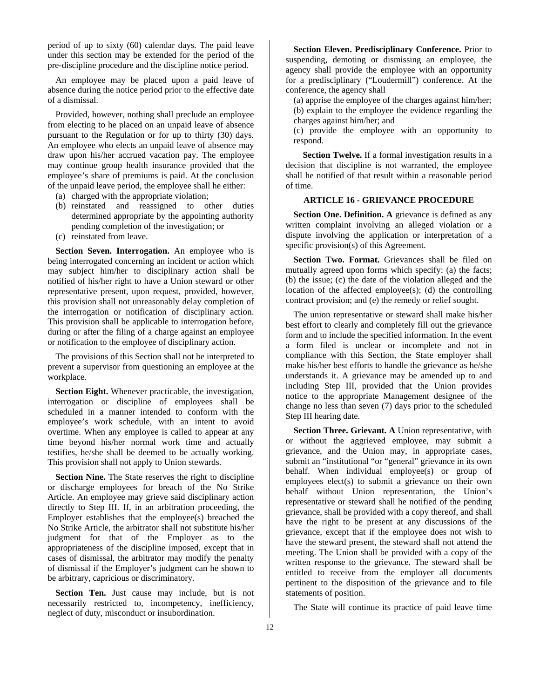period of up to sixty (60) calendar days. The paid leave under this section may be extended for the period of the pre-discipline procedure and the discipline notice period.

An employee may be placed upon a paid leave of absence during the notice period prior to the effective date of a dismissal.

Provided, however, nothing shall preclude an employee from electing to he placed on an unpaid leave of absence pursuant to the Regulation or for up to thirty (30) days. An employee who elects an unpaid leave of absence may draw upon his/her accrued vacation pay. The employee may continue group health insurance provided that the employee's share of premiums is paid. At the conclusion of the unpaid leave period, the employee shall he either:

- (a) charged with the appropriate violation;
- (b) reinstated and reassigned to other duties determined appropriate by the appointing authority pending completion of the investigation; or
- (c) reinstated from leave.

**Section Seven. Interrogation.** An employee who is being interrogated concerning an incident or action which may subject him/her to disciplinary action shall be notified of his/her right to have a Union steward or other representative present, upon request, provided, however, this provision shall not unreasonably delay completion of the interrogation or notification of disciplinary action. This provision shall be applicable to interrogation before, during or after the filing of a charge against an employee or notification to the employee of disciplinary action.

The provisions of this Section shall not be interpreted to prevent a supervisor from questioning an employee at the workplace.

**Section Eight.** Whenever practicable, the investigation, interrogation or discipline of employees shall be scheduled in a manner intended to conform with the employee's work schedule, with an intent to avoid overtime. When any employee is called to appear at any time beyond his/her normal work time and actually testifies, he/she shall be deemed to be actually working. This provision shall not apply to Union stewards.

**Section Nine.** The State reserves the right to discipline or discharge employees for breach of the No Strike Article. An employee may grieve said disciplinary action directly to Step III. If, in an arbitration proceeding, the Employer establishes that the employee(s) breached the No Strike Article, the arbitrator shall not substitute his/her judgment for that of the Employer as to the appropriateness of the discipline imposed, except that in cases of dismissal, the arbitrator may modify the penalty of dismissal if the Employer's judgment can he shown to be arbitrary, capricious or discriminatory.

Section Ten. Just cause may include, but is not necessarily restricted to, incompetency, inefficiency, neglect of duty, misconduct or insubordination.

**Section Eleven. Predisciplinary Conference.** Prior to suspending, demoting or dismissing an employee, the agency shall provide the employee with an opportunity for a predisciplinary ("Loudermill") conference. At the conference, the agency shall

(a) apprise the employee of the charges against him/her; (b) explain to the employee the evidence regarding the charges against him/her; and

(c) provide the employee with an opportunity to respond.

**Section Twelve.** If a formal investigation results in a decision that discipline is not warranted, the employee shall he notified of that result within a reasonable period of time.

# **ARTICLE 16 - GRIEVANCE PROCEDURE**

**Section One. Definition. A** grievance is defined as any written complaint involving an alleged violation or a dispute involving the application or interpretation of a specific provision(s) of this Agreement.

Section Two. Format. Grievances shall be filed on mutually agreed upon forms which specify: (a) the facts; (b) the issue; (c) the date of the violation alleged and the location of the affected employee(s); (d) the controlling contract provision; and (e) the remedy or relief sought.

The union representative or steward shall make his/her best effort to clearly and completely fill out the grievance form and to include the specified information. In the event a form filed is unclear or incomplete and not in compliance with this Section, the State employer shall make his/her best efforts to handle the grievance as he/she understands it. A grievance may be amended up to and including Step III, provided that the Union provides notice to the appropriate Management designee of the change no less than seven (7) days prior to the scheduled Step III hearing date.

**Section Three. Grievant. A** Union representative, with or without the aggrieved employee, may submit a grievance, and the Union may, in appropriate cases, submit an "institutional "or "general" grievance in its own behalf. When individual employee(s) or group of employees elect(s) to submit a grievance on their own behalf without Union representation, the Union's representative or steward shall he notified of the pending grievance, shall be provided with a copy thereof, and shall have the right to be present at any discussions of the grievance, except that if the employee does not wish to have the steward present, the steward shall not attend the meeting. The Union shall be provided with a copy of the written response to the grievance. The steward shall be entitled to receive from the employer all documents pertinent to the disposition of the grievance and to file statements of position.

The State will continue its practice of paid leave time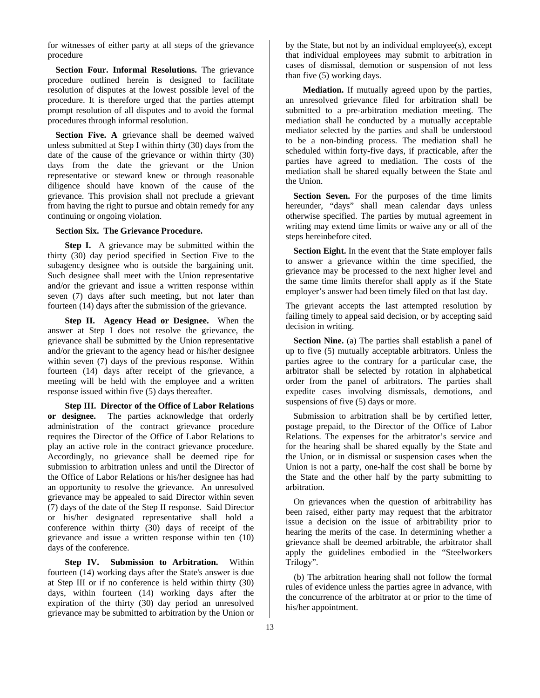for witnesses of either party at all steps of the grievance procedure

**Section Four. Informal Resolutions.** The grievance procedure outlined herein is designed to facilitate resolution of disputes at the lowest possible level of the procedure. It is therefore urged that the parties attempt prompt resolution of all disputes and to avoid the formal procedures through informal resolution.

**Section Five. A** grievance shall be deemed waived unless submitted at Step I within thirty (30) days from the date of the cause of the grievance or within thirty (30) days from the date the grievant or the Union representative or steward knew or through reasonable diligence should have known of the cause of the grievance. This provision shall not preclude a grievant from having the right to pursue and obtain remedy for any continuing or ongoing violation.

### **Section Six. The Grievance Procedure.**

**Step I.** A grievance may be submitted within the thirty (30) day period specified in Section Five to the subagency designee who is outside the bargaining unit. Such designee shall meet with the Union representative and/or the grievant and issue a written response within seven (7) days after such meeting, but not later than fourteen (14) days after the submission of the grievance.

**Step II. Agency Head or Designee.** When the answer at Step I does not resolve the grievance, the grievance shall be submitted by the Union representative and/or the grievant to the agency head or his/her designee within seven (7) days of the previous response. Within fourteen (14) days after receipt of the grievance, a meeting will be held with the employee and a written response issued within five (5) days thereafter.

**Step III. Director of the Office of Labor Relations or designee.** The parties acknowledge that orderly administration of the contract grievance procedure requires the Director of the Office of Labor Relations to play an active role in the contract grievance procedure. Accordingly, no grievance shall be deemed ripe for submission to arbitration unless and until the Director of the Office of Labor Relations or his/her designee has had an opportunity to resolve the grievance. An unresolved grievance may be appealed to said Director within seven (7) days of the date of the Step II response. Said Director or his/her designated representative shall hold a conference within thirty (30) days of receipt of the grievance and issue a written response within ten (10) days of the conference.

**Step IV. Submission to Arbitration.** Within fourteen (14) working days after the State's answer is due at Step III or if no conference is held within thirty (30) days, within fourteen (14) working days after the expiration of the thirty (30) day period an unresolved grievance may be submitted to arbitration by the Union or

by the State, but not by an individual employee(s), except that individual employees may submit to arbitration in cases of dismissal, demotion or suspension of not less than five (5) working days.

**Mediation.** If mutually agreed upon by the parties, an unresolved grievance filed for arbitration shall be submitted to a pre-arbitration mediation meeting. The mediation shall he conducted by a mutually acceptable mediator selected by the parties and shall be understood to be a non-binding process. The mediation shall he scheduled within forty-five days, if practicable, after the parties have agreed to mediation. The costs of the mediation shall be shared equally between the State and the Union.

**Section Seven.** For the purposes of the time limits hereunder, "days" shall mean calendar days unless otherwise specified. The parties by mutual agreement in writing may extend time limits or waive any or all of the steps hereinbefore cited.

**Section Eight.** In the event that the State employer fails to answer a grievance within the time specified, the grievance may be processed to the next higher level and the same time limits therefor shall apply as if the State employer's answer had been timely filed on that last day.

The grievant accepts the last attempted resolution by failing timely to appeal said decision, or by accepting said decision in writing.

**Section Nine.** (a) The parties shall establish a panel of up to five (5) mutually acceptable arbitrators. Unless the parties agree to the contrary for a particular case, the arbitrator shall be selected by rotation in alphabetical order from the panel of arbitrators. The parties shall expedite cases involving dismissals, demotions, and suspensions of five (5) days or more.

Submission to arbitration shall be by certified letter, postage prepaid, to the Director of the Office of Labor Relations. The expenses for the arbitrator's service and for the hearing shall be shared equally by the State and the Union, or in dismissal or suspension cases when the Union is not a party, one-half the cost shall be borne by the State and the other half by the party submitting to arbitration.

On grievances when the question of arbitrability has been raised, either party may request that the arbitrator issue a decision on the issue of arbitrability prior to hearing the merits of the case. In determining whether a grievance shall be deemed arbitrable, the arbitrator shall apply the guidelines embodied in the "Steelworkers Trilogy".

(b) The arbitration hearing shall not follow the formal rules of evidence unless the parties agree in advance, with the concurrence of the arbitrator at or prior to the time of his/her appointment.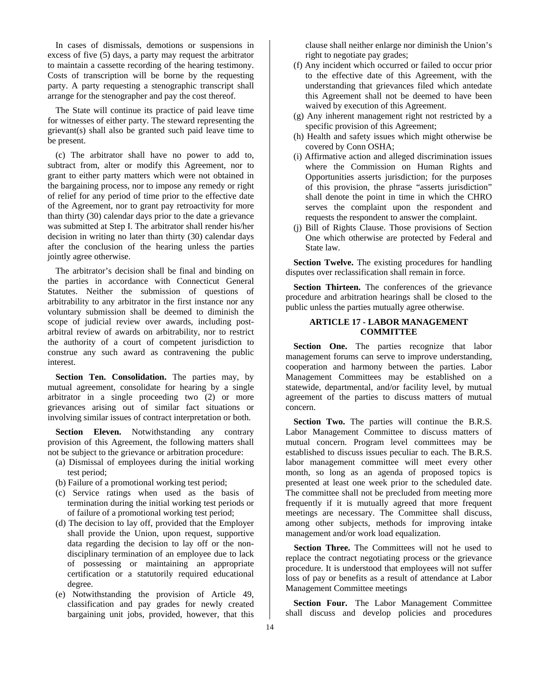In cases of dismissals, demotions or suspensions in excess of five (5) days, a party may request the arbitrator to maintain a cassette recording of the hearing testimony. Costs of transcription will be borne by the requesting party. A party requesting a stenographic transcript shall arrange for the stenographer and pay the cost thereof.

The State will continue its practice of paid leave time for witnesses of either party. The steward representing the grievant(s) shall also be granted such paid leave time to be present.

(c) The arbitrator shall have no power to add to, subtract from, alter or modify this Agreement, nor to grant to either party matters which were not obtained in the bargaining process, nor to impose any remedy or right of relief for any period of time prior to the effective date of the Agreement, nor to grant pay retroactivity for more than thirty (30) calendar days prior to the date a grievance was submitted at Step I. The arbitrator shall render his/her decision in writing no later than thirty (30) calendar days after the conclusion of the hearing unless the parties jointly agree otherwise.

The arbitrator's decision shall be final and binding on the parties in accordance with Connecticut General Statutes. Neither the submission of questions of arbitrability to any arbitrator in the first instance nor any voluntary submission shall be deemed to diminish the scope of judicial review over awards, including postarbitral review of awards on arbitrability, nor to restrict the authority of a court of competent jurisdiction to construe any such award as contravening the public interest.

Section Ten. Consolidation. The parties may, by mutual agreement, consolidate for hearing by a single arbitrator in a single proceeding two (2) or more grievances arising out of similar fact situations or involving similar issues of contract interpretation or both.

**Section Eleven.** Notwithstanding any contrary provision of this Agreement, the following matters shall not be subject to the grievance or arbitration procedure:

- (a) Dismissal of employees during the initial working test period;
- (b) Failure of a promotional working test period;
- (c) Service ratings when used as the basis of termination during the initial working test periods or of failure of a promotional working test period;
- (d) The decision to lay off, provided that the Employer shall provide the Union, upon request, supportive data regarding the decision to lay off or the nondisciplinary termination of an employee due to lack of possessing or maintaining an appropriate certification or a statutorily required educational degree.
- (e) Notwithstanding the provision of Article 49, classification and pay grades for newly created bargaining unit jobs, provided, however, that this

clause shall neither enlarge nor diminish the Union's right to negotiate pay grades;

- (f) Any incident which occurred or failed to occur prior to the effective date of this Agreement, with the understanding that grievances filed which antedate this Agreement shall not be deemed to have been waived by execution of this Agreement.
- (g) Any inherent management right not restricted by a specific provision of this Agreement;
- (h) Health and safety issues which might otherwise be covered by Conn OSHA;
- (i) Affirmative action and alleged discrimination issues where the Commission on Human Rights and Opportunities asserts jurisdiction; for the purposes of this provision, the phrase "asserts jurisdiction" shall denote the point in time in which the CHRO serves the complaint upon the respondent and requests the respondent to answer the complaint.
- (j) Bill of Rights Clause. Those provisions of Section One which otherwise are protected by Federal and State law.

**Section Twelve.** The existing procedures for handling disputes over reclassification shall remain in force.

Section Thirteen. The conferences of the grievance procedure and arbitration hearings shall be closed to the public unless the parties mutually agree otherwise.

# **ARTICLE 17 - LABOR MANAGEMENT COMMITTEE**

**Section One.** The parties recognize that labor management forums can serve to improve understanding, cooperation and harmony between the parties. Labor Management Committees may be established on a statewide, departmental, and/or facility level, by mutual agreement of the parties to discuss matters of mutual concern.

**Section Two.** The parties will continue the B.R.S. Labor Management Committee to discuss matters of mutual concern. Program level committees may be established to discuss issues peculiar to each. The B.R.S. labor management committee will meet every other month, so long as an agenda of proposed topics is presented at least one week prior to the scheduled date. The committee shall not be precluded from meeting more frequently if it is mutually agreed that more frequent meetings are necessary. The Committee shall discuss, among other subjects, methods for improving intake management and/or work load equalization.

Section Three. The Committees will not he used to replace the contract negotiating process or the grievance procedure. It is understood that employees will not suffer loss of pay or benefits as a result of attendance at Labor Management Committee meetings

**Section Four.** The Labor Management Committee shall discuss and develop policies and procedures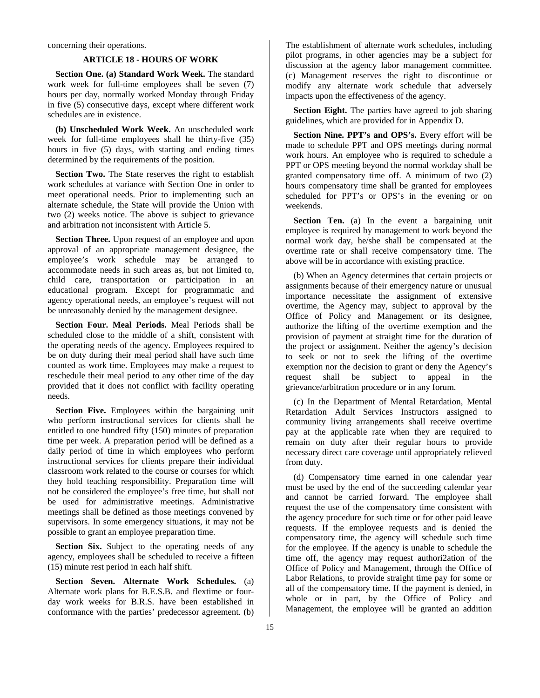concerning their operations.

### **ARTICLE 18 - HOURS OF WORK**

**Section One. (a) Standard Work Week.** The standard work week for full-time employees shall be seven (7) hours per day, normally worked Monday through Friday in five (5) consecutive days, except where different work schedules are in existence.

**(b) Unscheduled Work Week.** An unscheduled work week for full-time employees shall he thirty-five (35) hours in five (5) days, with starting and ending times determined by the requirements of the position.

**Section Two.** The State reserves the right to establish work schedules at variance with Section One in order to meet operational needs. Prior to implementing such an alternate schedule, the State will provide the Union with two (2) weeks notice. The above is subject to grievance and arbitration not inconsistent with Article 5.

**Section Three.** Upon request of an employee and upon approval of an appropriate management designee, the employee's work schedule may be arranged to accommodate needs in such areas as, but not limited to, child care, transportation or participation in an educational program. Except for programmatic and agency operational needs, an employee's request will not be unreasonably denied by the management designee.

**Section Four. Meal Periods.** Meal Periods shall be scheduled close to the middle of a shift, consistent with the operating needs of the agency. Employees required to be on duty during their meal period shall have such time counted as work time. Employees may make a request to reschedule their meal period to any other time of the day provided that it does not conflict with facility operating needs.

**Section Five.** Employees within the bargaining unit who perform instructional services for clients shall he entitled to one hundred fifty (150) minutes of preparation time per week. A preparation period will be defined as a daily period of time in which employees who perform instructional services for clients prepare their individual classroom work related to the course or courses for which they hold teaching responsibility. Preparation time will not be considered the employee's free time, but shall not be used for administrative meetings. Administrative meetings shall be defined as those meetings convened by supervisors. In some emergency situations, it may not be possible to grant an employee preparation time.

**Section Six.** Subject to the operating needs of any agency, employees shall be scheduled to receive a fifteen (15) minute rest period in each half shift.

**Section Seven. Alternate Work Schedules.** (a) Alternate work plans for B.E.S.B. and flextime or fourday work weeks for B.R.S. have been established in conformance with the parties' predecessor agreement. (b)

The establishment of alternate work schedules, including pilot programs, in other agencies may be a subject for discussion at the agency labor management committee. (c) Management reserves the right to discontinue or modify any alternate work schedule that adversely impacts upon the effectiveness of the agency.

**Section Eight.** The parties have agreed to job sharing guidelines, which are provided for in Appendix D.

**Section Nine. PPT's and OPS's.** Every effort will be made to schedule PPT and OPS meetings during normal work hours. An employee who is required to schedule a PPT or OPS meeting beyond the normal workday shall be granted compensatory time off. A minimum of two (2) hours compensatory time shall be granted for employees scheduled for PPT's or OPS's in the evening or on weekends.

**Section Ten.** (a) In the event a bargaining unit employee is required by management to work beyond the normal work day, he/she shall be compensated at the overtime rate or shall receive compensatory time. The above will be in accordance with existing practice.

(b) When an Agency determines that certain projects or assignments because of their emergency nature or unusual importance necessitate the assignment of extensive overtime, the Agency may, subject to approval by the Office of Policy and Management or its designee, authorize the lifting of the overtime exemption and the provision of payment at straight time for the duration of the project or assignment. Neither the agency's decision to seek or not to seek the lifting of the overtime exemption nor the decision to grant or deny the Agency's request shall be subject to appeal in the grievance/arbitration procedure or in any forum.

(c) In the Department of Mental Retardation, Mental Retardation Adult Services Instructors assigned to community living arrangements shall receive overtime pay at the applicable rate when they are required to remain on duty after their regular hours to provide necessary direct care coverage until appropriately relieved from duty.

(d) Compensatory time earned in one calendar year must be used by the end of the succeeding calendar year and cannot be carried forward. The employee shall request the use of the compensatory time consistent with the agency procedure for such time or for other paid leave requests. If the employee requests and is denied the compensatory time, the agency will schedule such time for the employee. If the agency is unable to schedule the time off, the agency may request authori2ation of the Office of Policy and Management, through the Office of Labor Relations, to provide straight time pay for some or all of the compensatory time. If the payment is denied, in whole or in part, by the Office of Policy and Management, the employee will be granted an addition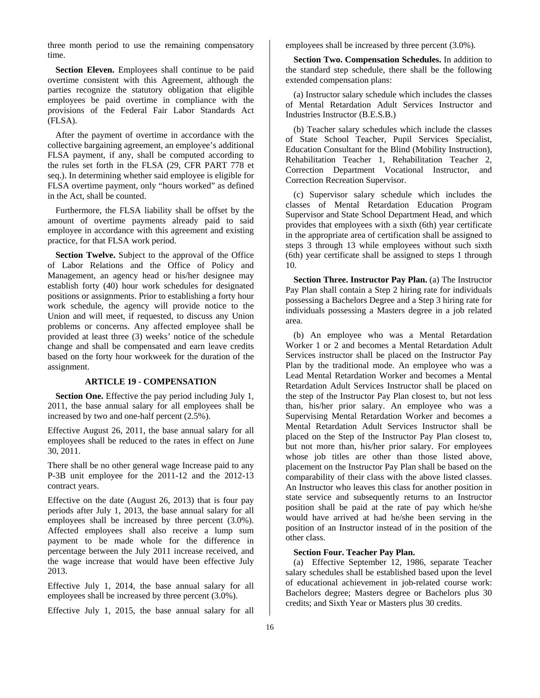three month period to use the remaining compensatory time.

**Section Eleven.** Employees shall continue to be paid overtime consistent with this Agreement, although the parties recognize the statutory obligation that eligible employees be paid overtime in compliance with the provisions of the Federal Fair Labor Standards Act (FLSA).

After the payment of overtime in accordance with the collective bargaining agreement, an employee's additional FLSA payment, if any, shall be computed according to the rules set forth in the FLSA (29, CFR PART 778 et seq.). In determining whether said employee is eligible for FLSA overtime payment, only "hours worked" as defined in the Act, shall be counted.

Furthermore, the FLSA liability shall be offset by the amount of overtime payments already paid to said employee in accordance with this agreement and existing practice, for that FLSA work period.

**Section Twelve.** Subject to the approval of the Office of Labor Relations and the Office of Policy and Management, an agency head or his/her designee may establish forty (40) hour work schedules for designated positions or assignments. Prior to establishing a forty hour work schedule, the agency will provide notice to the Union and will meet, if requested, to discuss any Union problems or concerns. Any affected employee shall be provided at least three (3) weeks' notice of the schedule change and shall be compensated and earn leave credits based on the forty hour workweek for the duration of the assignment.

### **ARTICLE 19 - COMPENSATION**

**Section One.** Effective the pay period including July 1, 2011, the base annual salary for all employees shall be increased by two and one-half percent (2.5%).

Effective August 26, 2011, the base annual salary for all employees shall be reduced to the rates in effect on June 30, 2011.

There shall be no other general wage Increase paid to any P-3B unit employee for the 2011-12 and the 2012-13 contract years.

Effective on the date (August 26, 2013) that is four pay periods after July 1, 2013, the base annual salary for all employees shall be increased by three percent (3.0%). Affected employees shall also receive a lump sum payment to be made whole for the difference in percentage between the July 2011 increase received, and the wage increase that would have been effective July 2013.

Effective July 1, 2014, the base annual salary for all employees shall be increased by three percent (3.0%).

Effective July 1, 2015, the base annual salary for all

employees shall be increased by three percent (3.0%).

**Section Two. Compensation Schedules.** In addition to the standard step schedule, there shall be the following extended compensation plans:

(a) Instructor salary schedule which includes the classes of Mental Retardation Adult Services Instructor and Industries Instructor (B.E.S.B.)

(b) Teacher salary schedules which include the classes of State School Teacher, Pupil Services Specialist, Education Consultant for the Blind (Mobility Instruction), Rehabilitation Teacher 1, Rehabilitation Teacher 2, Correction Department Vocational Instructor, and Correction Recreation Supervisor.

(c) Supervisor salary schedule which includes the classes of Mental Retardation Education Program Supervisor and State School Department Head, and which provides that employees with a sixth (6th) year certificate in the appropriate area of certification shall be assigned to steps 3 through 13 while employees without such sixth (6th) year certificate shall be assigned to steps 1 through 10.

**Section Three. Instructor Pay Plan.** (a) The Instructor Pay Plan shall contain a Step 2 hiring rate for individuals possessing a Bachelors Degree and a Step 3 hiring rate for individuals possessing a Masters degree in a job related area.

(b) An employee who was a Mental Retardation Worker 1 or 2 and becomes a Mental Retardation Adult Services instructor shall be placed on the Instructor Pay Plan by the traditional mode. An employee who was a Lead Mental Retardation Worker and becomes a Mental Retardation Adult Services Instructor shall be placed on the step of the Instructor Pay Plan closest to, but not less than, his/her prior salary. An employee who was a Supervising Mental Retardation Worker and becomes a Mental Retardation Adult Services Instructor shall be placed on the Step of the Instructor Pay Plan closest to, but not more than, his/her prior salary. For employees whose job titles are other than those listed above, placement on the Instructor Pay Plan shall be based on the comparability of their class with the above listed classes. An Instructor who leaves this class for another position in state service and subsequently returns to an Instructor position shall be paid at the rate of pay which he/she would have arrived at had he/she been serving in the position of an Instructor instead of in the position of the other class.

# **Section Four. Teacher Pay Plan.**

(a) Effective September 12, 1986, separate Teacher salary schedules shall be established based upon the level of educational achievement in job-related course work: Bachelors degree; Masters degree or Bachelors plus 30 credits; and Sixth Year or Masters plus 30 credits.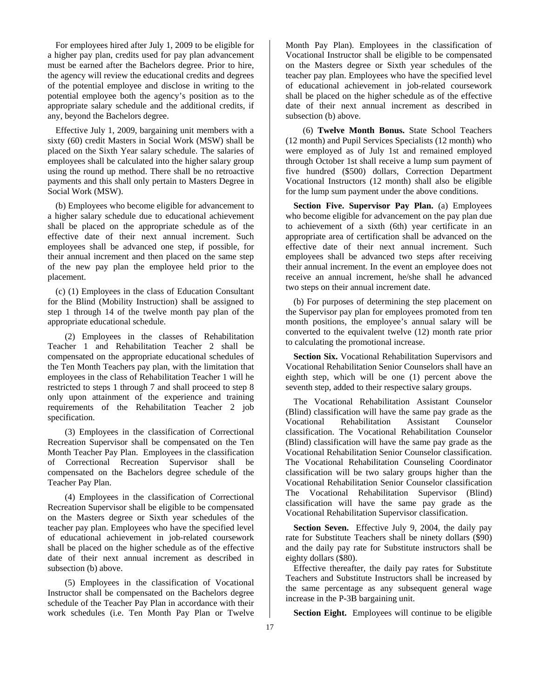For employees hired after July 1, 2009 to be eligible for a higher pay plan, credits used for pay plan advancement must be earned after the Bachelors degree. Prior to hire, the agency will review the educational credits and degrees of the potential employee and disclose in writing to the potential employee both the agency's position as to the appropriate salary schedule and the additional credits, if any, beyond the Bachelors degree.

Effective July 1, 2009, bargaining unit members with a sixty (60) credit Masters in Social Work (MSW) shall be placed on the Sixth Year salary schedule. The salaries of employees shall be calculated into the higher salary group using the round up method. There shall be no retroactive payments and this shall only pertain to Masters Degree in Social Work (MSW).

(b) Employees who become eligible for advancement to a higher salary schedule due to educational achievement shall be placed on the appropriate schedule as of the effective date of their next annual increment. Such employees shall be advanced one step, if possible, for their annual increment and then placed on the same step of the new pay plan the employee held prior to the placement.

(c) (1) Employees in the class of Education Consultant for the Blind (Mobility Instruction) shall be assigned to step 1 through 14 of the twelve month pay plan of the appropriate educational schedule.

(2) Employees in the classes of Rehabilitation Teacher 1 and Rehabilitation Teacher 2 shall be compensated on the appropriate educational schedules of the Ten Month Teachers pay plan, with the limitation that employees in the class of Rehabilitation Teacher 1 will he restricted to steps 1 through 7 and shall proceed to step 8 only upon attainment of the experience and training requirements of the Rehabilitation Teacher 2 job specification.

(3) Employees in the classification of Correctional Recreation Supervisor shall be compensated on the Ten Month Teacher Pay Plan. Employees in the classification of Correctional Recreation Supervisor shall be compensated on the Bachelors degree schedule of the Teacher Pay Plan.

(4) Employees in the classification of Correctional Recreation Supervisor shall be eligible to be compensated on the Masters degree or Sixth year schedules of the teacher pay plan. Employees who have the specified level of educational achievement in job-related coursework shall be placed on the higher schedule as of the effective date of their next annual increment as described in subsection (b) above.

(5) Employees in the classification of Vocational Instructor shall be compensated on the Bachelors degree schedule of the Teacher Pay Plan in accordance with their work schedules (i.e. Ten Month Pay Plan or Twelve

Month Pay Plan). Employees in the classification of Vocational Instructor shall be eligible to be compensated on the Masters degree or Sixth year schedules of the teacher pay plan. Employees who have the specified level of educational achievement in job-related coursework shall be placed on the higher schedule as of the effective date of their next annual increment as described in subsection (b) above.

(6) **Twelve Month Bonus.** State School Teachers (12 month) and Pupil Services Specialists (12 month) who were employed as of July 1st and remained employed through October 1st shall receive a lump sum payment of five hundred (\$500) dollars, Correction Department Vocational Instructors (12 month) shall also be eligible for the lump sum payment under the above conditions.

**Section Five. Supervisor Pay Plan.** (a) Employees who become eligible for advancement on the pay plan due to achievement of a sixth (6th) year certificate in an appropriate area of certification shall be advanced on the effective date of their next annual increment. Such employees shall be advanced two steps after receiving their annual increment. In the event an employee does not receive an annual increment, he/she shall he advanced two steps on their annual increment date.

(b) For purposes of determining the step placement on the Supervisor pay plan for employees promoted from ten month positions, the employee's annual salary will be converted to the equivalent twelve (12) month rate prior to calculating the promotional increase.

**Section Six.** Vocational Rehabilitation Supervisors and Vocational Rehabilitation Senior Counselors shall have an eighth step, which will be one (1) percent above the seventh step, added to their respective salary groups.

The Vocational Rehabilitation Assistant Counselor (Blind) classification will have the same pay grade as the Vocational Rehabilitation Assistant Counselor classification. The Vocational Rehabilitation Counselor (Blind) classification will have the same pay grade as the Vocational Rehabilitation Senior Counselor classification. The Vocational Rehabilitation Counseling Coordinator classification will be two salary groups higher than the Vocational Rehabilitation Senior Counselor classification The Vocational Rehabilitation Supervisor (Blind) classification will have the same pay grade as the Vocational Rehabilitation Supervisor classification.

**Section Seven.** Effective July 9, 2004, the daily pay rate for Substitute Teachers shall be ninety dollars (\$90) and the daily pay rate for Substitute instructors shall be eighty dollars (\$80).

Effective thereafter, the daily pay rates for Substitute Teachers and Substitute Instructors shall be increased by the same percentage as any subsequent general wage increase in the P-3B bargaining unit.

**Section Eight.** Employees will continue to be eligible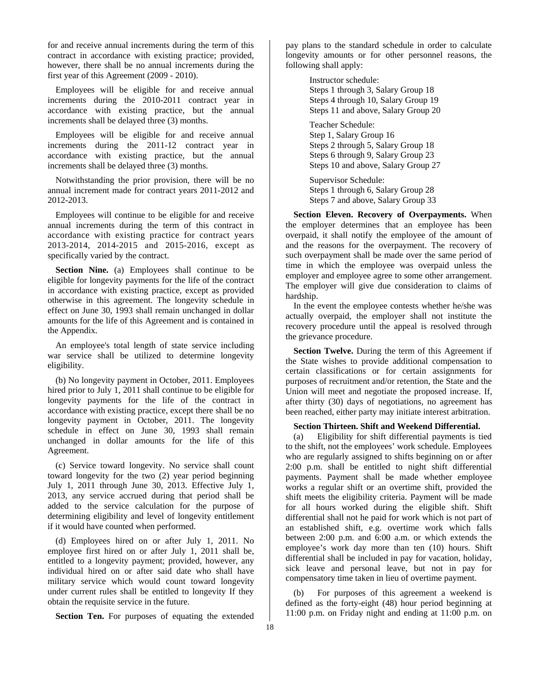for and receive annual increments during the term of this contract in accordance with existing practice; provided, however, there shall be no annual increments during the first year of this Agreement (2009 - 2010).

Employees will be eligible for and receive annual increments during the 2010-2011 contract year in accordance with existing practice, but the annual increments shall be delayed three (3) months.

Employees will be eligible for and receive annual increments during the 2011-12 contract year in accordance with existing practice, but the annual increments shall be delayed three (3) months.

Notwithstanding the prior provision, there will be no annual increment made for contract years 2011-2012 and 2012-2013.

Employees will continue to be eligible for and receive annual increments during the term of this contract in accordance with existing practice for contract years 2013-2014, 2014-2015 and 2015-2016, except as specifically varied by the contract.

**Section Nine.** (a) Employees shall continue to be eligible for longevity payments for the life of the contract in accordance with existing practice, except as provided otherwise in this agreement. The longevity schedule in effect on June 30, 1993 shall remain unchanged in dollar amounts for the life of this Agreement and is contained in the Appendix.

An employee's total length of state service including war service shall be utilized to determine longevity eligibility.

(b) No longevity payment in October, 2011. Employees hired prior to July 1, 2011 shall continue to be eligible for longevity payments for the life of the contract in accordance with existing practice, except there shall be no longevity payment in October, 2011. The longevity schedule in effect on June 30, 1993 shall remain unchanged in dollar amounts for the life of this Agreement.

(c) Service toward longevity. No service shall count toward longevity for the two (2) year period beginning July 1, 2011 through June 30, 2013. Effective July 1, 2013, any service accrued during that period shall be added to the service calculation for the purpose of determining eligibility and level of longevity entitlement if it would have counted when performed.

(d) Employees hired on or after July 1, 2011. No employee first hired on or after July 1, 2011 shall be, entitled to a longevity payment; provided, however, any individual hired on or after said date who shall have military service which would count toward longevity under current rules shall be entitled to longevity If they obtain the requisite service in the future.

**Section Ten.** For purposes of equating the extended

pay plans to the standard schedule in order to calculate longevity amounts or for other personnel reasons, the following shall apply:

> Instructor schedule: Steps 1 through 3, Salary Group 18 Steps 4 through 10, Salary Group 19 Steps 11 and above, Salary Group 20 Teacher Schedule: Step 1, Salary Group 16 Steps 2 through 5, Salary Group 18 Steps 6 through 9, Salary Group 23

Steps 10 and above, Salary Group 27

Supervisor Schedule: Steps 1 through 6, Salary Group 28 Steps 7 and above, Salary Group 33

**Section Eleven. Recovery of Overpayments.** When the employer determines that an employee has been overpaid, it shall notify the employee of the amount of and the reasons for the overpayment. The recovery of such overpayment shall be made over the same period of time in which the employee was overpaid unless the employer and employee agree to some other arrangement. The employer will give due consideration to claims of hardship.

In the event the employee contests whether he/she was actually overpaid, the employer shall not institute the recovery procedure until the appeal is resolved through the grievance procedure.

**Section Twelve.** During the term of this Agreement if the State wishes to provide additional compensation to certain classifications or for certain assignments for purposes of recruitment and/or retention, the State and the Union will meet and negotiate the proposed increase. If, after thirty (30) days of negotiations, no agreement has been reached, either party may initiate interest arbitration.

# **Section Thirteen. Shift and Weekend Differential.**

(a) Eligibility for shift differential payments is tied to the shift, not the employees' work schedule. Employees who are regularly assigned to shifts beginning on or after 2:00 p.m. shall be entitled to night shift differential payments. Payment shall be made whether employee works a regular shift or an overtime shift, provided the shift meets the eligibility criteria. Payment will be made for all hours worked during the eligible shift. Shift differential shall not he paid for work which is not part of an established shift, e.g. overtime work which falls between 2:00 p.m. and 6:00 a.m. or which extends the employee's work day more than ten (10) hours. Shift differential shall be included in pay for vacation, holiday, sick leave and personal leave, but not in pay for compensatory time taken in lieu of overtime payment.

(b) For purposes of this agreement a weekend is defined as the forty-eight (48) hour period beginning at 11:00 p.m. on Friday night and ending at 11:00 p.m. on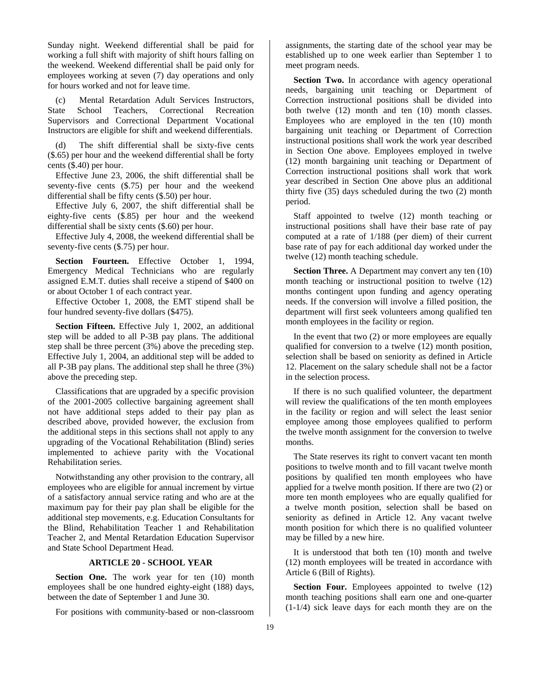Sunday night. Weekend differential shall be paid for working a full shift with majority of shift hours falling on the weekend. Weekend differential shall be paid only for employees working at seven (7) day operations and only for hours worked and not for leave time.

(c) Mental Retardation Adult Services Instructors, State School Teachers, Correctional Recreation Supervisors and Correctional Department Vocational Instructors are eligible for shift and weekend differentials.

(d) The shift differential shall be sixty-five cents (\$.65) per hour and the weekend differential shall be forty cents (\$.40) per hour.

Effective June 23, 2006, the shift differential shall be seventy-five cents (\$.75) per hour and the weekend differential shall be fifty cents (\$.50) per hour.

Effective July 6, 2007, the shift differential shall be eighty-five cents (\$.85) per hour and the weekend differential shall be sixty cents (\$.60) per hour.

Effective July 4, 2008, the weekend differential shall be seventy-five cents (\$.75) per hour.

**Section Fourteen.** Effective October 1, 1994, Emergency Medical Technicians who are regularly assigned E.M.T. duties shall receive a stipend of \$400 on or about October 1 of each contract year.

Effective October 1, 2008, the EMT stipend shall be four hundred seventy-five dollars (\$475).

**Section Fifteen.** Effective July 1, 2002, an additional step will be added to all P-3B pay plans. The additional step shall be three percent (3%) above the preceding step. Effective July 1, 2004, an additional step will be added to all P-3B pay plans. The additional step shall he three (3%) above the preceding step.

Classifications that are upgraded by a specific provision of the 2001-2005 collective bargaining agreement shall not have additional steps added to their pay plan as described above, provided however, the exclusion from the additional steps in this sections shall not apply to any upgrading of the Vocational Rehabilitation (Blind) series implemented to achieve parity with the Vocational Rehabilitation series.

Notwithstanding any other provision to the contrary, all employees who are eligible for annual increment by virtue of a satisfactory annual service rating and who are at the maximum pay for their pay plan shall be eligible for the additional step movements, e.g. Education Consultants for the Blind, Rehabilitation Teacher 1 and Rehabilitation Teacher 2, and Mental Retardation Education Supervisor and State School Department Head.

# **ARTICLE 20 - SCHOOL YEAR**

Section One. The work year for ten (10) month employees shall be one hundred eighty-eight (188) days, between the date of September 1 and June 30.

For positions with community-based or non-classroom

assignments, the starting date of the school year may be established up to one week earlier than September 1 to meet program needs.

**Section Two.** In accordance with agency operational needs, bargaining unit teaching or Department of Correction instructional positions shall be divided into both twelve (12) month and ten (10) month classes. Employees who are employed in the ten (10) month bargaining unit teaching or Department of Correction instructional positions shall work the work year described in Section One above. Employees employed in twelve (12) month bargaining unit teaching or Department of Correction instructional positions shall work that work year described in Section One above plus an additional thirty five (35) days scheduled during the two (2) month period.

Staff appointed to twelve (12) month teaching or instructional positions shall have their base rate of pay computed at a rate of 1/188 (per diem) of their current base rate of pay for each additional day worked under the twelve (12) month teaching schedule.

**Section Three.** A Department may convert any ten (10) month teaching or instructional position to twelve (12) months contingent upon funding and agency operating needs. If the conversion will involve a filled position, the department will first seek volunteers among qualified ten month employees in the facility or region.

In the event that two (2) or more employees are equally qualified for conversion to a twelve (12) month position, selection shall be based on seniority as defined in Article 12. Placement on the salary schedule shall not be a factor in the selection process.

If there is no such qualified volunteer, the department will review the qualifications of the ten month employees in the facility or region and will select the least senior employee among those employees qualified to perform the twelve month assignment for the conversion to twelve months.

The State reserves its right to convert vacant ten month positions to twelve month and to fill vacant twelve month positions by qualified ten month employees who have applied for a twelve month position. If there are two (2) or more ten month employees who are equally qualified for a twelve month position, selection shall be based on seniority as defined in Article 12. Any vacant twelve month position for which there is no qualified volunteer may be filled by a new hire.

It is understood that both ten (10) month and twelve (12) month employees will be treated in accordance with Article 6 (Bill of Rights).

**Section Four.** Employees appointed to twelve (12) month teaching positions shall earn one and one-quarter (1-1/4) sick leave days for each month they are on the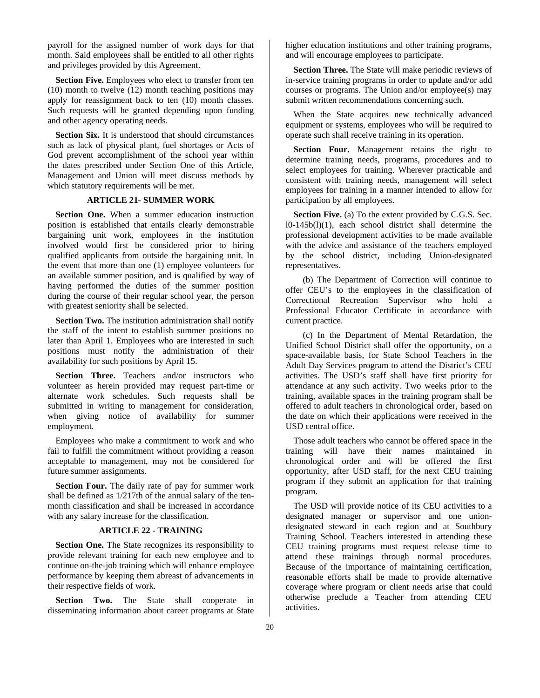payroll for the assigned number of work days for that month. Said employees shall be entitled to all other rights and privileges provided by this Agreement.

**Section Five.** Employees who elect to transfer from ten (10) month to twelve (12) month teaching positions may apply for reassignment back to ten (10) month classes. Such requests will he granted depending upon funding and other agency operating needs.

**Section Six.** It is understood that should circumstances such as lack of physical plant, fuel shortages or Acts of God prevent accomplishment of the school year within the dates prescribed under Section One of this Article, Management and Union will meet discuss methods by which statutory requirements will be met.

# **ARTICLE 21- SUMMER WORK**

**Section One.** When a summer education instruction position is established that entails clearly demonstrable bargaining unit work, employees in the institution involved would first be considered prior to hiring qualified applicants from outside the bargaining unit. In the event that more than one (1) employee volunteers for an available summer position, and is qualified by way of having performed the duties of the summer position during the course of their regular school year, the person with greatest seniority shall be selected.

**Section Two.** The institution administration shall notify the staff of the intent to establish summer positions no later than April 1. Employees who are interested in such positions must notify the administration of their availability for such positions by April 15.

**Section Three.** Teachers and/or instructors who volunteer as herein provided may request part-time or alternate work schedules. Such requests shall be submitted in writing to management for consideration, when giving notice of availability for summer employment.

Employees who make a commitment to work and who fail to fulfill the commitment without providing a reason acceptable to management, may not be considered for future summer assignments.

**Section Four.** The daily rate of pay for summer work shall be defined as 1/217th of the annual salary of the tenmonth classification and shall be increased in accordance with any salary increase for the classification.

### **ARTICLE 22 - TRAINING**

**Section One.** The State recognizes its responsibility to provide relevant training for each new employee and to continue on-the-job training which will enhance employee performance by keeping them abreast of advancements in their respective fields of work.

Section Two. The State shall cooperate in disseminating information about career programs at State

higher education institutions and other training programs, and will encourage employees to participate.

**Section Three.** The State will make periodic reviews of in-service training programs in order to update and/or add courses or programs. The Union and/or employee(s) may submit written recommendations concerning such.

When the State acquires new technically advanced equipment or systems, employees who will be required to operate such shall receive training in its operation.

**Section Four.** Management retains the right to determine training needs, programs, procedures and to select employees for training. Wherever practicable and consistent with training needs, management will select employees for training in a manner intended to allow for participation by all employees.

**Section Five.** (a) To the extent provided by C.G.S. Sec. l0-145b(l)(1), each school district shall determine the professional development activities to be made available with the advice and assistance of the teachers employed by the school district, including Union-designated representatives.

(b) The Department of Correction will continue to offer CEU's to the employees in the classification of Correctional Recreation Supervisor who hold a Professional Educator Certificate in accordance with current practice.

(c) In the Department of Mental Retardation, the Unified School District shall offer the opportunity, on a space-available basis, for State School Teachers in the Adult Day Services program to attend the District's CEU activities. The USD's staff shall have first priority for attendance at any such activity. Two weeks prior to the training, available spaces in the training program shall be offered to adult teachers in chronological order, based on the date on which their applications were received in the USD central office.

Those adult teachers who cannot be offered space in the training will have their names maintained in chronological order and will be offered the first opportunity, after USD staff, for the next CEU training program if they submit an application for that training program.

The USD will provide notice of its CEU activities to a designated manager or supervisor and one uniondesignated steward in each region and at Southbury Training School. Teachers interested in attending these CEU training programs must request release time to attend these trainings through normal procedures. Because of the importance of maintaining certification, reasonable efforts shall be made to provide alternative coverage where program or client needs arise that could otherwise preclude a Teacher from attending CEU activities.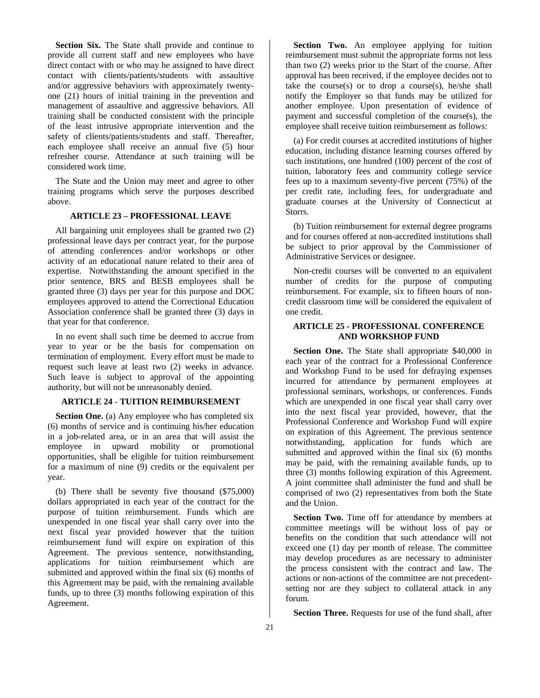**Section Six.** The State shall provide and continue to provide all current staff and new employees who have direct contact with or who may he assigned to have direct contact with clients/patients/students with assaultive and/or aggressive behaviors with approximately twentyone (21) hours of initial training in the prevention and management of assaultive and aggressive behaviors. All training shall be conducted consistent with the principle of the least intrusive appropriate intervention and the safety of clients/patients/students and staff. Thereafter, each employee shall receive an annual five (5) hour refresher course. Attendance at such training will be considered work time.

The State and the Union may meet and agree to other training programs which serve the purposes described above.

### **ARTICLE 23 – PROFESSIONAL LEAVE**

All bargaining unit employees shall be granted two (2) professional leave days per contract year, for the purpose of attending conferences and/or workshops or other activity of an educational nature related to their area of expertise. Notwithstanding the amount specified in the prior sentence, BRS and BESB employees shall be granted three (3) days per year for this purpose and DOC employees approved to attend the Correctional Education Association conference shall be granted three (3) days in that year for that conference.

In no event shall such time be deemed to accrue from year to year or be the basis for compensation on termination of employment. Every effort must be made to request such leave at least two (2) weeks in advance. Such leave is subject to approval of the appointing authority, but will not be unreasonably denied.

# **ARTICLE 24** - **TUITION REIMBURSEMENT**

**Section One.** (a) Any employee who has completed six (6) months of service and is continuing his/her education in a job-related area, or in an area that will assist the employee in upward mobility or promotional opportunities, shall be eligible for tuition reimbursement for a maximum of nine (9) credits or the equivalent per year.

(b) There shall be seventy five thousand (\$75,000) dollars appropriated in each year of the contract for the purpose of tuition reimbursement. Funds which are unexpended in one fiscal year shall carry over into the next fiscal year provided however that the tuition reimbursement fund will expire on expiration of this Agreement. The previous sentence, notwithstanding, applications for tuition reimbursement which are submitted and approved within the final six (6) months of this Agreement may be paid, with the remaining available funds, up to three (3) months following expiration of this Agreement.

**Section Two.** An employee applying for tuition reimbursement must submit the appropriate forms not less than two (2) weeks prior to the Start of the course. After approval has been received, if the employee decides not to take the course(s) or to drop a course(s), he/she shall notify the Employer so that funds may be utilized for another employee. Upon presentation of evidence of payment and successful completion of the course(s), the employee shall receive tuition reimbursement as follows:

(a) For credit courses at accredited institutions of higher education, including distance learning courses offered by such institutions, one hundred (100) percent of the cost of tuition, laboratory fees and community college service fees up to a maximum seventy-five percent (75%) of the per credit rate, including fees, for undergraduate and graduate courses at the University of Connecticut at Storrs.

(b) Tuition reimbursement for external degree programs and for courses offered at non-accredited institutions shall be subject to prior approval by the Commissioner of Administrative Services or designee.

Non-credit courses will be converted to an equivalent number of credits for the purpose of computing reimbursement. For example, six to fifteen hours of noncredit classroom time will be considered the equivalent of one credit.

# **ARTICLE 25** *-* **PROFESSIONAL CONFERENCE AND WORKSHOP FUND**

**Section One.** The State shall appropriate \$40,000 in each year of the contract for a Professional Conference and Workshop Fund to be used for defraying expenses incurred for attendance by permanent employees at professional seminars, workshops, or conferences. Funds which are unexpended in one fiscal year shall carry over into the next fiscal year provided, however, that the Professional Conference and Workshop Fund will expire on expiration of this Agreement. The previous sentence notwithstanding, application for funds which are submitted and approved within the final six (6) months may be paid, with the remaining available funds, up to three (3) months following expiration of this Agreement. A joint committee shall administer the fund and shall be comprised of two (2) representatives from both the State and the Union.

Section Two. Time off for attendance by members at committee meetings will be without loss of pay or benefits on the condition that such attendance will not exceed one (1) day per month of release. The committee may develop procedures as are necessary to administer the process consistent with the contract and law. The actions or non-actions of the committee are not precedentsetting nor are they subject to collateral attack in any forum.

**Section Three.** Requests for use of the fund shall, after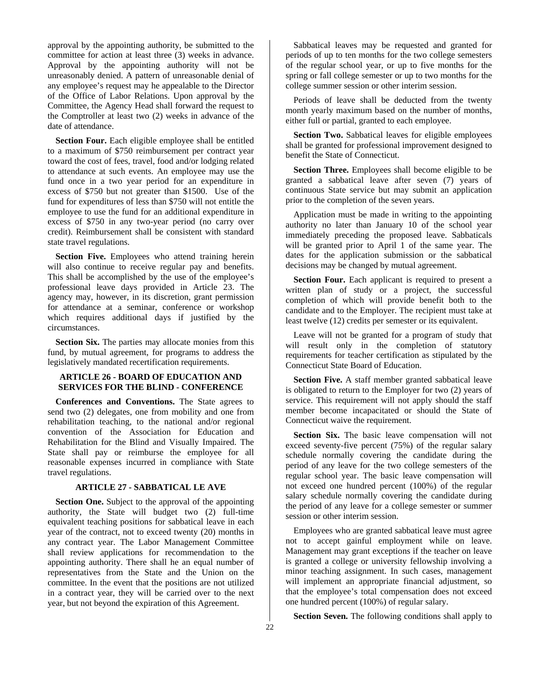approval by the appointing authority, be submitted to the committee for action at least three (3) weeks in advance. Approval by the appointing authority will not be unreasonably denied. A pattern of unreasonable denial of any employee's request may he appealable to the Director of the Office of Labor Relations. Upon approval by the Committee, the Agency Head shall forward the request to the Comptroller at least two (2) weeks in advance of the date of attendance.

**Section Four.** Each eligible employee shall be entitled to a maximum of \$750 reimbursement per contract year toward the cost of fees, travel, food and/or lodging related to attendance at such events. An employee may use the fund once in a two year period for an expenditure in excess of \$750 but not greater than \$1500. Use of the fund for expenditures of less than \$750 will not entitle the employee to use the fund for an additional expenditure in excess of \$750 in any two-year period (no carry over credit). Reimbursement shall be consistent with standard state travel regulations.

**Section Five.** Employees who attend training herein will also continue to receive regular pay and benefits. This shall be accomplished by the use of the employee's professional leave days provided in Article 23. The agency may, however, in its discretion, grant permission for attendance at a seminar, conference or workshop which requires additional days if justified by the circumstances.

**Section Six.** The parties may allocate monies from this fund, by mutual agreement, for programs to address the legislatively mandated recertification requirements.

# **ARTICLE 26 - BOARD OF EDUCATION AND SERVICES FOR THE BLIND - CONFERENCE**

**Conferences and Conventions.** The State agrees to send two (2) delegates, one from mobility and one from rehabilitation teaching, to the national and/or regional convention of the Association for Education and Rehabilitation for the Blind and Visually Impaired. The State shall pay or reimburse the employee for all reasonable expenses incurred in compliance with State travel regulations.

# **ARTICLE 27 - SABBATICAL LE AVE**

**Section One.** Subject to the approval of the appointing authority, the State will budget two (2) full-time equivalent teaching positions for sabbatical leave in each year of the contract, not to exceed twenty (20) months in any contract year. The Labor Management Committee shall review applications for recommendation to the appointing authority. There shall he an equal number of representatives from the State and the Union on the committee. In the event that the positions are not utilized in a contract year, they will be carried over to the next year, but not beyond the expiration of this Agreement.

Sabbatical leaves may be requested and granted for periods of up to ten months for the two college semesters of the regular school year, or up to five months for the spring or fall college semester or up to two months for the college summer session or other interim session.

Periods of leave shall be deducted from the twenty month yearly maximum based on the number of months, either full or partial, granted to each employee.

**Section Two.** Sabbatical leaves for eligible employees shall be granted for professional improvement designed to benefit the State of Connecticut.

**Section Three.** Employees shall become eligible to be granted a sabbatical leave after seven (7) years of continuous State service but may submit an application prior to the completion of the seven years.

Application must be made in writing to the appointing authority no later than January 10 of the school year immediately preceding the proposed leave. Sabbaticals will be granted prior to April 1 of the same year. The dates for the application submission or the sabbatical decisions may be changed by mutual agreement.

**Section Four.** Each applicant is required to present a written plan of study or a project, the successful completion of which will provide benefit both to the candidate and to the Employer. The recipient must take at least twelve (12) credits per semester or its equivalent.

Leave will not be granted for a program of study that will result only in the completion of statutory requirements for teacher certification as stipulated by the Connecticut State Board of Education.

**Section Five.** A staff member granted sabbatical leave is obligated to return to the Employer for two (2) years of service. This requirement will not apply should the staff member become incapacitated or should the State of Connecticut waive the requirement.

**Section Six.** The basic leave compensation will not exceed seventy-five percent (75%) of the regular salary schedule normally covering the candidate during the period of any leave for the two college semesters of the regular school year. The basic leave compensation will not exceed one hundred percent (100%) of the regular salary schedule normally covering the candidate during the period of any leave for a college semester or summer session or other interim session.

Employees who are granted sabbatical leave must agree not to accept gainful employment while on leave. Management may grant exceptions if the teacher on leave is granted a college or university fellowship involving a minor teaching assignment. In such cases, management will implement an appropriate financial adjustment, so that the employee's total compensation does not exceed one hundred percent (100%) of regular salary.

**Section Seven.** The following conditions shall apply to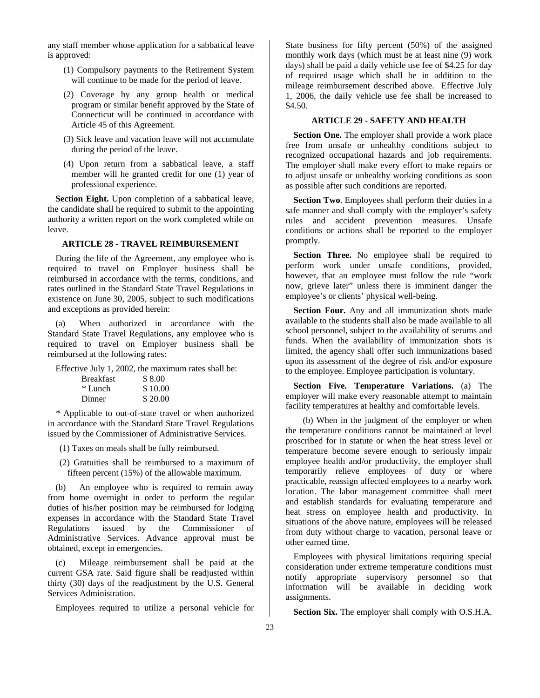any staff member whose application for a sabbatical leave is approved:

- (1) Compulsory payments to the Retirement System will continue to be made for the period of leave.
- (2) Coverage by any group health or medical program or similar benefit approved by the State of Connecticut will be continued in accordance with Article 45 of this Agreement.
- (3) Sick leave and vacation leave will not accumulate during the period of the leave.
- (4) Upon return from a sabbatical leave, a staff member will he granted credit for one (1) year of professional experience.

**Section Eight.** Upon completion of a sabbatical leave, the candidate shall he required to submit to the appointing authority a written report on the work completed while on leave.

# **ARTICLE 28 - TRAVEL REIMBURSEMENT**

During the life of the Agreement, any employee who is required to travel on Employer business shall be reimbursed in accordance with the terms, conditions, and rates outlined in the Standard State Travel Regulations in existence on June 30, 2005, subject to such modifications and exceptions as provided herein:

(a) When authorized in accordance with the Standard State Travel Regulations, any employee who is required to travel on Employer business shall be reimbursed at the following rates:

Effective July 1, 2002, the maximum rates shall be:

| <b>Breakfast</b> | \$8.00  |
|------------------|---------|
| * Lunch          | \$10.00 |
| Dinner           | \$20.00 |

*\** Applicable to out-of-state travel or when authorized in accordance with the Standard State Travel Regulations issued by the Commissioner of Administrative Services.

(1) Taxes on meals shall be fully reimbursed.

(2) Gratuities shall be reimbursed to a maximum of fifteen percent (15%) of the allowable maximum.

(b) An employee who is required to remain away from home overnight in order to perform the regular duties of his/her position may be reimbursed for lodging expenses in accordance with the Standard State Travel Regulations issued by the Commissioner of Administrative Services. Advance approval must be obtained, except in emergencies.

(c) Mileage reimbursement shall be paid at the current GSA rate. Said figure shall be readjusted within thirty (30) days of the readjustment by the U.S. General Services Administration.

Employees required to utilize a personal vehicle for

State business for fifty percent (50%) of the assigned monthly work days (which must be at least nine (9) work days) shall be paid a daily vehicle use fee of \$4.25 for day of required usage which shall be in addition to the mileage reimbursement described above. Effective July 1, 2006, the daily vehicle use fee shall be increased to \$4.50.

# **ARTICLE 29 - SAFETY AND HEALTH**

**Section One.** The employer shall provide a work place free from unsafe or unhealthy conditions subject to recognized occupational hazards and job requirements. The employer shall make every effort to make repairs or to adjust unsafe or unhealthy working conditions as soon as possible after such conditions are reported.

**Section Two**. Employees shall perform their duties in a safe manner and shall comply with the employer's safety rules and accident prevention measures. Unsafe conditions or actions shall be reported to the employer promptly.

**Section Three.** No employee shall be required to perform work under unsafe conditions, provided, however, that an employee must follow the rule "work now, grieve later" unless there is imminent danger the employee's or clients' physical well-being.

**Section Four.** Any and all immunization shots made available to the students shall also be made available to all school personnel, subject to the availability of serums and funds. When the availability of immunization shots is limited, the agency shall offer such immunizations based upon its assessment of the degree of risk and/or exposure to the employee. Employee participation is voluntary.

**Section Five. Temperature Variations.** (a) The employer will make every reasonable attempt to maintain facility temperatures at healthy and comfortable levels.

(b) When in the judgment of the employer or when the temperature conditions cannot be maintained at level proscribed for in statute or when the heat stress level or temperature become severe enough to seriously impair employee health and/or productivity, the employer shall temporarily relieve employees of duty or where practicable, reassign affected employees to a nearby work location. The labor management committee shall meet and establish standards for evaluating temperature and heat stress on employee health and productivity. In situations of the above nature, employees will be released from duty without charge to vacation, personal leave or other earned time.

Employees with physical limitations requiring special consideration under extreme temperature conditions must notify appropriate supervisory personnel so that information will be available in deciding work assignments.

**Section Six.** The employer shall comply with O.S.H.A.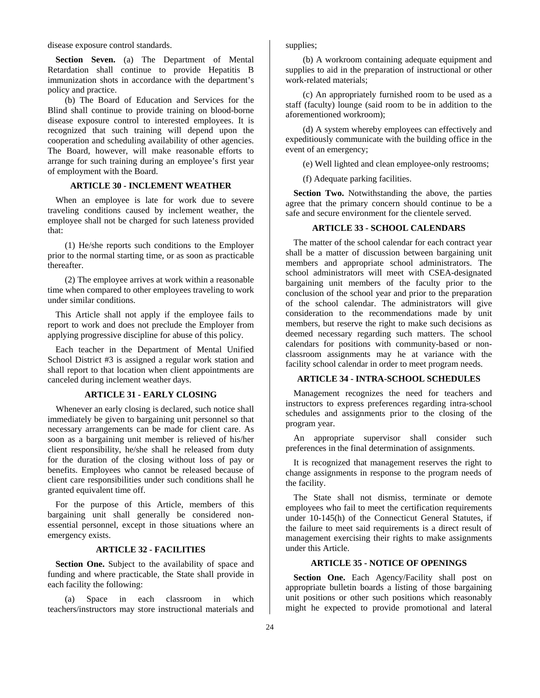disease exposure control standards.

**Section Seven.** (a) The Department of Mental Retardation shall continue to provide Hepatitis B immunization shots in accordance with the department's policy and practice.

(b) The Board of Education and Services for the Blind shall continue to provide training on blood-borne disease exposure control to interested employees. It is recognized that such training will depend upon the cooperation and scheduling availability of other agencies. The Board, however, will make reasonable efforts to arrange for such training during an employee's first year of employment with the Board.

# **ARTICLE 30 - INCLEMENT WEATHER**

When an employee is late for work due to severe traveling conditions caused by inclement weather, the employee shall not be charged for such lateness provided that:

(1) He/she reports such conditions to the Employer prior to the normal starting time, or as soon as practicable thereafter.

(2) The employee arrives at work within a reasonable time when compared to other employees traveling to work under similar conditions.

This Article shall not apply if the employee fails to report to work and does not preclude the Employer from applying progressive discipline for abuse of this policy.

Each teacher in the Department of Mental Unified School District #3 is assigned a regular work station and shall report to that location when client appointments are canceled during inclement weather days.

### **ARTICLE 31 - EARLY CLOSING**

Whenever an early closing is declared, such notice shall immediately be given to bargaining unit personnel so that necessary arrangements can be made for client care. As soon as a bargaining unit member is relieved of his/her client responsibility, he/she shall he released from duty for the duration of the closing without loss of pay or benefits. Employees who cannot be released because of client care responsibilities under such conditions shall he granted equivalent time off.

For the purpose of this Article, members of this bargaining unit shall generally be considered nonessential personnel, except in those situations where an emergency exists.

### **ARTICLE 32 - FACILITIES**

**Section One.** Subject to the availability of space and funding and where practicable, the State shall provide in each facility the following:

(a) Space in each classroom in which teachers/instructors may store instructional materials and supplies;

(b) A workroom containing adequate equipment and supplies to aid in the preparation of instructional or other work-related materials;

(c) An appropriately furnished room to be used as a staff (faculty) lounge (said room to be in addition to the aforementioned workroom);

(d) A system whereby employees can effectively and expeditiously communicate with the building office in the event of an emergency;

(e) Well lighted and clean employee-only restrooms;

(f) Adequate parking facilities.

**Section Two.** Notwithstanding the above, the parties agree that the primary concern should continue to be a safe and secure environment for the clientele served.

# **ARTICLE 33 - SCHOOL CALENDARS**

The matter of the school calendar for each contract year shall be a matter of discussion between bargaining unit members and appropriate school administrators. The school administrators will meet with CSEA-designated bargaining unit members of the faculty prior to the conclusion of the school year and prior to the preparation of the school calendar. The administrators will give consideration to the recommendations made by unit members, but reserve the right to make such decisions as deemed necessary regarding such matters. The school calendars for positions with community-based or nonclassroom assignments may he at variance with the facility school calendar in order to meet program needs.

# **ARTICLE 34 - INTRA-SCHOOL SCHEDULES**

Management recognizes the need for teachers and instructors to express preferences regarding intra-school schedules and assignments prior to the closing of the program year.

An appropriate supervisor shall consider such preferences in the final determination of assignments.

It is recognized that management reserves the right to change assignments in response to the program needs of the facility.

The State shall not dismiss, terminate or demote employees who fail to meet the certification requirements under 10-145(h) of the Connecticut General Statutes, if the failure to meet said requirements is a direct result of management exercising their rights to make assignments under this Article.

# **ARTICLE 35 - NOTICE OF OPENINGS**

**Section One.** Each Agency/Facility shall post on appropriate bulletin boards a listing of those bargaining unit positions or other such positions which reasonably might he expected to provide promotional and lateral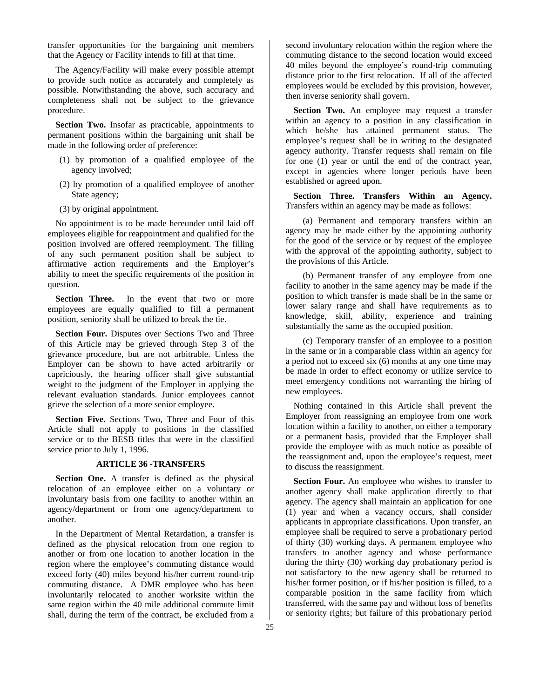transfer opportunities for the bargaining unit members that the Agency or Facility intends to fill at that time.

The Agency/Facility will make every possible attempt to provide such notice as accurately and completely as possible. Notwithstanding the above, such accuracy and completeness shall not be subject to the grievance procedure.

**Section Two.** Insofar as practicable, appointments to permanent positions within the bargaining unit shall be made in the following order of preference:

- (1) by promotion of a qualified employee of the agency involved;
- (2) by promotion of a qualified employee of another State agency;
- (3) by original appointment.

No appointment is to be made hereunder until laid off employees eligible for reappointment and qualified for the position involved are offered reemployment. The filling of any such permanent position shall be subject to affirmative action requirements and the Employer's ability to meet the specific requirements of the position in question.

**Section Three.** In the event that two or more employees are equally qualified to fill a permanent position, seniority shall be utilized to break the tie.

**Section Four.** Disputes over Sections Two and Three of this Article may be grieved through Step 3 of the grievance procedure, but are not arbitrable. Unless the Employer can be shown to have acted arbitrarily or capriciously, the hearing officer shall give substantial weight to the judgment of the Employer in applying the relevant evaluation standards. Junior employees cannot grieve the selection of a more senior employee.

**Section Five.** Sections Two, Three and Four of this Article shall not apply to positions in the classified service or to the BESB titles that were in the classified service prior to July 1, 1996.

# **ARTICLE 36 -TRANSFERS**

**Section One.** A transfer is defined as the physical relocation of an employee either on a voluntary or involuntary basis from one facility to another within an agency/department or from one agency/department to another.

In the Department of Mental Retardation, a transfer is defined as the physical relocation from one region to another or from one location to another location in the region where the employee's commuting distance would exceed forty (40) miles beyond his/her current round-trip commuting distance. A DMR employee who has been involuntarily relocated to another worksite within the same region within the 40 mile additional commute limit shall, during the term of the contract, be excluded from a

second involuntary relocation within the region where the commuting distance to the second location would exceed 40 miles beyond the employee's round-trip commuting distance prior to the first relocation. If all of the affected employees would be excluded by this provision, however, then inverse seniority shall govern.

**Section Two.** An employee may request a transfer within an agency to a position in any classification in which he/she has attained permanent status. The employee's request shall be in writing to the designated agency authority. Transfer requests shall remain on file for one (1) year or until the end of the contract year, except in agencies where longer periods have been established or agreed upon.

**Section Three. Transfers Within an Agency.**  Transfers within an agency may be made as follows:

(a) Permanent and temporary transfers within an agency may be made either by the appointing authority for the good of the service or by request of the employee with the approval of the appointing authority, subject to the provisions of this Article.

(b) Permanent transfer of any employee from one facility to another in the same agency may be made if the position to which transfer is made shall be in the same or lower salary range and shall have requirements as to knowledge, skill, ability, experience and training substantially the same as the occupied position.

(c) Temporary transfer of an employee to a position in the same or in a comparable class within an agency for a period not to exceed six (6) months at any one time may be made in order to effect economy or utilize service to meet emergency conditions not warranting the hiring of new employees.

Nothing contained in this Article shall prevent the Employer from reassigning an employee from one work location within a facility to another, on either a temporary or a permanent basis, provided that the Employer shall provide the employee with as much notice as possible of the reassignment and, upon the employee's request, meet to discuss the reassignment.

**Section Four.** An employee who wishes to transfer to another agency shall make application directly to that agency. The agency shall maintain an application for one (1) year and when a vacancy occurs, shall consider applicants in appropriate classifications. Upon transfer, an employee shall be required to serve a probationary period of thirty (30) working days. A permanent employee who transfers to another agency and whose performance during the thirty (30) working day probationary period is not satisfactory to the new agency shall be returned to his/her former position, or if his/her position is filled, to a comparable position in the same facility from which transferred, with the same pay and without loss of benefits or seniority rights; but failure of this probationary period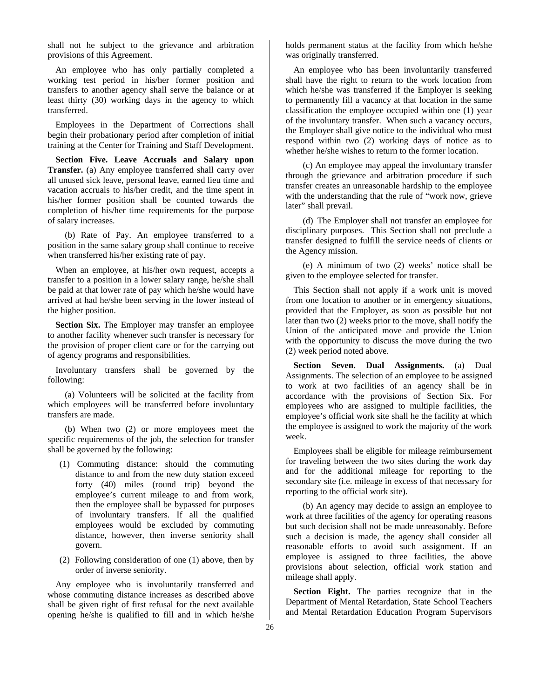shall not he subject to the grievance and arbitration provisions of this Agreement.

An employee who has only partially completed a working test period in his/her former position and transfers to another agency shall serve the balance or at least thirty (30) working days in the agency to which transferred.

Employees in the Department of Corrections shall begin their probationary period after completion of initial training at the Center for Training and Staff Development.

**Section Five. Leave Accruals and Salary upon Transfer.** (a) Any employee transferred shall carry over all unused sick leave, personal leave, earned lieu time and vacation accruals to his/her credit, and the time spent in his/her former position shall be counted towards the completion of his/her time requirements for the purpose of salary increases.

(b) Rate of Pay. An employee transferred to a position in the same salary group shall continue to receive when transferred his/her existing rate of pay.

When an employee, at his/her own request, accepts a transfer to a position in a lower salary range, he/she shall be paid at that lower rate of pay which he/she would have arrived at had he/she been serving in the lower instead of the higher position.

**Section Six.** The Employer may transfer an employee to another facility whenever such transfer is necessary for the provision of proper client care or for the carrying out of agency programs and responsibilities.

Involuntary transfers shall be governed by the following:

(a) Volunteers will be solicited at the facility from which employees will be transferred before involuntary transfers are made.

(b) When two (2) or more employees meet the specific requirements of the job, the selection for transfer shall be governed by the following:

- (1) Commuting distance: should the commuting distance to and from the new duty station exceed forty (40) miles (round trip) beyond the employee's current mileage to and from work, then the employee shall be bypassed for purposes of involuntary transfers. If all the qualified employees would be excluded by commuting distance, however, then inverse seniority shall govern.
- (2) Following consideration of one (1) above, then by order of inverse seniority.

Any employee who is involuntarily transferred and whose commuting distance increases as described above shall be given right of first refusal for the next available opening he/she is qualified to fill and in which he/she holds permanent status at the facility from which he/she was originally transferred.

An employee who has been involuntarily transferred shall have the right to return to the work location from which he/she was transferred if the Employer is seeking to permanently fill a vacancy at that location in the same classification the employee occupied within one (1) year of the involuntary transfer. When such a vacancy occurs, the Employer shall give notice to the individual who must respond within two (2) working days of notice as to whether he/she wishes to return to the former location.

(c) An employee may appeal the involuntary transfer through the grievance and arbitration procedure if such transfer creates an unreasonable hardship to the employee with the understanding that the rule of "work now, grieve later" shall prevail.

(d) The Employer shall not transfer an employee for disciplinary purposes. This Section shall not preclude a transfer designed to fulfill the service needs of clients or the Agency mission.

(e) A minimum of two (2) weeks' notice shall be given to the employee selected for transfer.

This Section shall not apply if a work unit is moved from one location to another or in emergency situations, provided that the Employer, as soon as possible but not later than two (2) weeks prior to the move, shall notify the Union of the anticipated move and provide the Union with the opportunity to discuss the move during the two (2) week period noted above.

**Section Seven. Dual Assignments.** (a) Dual Assignments. The selection of an employee to be assigned to work at two facilities of an agency shall be in accordance with the provisions of Section Six. For employees who are assigned to multiple facilities, the employee's official work site shall he the facility at which the employee is assigned to work the majority of the work week.

Employees shall be eligible for mileage reimbursement for traveling between the two sites during the work day and for the additional mileage for reporting to the secondary site (i.e. mileage in excess of that necessary for reporting to the official work site).

(b) An agency may decide to assign an employee to work at three facilities of the agency for operating reasons but such decision shall not be made unreasonably. Before such a decision is made, the agency shall consider all reasonable efforts to avoid such assignment. If an employee is assigned to three facilities, the above provisions about selection, official work station and mileage shall apply.

**Section Eight.** The parties recognize that in the Department of Mental Retardation, State School Teachers and Mental Retardation Education Program Supervisors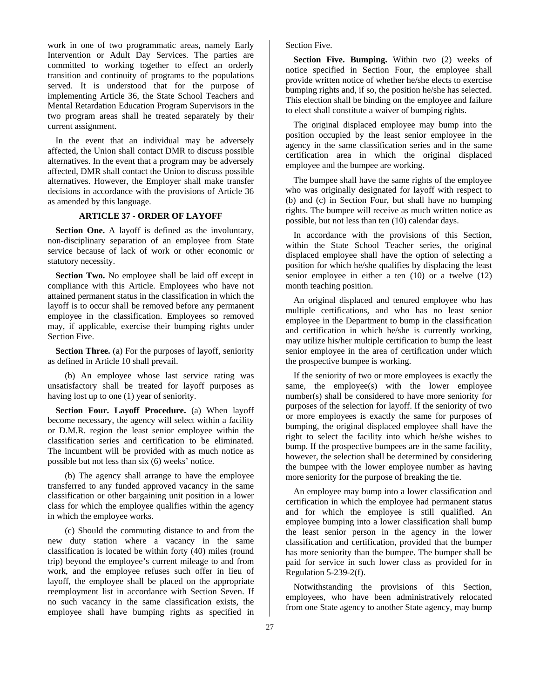work in one of two programmatic areas, namely Early Intervention or Adult Day Services. The parties are committed to working together to effect an orderly transition and continuity of programs to the populations served. It is understood that for the purpose of implementing Article 36, the State School Teachers and Mental Retardation Education Program Supervisors in the two program areas shall he treated separately by their current assignment.

In the event that an individual may be adversely affected, the Union shall contact DMR to discuss possible alternatives. In the event that a program may be adversely affected, DMR shall contact the Union to discuss possible alternatives. However, the Employer shall make transfer decisions in accordance with the provisions of Article 36 as amended by this language.

# **ARTICLE 37 - ORDER OF LAYOFF**

**Section One.** A layoff is defined as the involuntary, non-disciplinary separation of an employee from State service because of lack of work or other economic or statutory necessity.

**Section Two.** No employee shall be laid off except in compliance with this Article. Employees who have not attained permanent status in the classification in which the layoff is to occur shall be removed before any permanent employee in the classification. Employees so removed may, if applicable, exercise their bumping rights under Section Five.

**Section Three.** (a) For the purposes of layoff, seniority as defined in Article 10 shall prevail.

(b) An employee whose last service rating was unsatisfactory shall be treated for layoff purposes as having lost up to one (1) year of seniority.

**Section Four. Layoff Procedure.** (a) When layoff become necessary, the agency will select within a facility or D.M.R. region the least senior employee within the classification series and certification to be eliminated. The incumbent will be provided with as much notice as possible but not less than six (6) weeks' notice.

(b) The agency shall arrange to have the employee transferred to any funded approved vacancy in the same classification or other bargaining unit position in a lower class for which the employee qualifies within the agency in which the employee works.

(c) Should the commuting distance to and from the new duty station where a vacancy in the same classification is located be within forty (40) miles (round trip) beyond the employee's current mileage to and from work, and the employee refuses such offer in lieu of layoff, the employee shall be placed on the appropriate reemployment list in accordance with Section Seven. If no such vacancy in the same classification exists, the employee shall have bumping rights as specified in

# Section Five.

**Section Five. Bumping.** Within two (2) weeks of notice specified in Section Four, the employee shall provide written notice of whether he/she elects to exercise bumping rights and, if so, the position he/she has selected. This election shall be binding on the employee and failure to elect shall constitute a waiver of bumping rights.

The original displaced employee may bump into the position occupied by the least senior employee in the agency in the same classification series and in the same certification area in which the original displaced employee and the bumpee are working.

The bumpee shall have the same rights of the employee who was originally designated for layoff with respect to (b) and (c) in Section Four, but shall have no humping rights. The bumpee will receive as much written notice as possible, but not less than ten (10) calendar days.

In accordance with the provisions of this Section, within the State School Teacher series, the original displaced employee shall have the option of selecting a position for which he/she qualifies by displacing the least senior employee in either a ten (10) or a twelve (12) month teaching position.

An original displaced and tenured employee who has multiple certifications, and who has no least senior employee in the Department to bump in the classification and certification in which he/she is currently working, may utilize his/her multiple certification to bump the least senior employee in the area of certification under which the prospective bumpee is working.

If the seniority of two or more employees is exactly the same, the employee(s) with the lower employee number(s) shall be considered to have more seniority for purposes of the selection for layoff. If the seniority of two or more employees is exactly the same for purposes of bumping, the original displaced employee shall have the right to select the facility into which he/she wishes to bump. If the prospective bumpees are in the same facility, however, the selection shall be determined by considering the bumpee with the lower employee number as having more seniority for the purpose of breaking the tie.

An employee may bump into a lower classification and certification in which the employee had permanent status and for which the employee is still qualified. An employee bumping into a lower classification shall bump the least senior person in the agency in the lower classification and certification, provided that the bumper has more seniority than the bumpee. The bumper shall be paid for service in such lower class as provided for in Regulation 5-239-2(f).

Notwithstanding the provisions of this Section, employees, who have been administratively relocated from one State agency to another State agency, may bump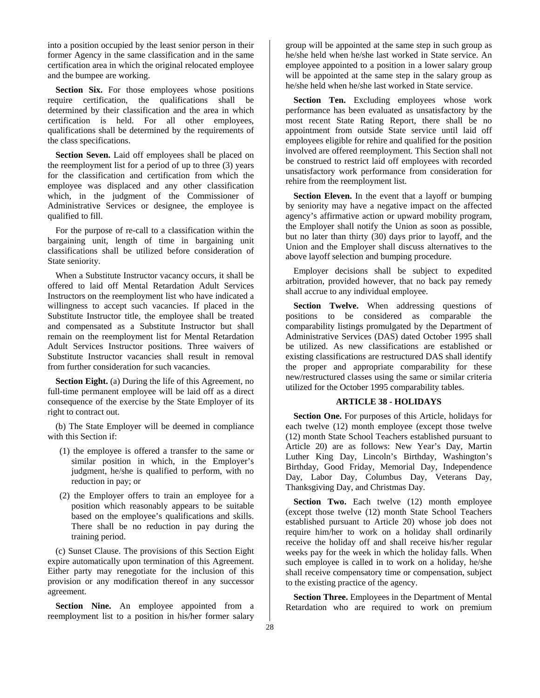into a position occupied by the least senior person in their former Agency in the same classification and in the same certification area in which the original relocated employee and the bumpee are working.

**Section Six.** For those employees whose positions require certification, the qualifications shall be determined by their classification and the area in which certification is held. For all other employees, qualifications shall be determined by the requirements of the class specifications.

**Section Seven.** Laid off employees shall be placed on the reemployment list for a period of up to three (3) years for the classification and certification from which the employee was displaced and any other classification which, in the judgment of the Commissioner of Administrative Services or designee, the employee is qualified to fill.

For the purpose of re-call to a classification within the bargaining unit, length of time in bargaining unit classifications shall be utilized before consideration of State seniority.

When a Substitute Instructor vacancy occurs, it shall be offered to laid off Mental Retardation Adult Services Instructors on the reemployment list who have indicated a willingness to accept such vacancies. If placed in the Substitute Instructor title, the employee shall be treated and compensated as a Substitute Instructor but shall remain on the reemployment list for Mental Retardation Adult Services Instructor positions. Three waivers of Substitute Instructor vacancies shall result in removal from further consideration for such vacancies.

**Section Eight.** (a) During the life of this Agreement, no full-time permanent employee will be laid off as a direct consequence of the exercise by the State Employer of its right to contract out.

(b) The State Employer will be deemed in compliance with this Section if:

- (1) the employee is offered a transfer to the same or similar position in which, in the Employer's judgment, he/she is qualified to perform, with no reduction in pay; or
- (2) the Employer offers to train an employee for a position which reasonably appears to be suitable based on the employee's qualifications and skills. There shall be no reduction in pay during the training period.

(c) Sunset Clause. The provisions of this Section Eight expire automatically upon termination of this Agreement. Either party may renegotiate for the inclusion of this provision or any modification thereof in any successor agreement.

Section Nine. An employee appointed from a reemployment list to a position in his/her former salary

group will be appointed at the same step in such group as he/she held when he/she last worked in State service. An employee appointed to a position in a lower salary group will be appointed at the same step in the salary group as he/she held when he/she last worked in State service.

**Section Ten.** Excluding employees whose work performance has been evaluated as unsatisfactory by the most recent State Rating Report, there shall be no appointment from outside State service until laid off employees eligible for rehire and qualified for the position involved are offered reemployment. This Section shall not be construed to restrict laid off employees with recorded unsatisfactory work performance from consideration for rehire from the reemployment list.

**Section Eleven.** In the event that a layoff or bumping by seniority may have a negative impact on the affected agency's affirmative action or upward mobility program, the Employer shall notify the Union as soon as possible, but no later than thirty (30) days prior to layoff, and the Union and the Employer shall discuss alternatives to the above layoff selection and bumping procedure.

Employer decisions shall be subject to expedited arbitration, provided however, that no back pay remedy shall accrue to any individual employee.

**Section Twelve.** When addressing questions of positions to be considered as comparable the comparability listings promulgated by the Department of Administrative Services (DAS) dated October 1995 shall be utilized. As new classifications are established or existing classifications are restructured DAS shall identify the proper and appropriate comparability for these new/restructured classes using the same or similar criteria utilized for the October 1995 comparability tables.

# **ARTICLE 38 - HOLIDAYS**

**Section One.** For purposes of this Article, holidays for each twelve (12) month employee (except those twelve (12) month State School Teachers established pursuant to Article 20) are as follows: New Year's Day, Martin Luther King Day, Lincoln's Birthday, Washington's Birthday, Good Friday, Memorial Day, Independence Day, Labor Day, Columbus Day, Veterans Day, Thanksgiving Day, and Christmas Day.

**Section Two.** Each twelve (12) month employee (except those twelve (12) month State School Teachers established pursuant to Article 20) whose job does not require him/her to work on a holiday shall ordinarily receive the holiday off and shall receive his/her regular weeks pay for the week in which the holiday falls. When such employee is called in to work on a holiday, he/she shall receive compensatory time or compensation, subject to the existing practice of the agency.

**Section Three.** Employees in the Department of Mental Retardation who are required to work on premium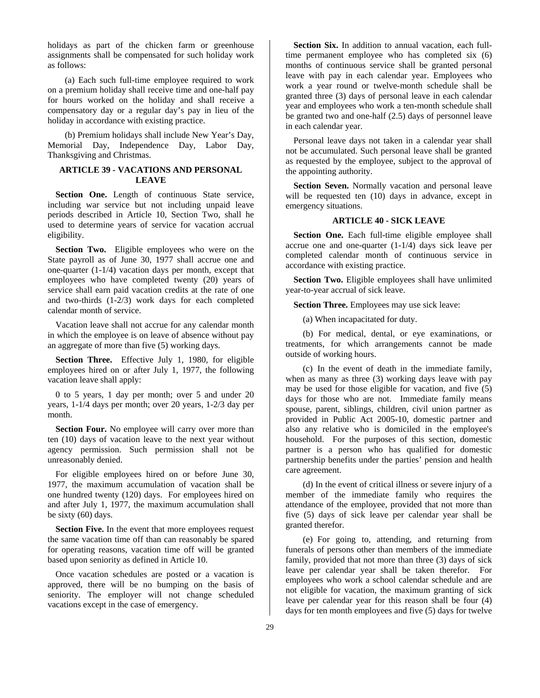holidays as part of the chicken farm or greenhouse assignments shall be compensated for such holiday work as follows:

(a) Each such full-time employee required to work on a premium holiday shall receive time and one-half pay for hours worked on the holiday and shall receive a compensatory day or a regular day's pay in lieu of the holiday in accordance with existing practice.

(b) Premium holidays shall include New Year's Day, Memorial Day, Independence Day, Labor Day, Thanksgiving and Christmas.

# **ARTICLE 39 - VACATIONS AND PERSONAL LEAVE**

Section One. Length of continuous State service, including war service but not including unpaid leave periods described in Article 10, Section Two, shall he used to determine years of service for vacation accrual eligibility.

**Section Two.** Eligible employees who were on the State payroll as of June 30, 1977 shall accrue one and one-quarter (1-1/4) vacation days per month, except that employees who have completed twenty (20) years of service shall earn paid vacation credits at the rate of one and two-thirds (1-2/3) work days for each completed calendar month of service.

Vacation leave shall not accrue for any calendar month in which the employee is on leave of absence without pay an aggregate of more than five (5) working days.

**Section Three.** Effective July 1, 1980, for eligible employees hired on or after July 1, 1977, the following vacation leave shall apply:

0 to 5 years, 1 day per month; over 5 and under 20 years, 1-1/4 days per month; over 20 years, 1-2/3 day per month.

**Section Four.** No employee will carry over more than ten (10) days of vacation leave to the next year without agency permission. Such permission shall not be unreasonably denied.

For eligible employees hired on or before June 30, 1977, the maximum accumulation of vacation shall be one hundred twenty (120) days. For employees hired on and after July 1, 1977, the maximum accumulation shall be sixty (60) days.

**Section Five.** In the event that more employees request the same vacation time off than can reasonably be spared for operating reasons, vacation time off will be granted based upon seniority as defined in Article 10.

Once vacation schedules are posted or a vacation is approved, there will be no bumping on the basis of seniority. The employer will not change scheduled vacations except in the case of emergency.

**Section Six.** In addition to annual vacation, each fulltime permanent employee who has completed six (6) months of continuous service shall be granted personal leave with pay in each calendar year. Employees who work a year round or twelve-month schedule shall be granted three (3) days of personal leave in each calendar year and employees who work a ten-month schedule shall be granted two and one-half (2.5) days of personnel leave in each calendar year.

Personal leave days not taken in a calendar year shall not be accumulated. Such personal leave shall be granted as requested by the employee, subject to the approval of the appointing authority.

**Section Seven.** Normally vacation and personal leave will be requested ten (10) days in advance, except in emergency situations.

# **ARTICLE 40 - SICK LEAVE**

**Section One.** Each full-time eligible employee shall accrue one and one-quarter (1-1/4) days sick leave per completed calendar month of continuous service in accordance with existing practice.

**Section Two.** Eligible employees shall have unlimited year-to-year accrual of sick leave.

**Section Three.** Employees may use sick leave:

(a) When incapacitated for duty.

(b) For medical, dental, or eye examinations, or treatments, for which arrangements cannot be made outside of working hours.

(c) In the event of death in the immediate family, when as many as three (3) working days leave with pay may be used for those eligible for vacation, and five (5) days for those who are not. Immediate family means spouse, parent, siblings, children, civil union partner as provided in Public Act 2005-10, domestic partner and also any relative who is domiciled in the employee's household. For the purposes of this section, domestic partner is a person who has qualified for domestic partnership benefits under the parties' pension and health care agreement.

(d) In the event of critical illness or severe injury of a member of the immediate family who requires the attendance of the employee, provided that not more than five (5) days of sick leave per calendar year shall be granted therefor.

(e) For going to, attending, and returning from funerals of persons other than members of the immediate family, provided that not more than three (3) days of sick leave per calendar year shall be taken therefor. For employees who work a school calendar schedule and are not eligible for vacation, the maximum granting of sick leave per calendar year for this reason shall be four (4) days for ten month employees and five (5) days for twelve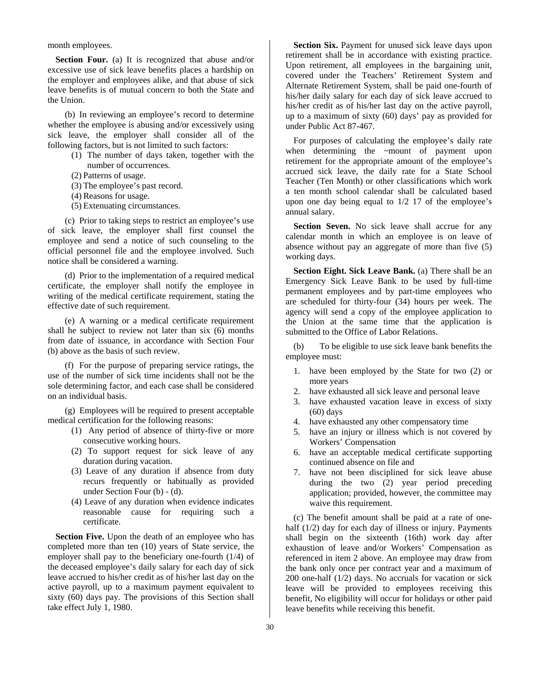month employees.

**Section Four.** (a) It is recognized that abuse and/or excessive use of sick leave benefits places a hardship on the employer and employees alike, and that abuse of sick leave benefits is of mutual concern to both the State and the Union.

(b) In reviewing an employee's record to determine whether the employee is abusing and/or excessively using sick leave, the employer shall consider all of the following factors, but is not limited to such factors:

(1) The number of days taken, together with the number of occurrences.

- (2) Patterns of usage.
- (3) The employee's past record.
- (4) Reasons for usage.
- (5) Extenuating circumstances.

(c) Prior to taking steps to restrict an employee's use of sick leave, the employer shall first counsel the employee and send a notice of such counseling to the official personnel file and the employee involved. Such notice shall be considered a warning.

(d) Prior to the implementation of a required medical certificate, the employer shall notify the employee in writing of the medical certificate requirement, stating the effective date of such requirement.

(e) A warning or a medical certificate requirement shall he subject to review not later than six (6) months from date of issuance, in accordance with Section Four (b) above as the basis of such review.

(f) For the purpose of preparing service ratings, the use of the number of sick time incidents shall not be the sole determining factor, and each case shall be considered on an individual basis.

(g) Employees will be required to present acceptable medical certification for the following reasons:

- (1) Any period of absence of thirty-five or more consecutive working hours.
- (2) To support request for sick leave of any duration during vacation.
- (3) Leave of any duration if absence from duty recurs frequently or habitually as provided under Section Four (b) - (d).
- (4) Leave of any duration when evidence indicates reasonable cause for requiring such a certificate.

**Section Five.** Upon the death of an employee who has completed more than ten (10) years of State service, the employer shall pay to the beneficiary one-fourth (1/4) of the deceased employee's daily salary for each day of sick leave accrued to his/her credit as of his/her last day on the active payroll, up to a maximum payment equivalent to sixty (60) days pay. The provisions of this Section shall take effect July 1, 1980.

**Section Six.** Payment for unused sick leave days upon retirement shall be in accordance with existing practice. Upon retirement, all employees in the bargaining unit, covered under the Teachers' Retirement System and Alternate Retirement System, shall be paid one-fourth of his/her daily salary for each day of sick leave accrued to his/her credit as of his/her last day on the active payroll, up to a maximum of sixty (60) days' pay as provided for under Public Act 87-467.

For purposes of calculating the employee's daily rate when determining the ~mount of payment upon retirement for the appropriate amount of the employee's accrued sick leave, the daily rate for a State School Teacher (Ten Month) or other classifications which work a ten month school calendar shall be calculated based upon one day being equal to 1/2 17 of the employee's annual salary.

**Section Seven.** No sick leave shall accrue for any calendar month in which an employee is on leave of absence without pay an aggregate of more than five (5) working days.

Section Eight. Sick Leave Bank. (a) There shall be an Emergency Sick Leave Bank to be used by full-time permanent employees and by part-time employees who are scheduled for thirty-four (34) hours per week. The agency will send a copy of the employee application to the Union at the same time that the application is submitted to the Office of Labor Relations.

(b) To be eligible to use sick leave bank benefits the employee must:

- 1. have been employed by the State for two (2) or more years
- 2. have exhausted all sick leave and personal leave
- 3. have exhausted vacation leave in excess of sixty (60) days
- 4. have exhausted any other compensatory time
- 5. have an injury or illness which is not covered by Workers' Compensation
- 6. have an acceptable medical certificate supporting continued absence on file and
- 7. have not been disciplined for sick leave abuse during the two (2) year period preceding application; provided, however, the committee may waive this requirement.

(c) The benefit amount shall be paid at a rate of onehalf (1/2) day for each day of illness or injury. Payments shall begin on the sixteenth (16th) work day after exhaustion of leave and/or Workers' Compensation as referenced in item 2 above. An employee may draw from the bank only once per contract year and a maximum of 200 one-half (1/2) days. No accruals for vacation or sick leave will be provided to employees receiving this benefit, No eligibility will occur for holidays or other paid leave benefits while receiving this benefit.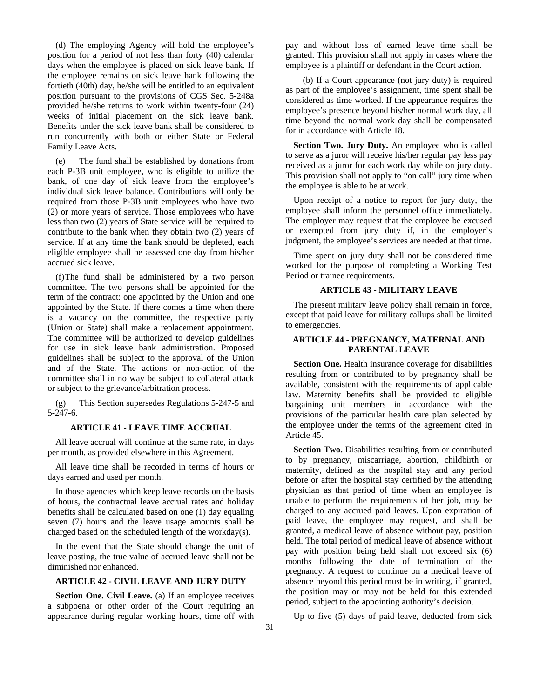(d) The employing Agency will hold the employee's position for a period of not less than forty (40) calendar days when the employee is placed on sick leave bank. If the employee remains on sick leave hank following the fortieth (40th) day, he/she will be entitled to an equivalent position pursuant to the provisions of CGS Sec. 5-248a provided he/she returns to work within twenty-four (24) weeks of initial placement on the sick leave bank. Benefits under the sick leave bank shall be considered to run concurrently with both or either State or Federal Family Leave Acts.

(e) The fund shall be established by donations from each P-3B unit employee, who is eligible to utilize the bank, of one day of sick leave from the employee's individual sick leave balance. Contributions will only be required from those P-3B unit employees who have two (2) or more years of service. Those employees who have less than two (2) years of State service will be required to contribute to the bank when they obtain two (2) years of service. If at any time the bank should be depleted, each eligible employee shall be assessed one day from his/her accrued sick leave.

(f) The fund shall be administered by a two person committee. The two persons shall be appointed for the term of the contract: one appointed by the Union and one appointed by the State. If there comes a time when there is a vacancy on the committee, the respective party (Union or State) shall make a replacement appointment. The committee will be authorized to develop guidelines for use in sick leave bank administration. Proposed guidelines shall be subject to the approval of the Union and of the State. The actions or non-action of the committee shall in no way be subject to collateral attack or subject to the grievance/arbitration process.

(g) This Section supersedes Regulations 5-247-5 and 5-247-6.

### **ARTICLE 41 - LEAVE TIME ACCRUAL**

All leave accrual will continue at the same rate, in days per month, as provided elsewhere in this Agreement.

All leave time shall be recorded in terms of hours or days earned and used per month.

In those agencies which keep leave records on the basis of hours, the contractual leave accrual rates and holiday benefits shall be calculated based on one (1) day equaling seven (7) hours and the leave usage amounts shall be charged based on the scheduled length of the workday(s).

In the event that the State should change the unit of leave posting, the true value of accrued leave shall not be diminished nor enhanced.

# **ARTICLE 42 - CIVIL LEAVE AND JURY DUTY**

**Section One. Civil Leave.** (a) If an employee receives a subpoena or other order of the Court requiring an appearance during regular working hours, time off with pay and without loss of earned leave time shall be granted. This provision shall not apply in cases where the employee is a plaintiff or defendant in the Court action.

(b) If a Court appearance (not jury duty) is required as part of the employee's assignment, time spent shall be considered as time worked. If the appearance requires the employee's presence beyond his/her normal work day, all time beyond the normal work day shall be compensated for in accordance with Article 18.

**Section Two. Jury Duty.** An employee who is called to serve as a juror will receive his/her regular pay less pay received as a juror for each work day while on jury duty. This provision shall not apply to "on call" jury time when the employee is able to be at work.

Upon receipt of a notice to report for jury duty, the employee shall inform the personnel office immediately. The employer may request that the employee be excused or exempted from jury duty if, in the employer's judgment, the employee's services are needed at that time.

Time spent on jury duty shall not be considered time worked for the purpose of completing a Working Test Period or trainee requirements.

# **ARTICLE 43 - MILITARY LEAVE**

The present military leave policy shall remain in force, except that paid leave for military callups shall be limited to emergencies.

# **ARTICLE 44 - PREGNANCY, MATERNAL AND PARENTAL LEAVE**

**Section One.** Health insurance coverage for disabilities resulting from or contributed to by pregnancy shall be available, consistent with the requirements of applicable law. Maternity benefits shall be provided to eligible bargaining unit members in accordance with the provisions of the particular health care plan selected by the employee under the terms of the agreement cited in Article 45.

**Section Two.** Disabilities resulting from or contributed to by pregnancy, miscarriage, abortion, childbirth or maternity, defined as the hospital stay and any period before or after the hospital stay certified by the attending physician as that period of time when an employee is unable to perform the requirements of her job, may be charged to any accrued paid leaves. Upon expiration of paid leave, the employee may request, and shall be granted, a medical leave of absence without pay, position held. The total period of medical leave of absence without pay with position being held shall not exceed six (6) months following the date of termination of the pregnancy. A request to continue on a medical leave of absence beyond this period must be in writing, if granted, the position may or may not be held for this extended period, subject to the appointing authority's decision.

Up to five (5) days of paid leave, deducted from sick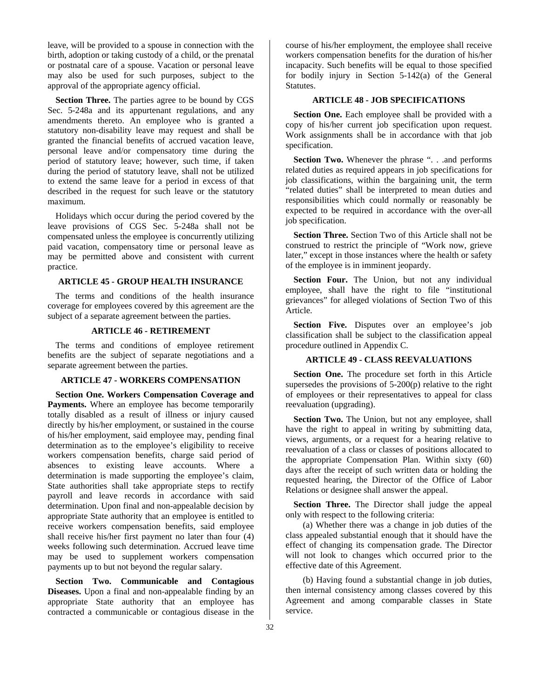leave, will be provided to a spouse in connection with the birth, adoption or taking custody of a child, or the prenatal or postnatal care of a spouse. Vacation or personal leave may also be used for such purposes, subject to the approval of the appropriate agency official.

**Section Three.** The parties agree to be bound by CGS Sec. 5-248a and its appurtenant regulations, and any amendments thereto. An employee who is granted a statutory non-disability leave may request and shall be granted the financial benefits of accrued vacation leave, personal leave and/or compensatory time during the period of statutory leave; however, such time, if taken during the period of statutory leave, shall not be utilized to extend the same leave for a period in excess of that described in the request for such leave or the statutory maximum.

Holidays which occur during the period covered by the leave provisions of CGS Sec. 5-248a shall not be compensated unless the employee is concurrently utilizing paid vacation, compensatory time or personal leave as may be permitted above and consistent with current practice.

# **ARTICLE 45** *-* **GROUP HEALTH INSURANCE**

The terms and conditions of the health insurance coverage for employees covered by this agreement are the subject of a separate agreement between the parties.

# **ARTICLE 46 - RETIREMENT**

The terms and conditions of employee retirement benefits are the subject of separate negotiations and a separate agreement between the parties.

# **ARTICLE 47 - WORKERS COMPENSATION**

**Section One. Workers Compensation Coverage and Payments.** Where an employee has become temporarily totally disabled as a result of illness or injury caused directly by his/her employment, or sustained in the course of his/her employment, said employee may, pending final determination as to the employee's eligibility to receive workers compensation benefits, charge said period of absences to existing leave accounts. Where a determination is made supporting the employee's claim, State authorities shall take appropriate steps to rectify payroll and leave records in accordance with said determination. Upon final and non-appealable decision by appropriate State authority that an employee is entitled to receive workers compensation benefits, said employee shall receive his/her first payment no later than four (4) weeks following such determination. Accrued leave time may be used to supplement workers compensation payments up to but not beyond the regular salary.

**Section Two. Communicable and Contagious Diseases.** Upon a final and non-appealable finding by an appropriate State authority that an employee has contracted a communicable or contagious disease in the

course of his/her employment, the employee shall receive workers compensation benefits for the duration of his/her incapacity. Such benefits will be equal to those specified for bodily injury in Section 5-142(a) of the General Statutes.

### **ARTICLE 48 - JOB SPECIFICATIONS**

**Section One.** Each employee shall be provided with a copy of his/her current job specification upon request. Work assignments shall be in accordance with that job specification.

**Section Two.** Whenever the phrase ". . .and performs related duties as required appears in job specifications for job classifications, within the bargaining unit, the term "related duties" shall be interpreted to mean duties and responsibilities which could normally or reasonably be expected to be required in accordance with the over-all job specification.

**Section Three.** Section Two of this Article shall not be construed to restrict the principle of "Work now, grieve later," except in those instances where the health or safety of the employee is in imminent jeopardy.

Section Four. The Union, but not any individual employee, shall have the right to file "institutional grievances" for alleged violations of Section Two of this Article.

Section Five. Disputes over an employee's job classification shall be subject to the classification appeal procedure outlined in Appendix C.

### **ARTICLE 49 - CLASS REEVALUATIONS**

**Section One.** The procedure set forth in this Article supersedes the provisions of  $5-200(p)$  relative to the right of employees or their representatives to appeal for class reevaluation (upgrading).

**Section Two.** The Union, but not any employee, shall have the right to appeal in writing by submitting data, views, arguments, or a request for a hearing relative to reevaluation of a class or classes of positions allocated to the appropriate Compensation Plan. Within sixty (60) days after the receipt of such written data or holding the requested hearing, the Director of the Office of Labor Relations or designee shall answer the appeal.

**Section Three.** The Director shall judge the appeal only with respect to the following criteria:

(a) Whether there was a change in job duties of the class appealed substantial enough that it should have the effect of changing its compensation grade. The Director will not look to changes which occurred prior to the effective date of this Agreement.

(b) Having found a substantial change in job duties, then internal consistency among classes covered by this Agreement and among comparable classes in State service.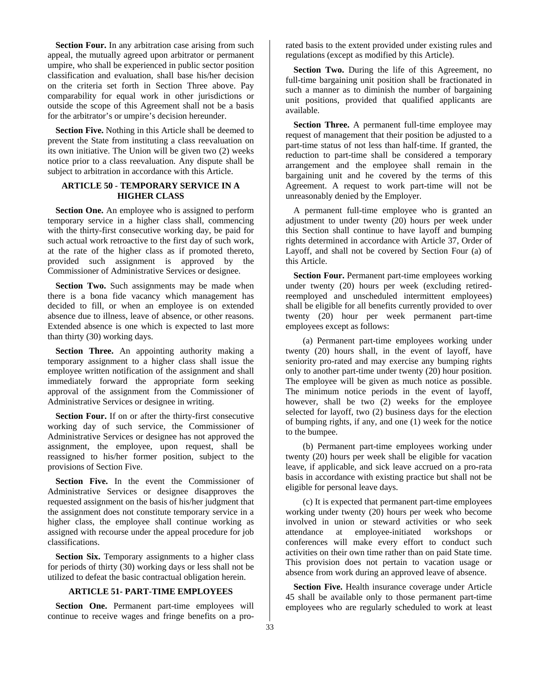**Section Four.** In any arbitration case arising from such appeal, the mutually agreed upon arbitrator or permanent umpire, who shall be experienced in public sector position classification and evaluation, shall base his/her decision on the criteria set forth in Section Three above. Pay comparability for equal work in other jurisdictions or outside the scope of this Agreement shall not be a basis for the arbitrator's or umpire's decision hereunder.

**Section Five.** Nothing in this Article shall be deemed to prevent the State from instituting a class reevaluation on its own initiative. The Union will be given two (2) weeks notice prior to a class reevaluation. Any dispute shall be subject to arbitration in accordance with this Article.

# **ARTICLE 50** - **TEMPORARY SERVICE IN A HIGHER CLASS**

**Section One.** An employee who is assigned to perform temporary service in a higher class shall, commencing with the thirty-first consecutive working day, be paid for such actual work retroactive to the first day of such work, at the rate of the higher class as if promoted thereto, provided such assignment is approved by the Commissioner of Administrative Services or designee.

**Section Two.** Such assignments may be made when there is a bona fide vacancy which management has decided to fill, or when an employee is on extended absence due to illness, leave of absence, or other reasons. Extended absence is one which is expected to last more than thirty (30) working days.

**Section Three.** An appointing authority making a temporary assignment to a higher class shall issue the employee written notification of the assignment and shall immediately forward the appropriate form seeking approval of the assignment from the Commissioner of Administrative Services or designee in writing.

**Section Four.** If on or after the thirty-first consecutive working day of such service, the Commissioner of Administrative Services or designee has not approved the assignment, the employee, upon request, shall be reassigned to his/her former position, subject to the provisions of Section Five.

**Section Five.** In the event the Commissioner of Administrative Services or designee disapproves the requested assignment on the basis of his/her judgment that the assignment does not constitute temporary service in a higher class, the employee shall continue working as assigned with recourse under the appeal procedure for job classifications.

**Section Six.** Temporary assignments to a higher class for periods of thirty (30) working days or less shall not be utilized to defeat the basic contractual obligation herein.

# **ARTICLE 51- PART-TIME EMPLOYEES**

**Section One.** Permanent part-time employees will continue to receive wages and fringe benefits on a prorated basis to the extent provided under existing rules and regulations (except as modified by this Article).

**Section Two.** During the life of this Agreement, no full-time bargaining unit position shall be fractionated in such a manner as to diminish the number of bargaining unit positions, provided that qualified applicants are available.

**Section Three.** A permanent full-time employee may request of management that their position be adjusted to a part-time status of not less than half-time. If granted, the reduction to part-time shall be considered a temporary arrangement and the employee shall remain in the bargaining unit and he covered by the terms of this Agreement. A request to work part-time will not be unreasonably denied by the Employer.

A permanent full-time employee who is granted an adjustment to under twenty (20) hours per week under this Section shall continue to have layoff and bumping rights determined in accordance with Article 37, Order of Layoff, and shall not be covered by Section Four (a) of this Article.

**Section Four.** Permanent part-time employees working under twenty (20) hours per week (excluding retiredreemployed and unscheduled intermittent employees) shall be eligible for all benefits currently provided to over twenty (20) hour per week permanent part-time employees except as follows:

(a) Permanent part-time employees working under twenty (20) hours shall, in the event of layoff, have seniority pro-rated and may exercise any bumping rights only to another part-time under twenty (20) hour position. The employee will be given as much notice as possible. The minimum notice periods in the event of layoff, however, shall be two (2) weeks for the employee selected for layoff, two (2) business days for the election of bumping rights, if any, and one (1) week for the notice to the bumpee.

(b) Permanent part-time employees working under twenty (20) hours per week shall be eligible for vacation leave, if applicable, and sick leave accrued on a pro-rata basis in accordance with existing practice but shall not be eligible for personal leave days.

(c) It is expected that permanent part-time employees working under twenty (20) hours per week who become involved in union or steward activities or who seek attendance at employee-initiated workshops or conferences will make every effort to conduct such activities on their own time rather than on paid State time. This provision does not pertain to vacation usage or absence from work during an approved leave of absence.

**Section Five.** Health insurance coverage under Article 45 shall be available only to those permanent part-time employees who are regularly scheduled to work at least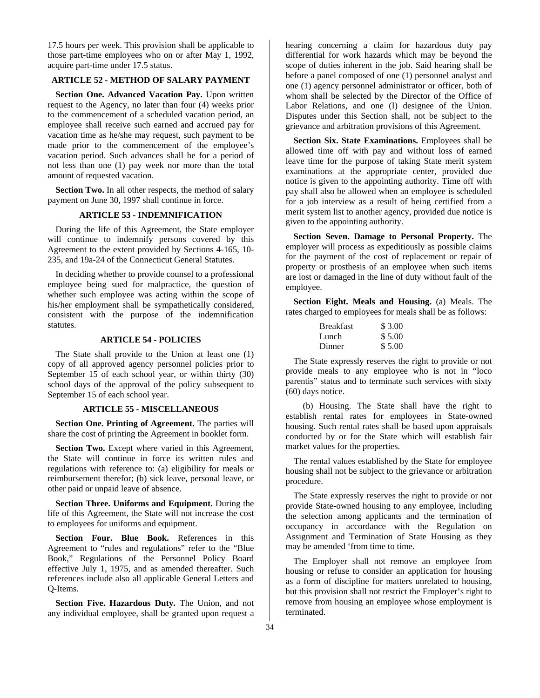17.5 hours per week. This provision shall be applicable to those part-time employees who on or after May 1, 1992, acquire part-time under 17.5 status.

# **ARTICLE 52 - METHOD OF SALARY PAYMENT**

**Section One. Advanced Vacation Pay.** Upon written request to the Agency, no later than four (4) weeks prior to the commencement of a scheduled vacation period, an employee shall receive such earned and accrued pay for vacation time as he/she may request, such payment to be made prior to the commencement of the employee's vacation period. Such advances shall be for a period of not less than one (1) pay week nor more than the total amount of requested vacation.

**Section Two.** In all other respects, the method of salary payment on June 30, 1997 shall continue in force.

### **ARTICLE 53 - INDEMNIFICATION**

During the life of this Agreement, the State employer will continue to indemnify persons covered by this Agreement to the extent provided by Sections 4-165, 10- 235, and 19a-24 of the Connecticut General Statutes.

In deciding whether to provide counsel to a professional employee being sued for malpractice, the question of whether such employee was acting within the scope of his/her employment shall be sympathetically considered, consistent with the purpose of the indemnification statutes.

### **ARTICLE 54 - POLICIES**

The State shall provide to the Union at least one (1) copy of all approved agency personnel policies prior to September 15 of each school year, or within thirty (30) school days of the approval of the policy subsequent to September 15 of each school year.

#### **ARTICLE 55 - MISCELLANEOUS**

**Section One. Printing of Agreement.** The parties will share the cost of printing the Agreement in booklet form.

**Section Two.** Except where varied in this Agreement, the State will continue in force its written rules and regulations with reference to: (a) eligibility for meals or reimbursement therefor; (b) sick leave, personal leave, or other paid or unpaid leave of absence.

**Section Three. Uniforms and Equipment.** During the life of this Agreement, the State will not increase the cost to employees for uniforms and equipment.

**Section Four. Blue Book.** References in this Agreement to "rules and regulations" refer to the "Blue Book," Regulations of the Personnel Policy Board effective July 1, 1975, and as amended thereafter. Such references include also all applicable General Letters and Q-Items.

**Section Five. Hazardous Duty.** The Union, and not any individual employee, shall be granted upon request a hearing concerning a claim for hazardous duty pay differential for work hazards which may be beyond the scope of duties inherent in the job. Said hearing shall be before a panel composed of one (1) personnel analyst and one (1) agency personnel administrator or officer, both of whom shall be selected by the Director of the Office of Labor Relations, and one (I) designee of the Union. Disputes under this Section shall, not be subject to the grievance and arbitration provisions of this Agreement.

**Section Six. State Examinations.** Employees shall be allowed time off with pay and without loss of earned leave time for the purpose of taking State merit system examinations at the appropriate center, provided due notice is given to the appointing authority. Time off with pay shall also be allowed when an employee is scheduled for a job interview as a result of being certified from a merit system list to another agency, provided due notice is given to the appointing authority.

**Section Seven. Damage to Personal Property.** The employer will process as expeditiously as possible claims for the payment of the cost of replacement or repair of property or prosthesis of an employee when such items are lost or damaged in the line of duty without fault of the employee.

**Section Eight. Meals and Housing.** (a) Meals. The rates charged to employees for meals shall be as follows:

| <b>Breakfast</b> | \$3.00 |
|------------------|--------|
| Lunch            | \$5.00 |
| Dinner           | \$5.00 |

The State expressly reserves the right to provide or not provide meals to any employee who is not in "loco parentis" status and to terminate such services with sixty (60) days notice.

(b) Housing. The State shall have the right to establish rental rates for employees in State-owned housing. Such rental rates shall be based upon appraisals conducted by or for the State which will establish fair market values for the properties.

The rental values established by the State for employee housing shall not be subject to the grievance or arbitration procedure.

The State expressly reserves the right to provide or not provide State-owned housing to any employee, including the selection among applicants and the termination of occupancy in accordance with the Regulation on Assignment and Termination of State Housing as they may be amended 'from time to time.

The Employer shall not remove an employee from housing or refuse to consider an application for housing as a form of discipline for matters unrelated to housing, but this provision shall not restrict the Employer's right to remove from housing an employee whose employment is terminated.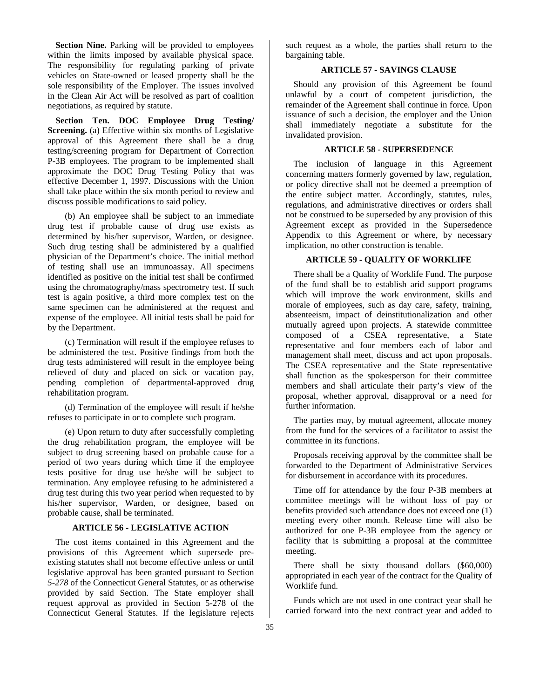**Section Nine.** Parking will be provided to employees within the limits imposed by available physical space. The responsibility for regulating parking of private vehicles on State-owned or leased property shall be the sole responsibility of the Employer. The issues involved in the Clean Air Act will be resolved as part of coalition negotiations, as required by statute.

**Section Ten. DOC Employee Drug Testing/ Screening.** (a) Effective within six months of Legislative approval of this Agreement there shall be a drug testing/screening program for Department of Correction P-3B employees. The program to be implemented shall approximate the DOC Drug Testing Policy that was effective December 1, 1997. Discussions with the Union shall take place within the six month period to review and discuss possible modifications to said policy.

(b) An employee shall be subject to an immediate drug test if probable cause of drug use exists as determined by his/her supervisor, Warden, or designee. Such drug testing shall be administered by a qualified physician of the Department's choice. The initial method of testing shall use an immunoassay. All specimens identified as positive on the initial test shall be confirmed using the chromatography/mass spectrometry test. If such test is again positive, a third more complex test on the same specimen can he administered at the request and expense of the employee. All initial tests shall be paid for by the Department.

(c) Termination will result if the employee refuses to be administered the test. Positive findings from both the drug tests administered will result in the employee being relieved of duty and placed on sick or vacation pay, pending completion of departmental-approved drug rehabilitation program.

(d) Termination of the employee will result if he/she refuses to participate in or to complete such program.

(e) Upon return to duty after successfully completing the drug rehabilitation program, the employee will be subject to drug screening based on probable cause for a period of two years during which time if the employee tests positive for drug use he/she will be subject to termination. Any employee refusing to he administered a drug test during this two year period when requested to by his/her supervisor, Warden, or designee, based on probable cause, shall be terminated.

### **ARTICLE 56 - LEGISLATIVE ACTION**

The cost items contained in this Agreement and the provisions of this Agreement which supersede preexisting statutes shall not become effective unless or until legislative approval has been granted pursuant to Section *5-278* of the Connecticut General Statutes, or as otherwise provided by said Section. The State employer shall request approval as provided in Section 5-278 of the Connecticut General Statutes. If the legislature rejects

such request as a whole, the parties shall return to the bargaining table.

# **ARTICLE 57 - SAVINGS CLAUSE**

Should any provision of this Agreement be found unlawful by a court of competent jurisdiction, the remainder of the Agreement shall continue in force. Upon issuance of such a decision, the employer and the Union shall immediately negotiate a substitute for the invalidated provision.

### **ARTICLE 58 - SUPERSEDENCE**

The inclusion of language in this Agreement concerning matters formerly governed by law, regulation, or policy directive shall not be deemed a preemption of the entire subject matter. Accordingly, statutes, rules, regulations, and administrative directives or orders shall not be construed to be superseded by any provision of this Agreement except as provided in the Supersedence Appendix to this Agreement or where, by necessary implication, no other construction is tenable.

### **ARTICLE 59 - QUALITY OF WORKLIFE**

There shall be a Quality of Worklife Fund. The purpose of the fund shall be to establish arid support programs which will improve the work environment, skills and morale of employees, such as day care, safety, training, absenteeism, impact of deinstitutionalization and other mutually agreed upon projects. A statewide committee composed of a CSEA representative, a State representative and four members each of labor and management shall meet, discuss and act upon proposals. The CSEA representative and the State representative shall function as the spokesperson for their committee members and shall articulate their party's view of the proposal, whether approval, disapproval or a need for further information.

The parties may, by mutual agreement, allocate money from the fund for the services of a facilitator to assist the committee in its functions.

Proposals receiving approval by the committee shall be forwarded to the Department of Administrative Services for disbursement in accordance with its procedures.

Time off for attendance by the four P-3B members at committee meetings will be without loss of pay or benefits provided such attendance does not exceed one (1) meeting every other month. Release time will also be authorized for one P-3B employee from the agency or facility that is submitting a proposal at the committee meeting.

There shall be sixty thousand dollars (\$60,000) appropriated in each year of the contract for the Quality of Worklife fund.

Funds which are not used in one contract year shall he carried forward into the next contract year and added to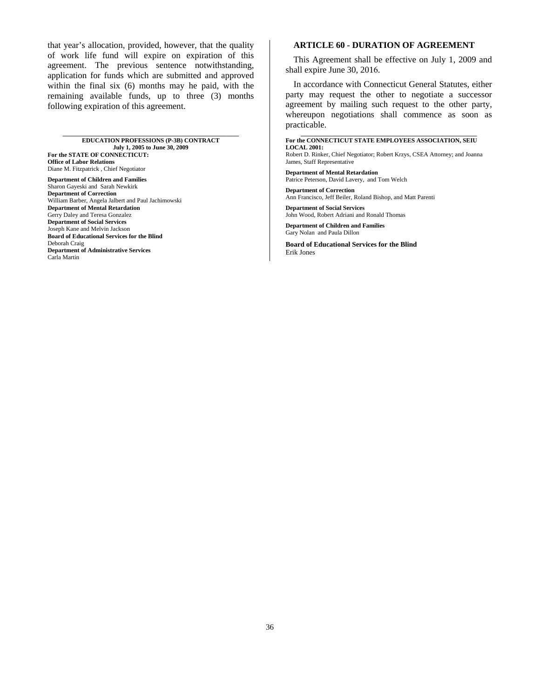that year's allocation, provided, however, that the quality of work life fund will expire on expiration of this agreement. The previous sentence notwithstanding, application for funds which are submitted and approved within the final six (6) months may he paid, with the remaining available funds, up to three (3) months following expiration of this agreement.

**\_\_\_\_\_\_\_\_\_\_\_\_\_\_\_\_\_\_\_\_\_\_\_\_\_\_\_\_\_\_\_\_\_\_\_\_\_\_\_\_\_\_\_\_\_\_\_\_\_\_\_\_\_\_\_\_\_** 

**EDUCATION PROFESSIONS (P-3B) CONTRACT July 1, 2005 to June 30, 2009 For the STATE OF CONNECTICUT: Office of Labor Relations** 

Diane M. Fitzpatrick , Chief Negotiator **Department of Children and Families**  Sharon Gayeski and Sarah Newkirk **Department of Correction**  William Barber, Angela Jalbert and Paul Jachimowski **Department of Mental Retardation**  Gerry Daley and Teresa Gonzalez **Department of Social Services**  Joseph Kane and Melvin Jackson **Board of Educational Services for the Blind**  Deborah Craig **Department of Administrative Services** Carla Martin

### **ARTICLE 60 - DURATION OF AGREEMENT**

This Agreement shall be effective on July 1, 2009 and shall expire June 30, 2016.

In accordance with Connecticut General Statutes, either party may request the other to negotiate a successor agreement by mailing such request to the other party, whereupon negotiations shall commence as soon as practicable.

**\_\_\_\_\_\_\_\_\_\_\_\_\_\_\_\_\_\_\_\_\_\_\_\_\_\_\_\_\_\_\_\_\_\_\_\_\_\_\_\_\_\_\_\_\_\_\_\_\_\_\_\_\_\_\_\_\_** 

#### **For the CONNECTICUT STATE EMPLOYEES ASSOCIATION, SEIU LOCAL 2001:**

Robert D. Rinker, Chief Negotiator; Robert Krzys, CSEA Attorney; and Joanna James, Staff Representative

**Department of Mental Retardation**  Patrice Peterson, David Lavery, and Tom Welch

**Department of Correction**  Ann Francisco, Jeff Beiler, Roland Bishop, and Matt Parenti

**Department of Social Services**  John Wood, Robert Adriani and Ronald Thomas

**Department of Children and Families**  Gary Nolan and Paula Dillon

**Board of Educational Services for the Blind**  Erik Jones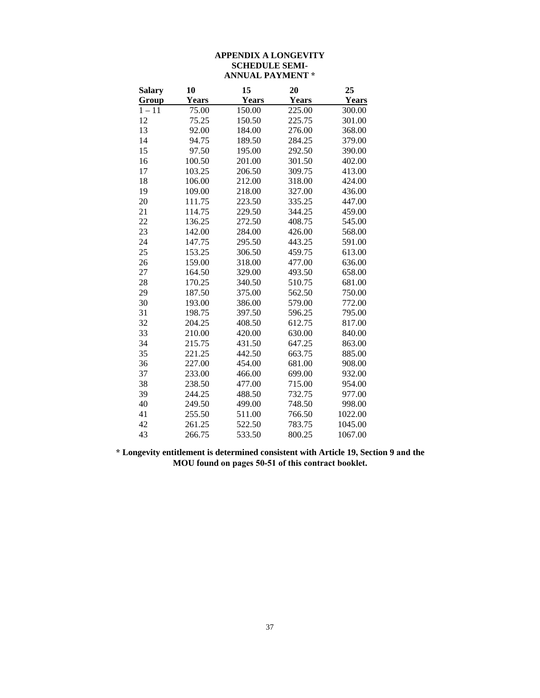# **APPENDIX A LONGEVITY SCHEDULE SEMI-ANNUAL PAYMENT \***

| <b>Salary</b> | 10     | 15     | 20     | 25      |
|---------------|--------|--------|--------|---------|
| Group         | Years  | Years  | Years  | Years   |
| $1 - 11$      | 75.00  | 150.00 | 225.00 | 300.00  |
| 12            | 75.25  | 150.50 | 225.75 | 301.00  |
| 13            | 92.00  | 184.00 | 276.00 | 368.00  |
| 14            | 94.75  | 189.50 | 284.25 | 379.00  |
| 15            | 97.50  | 195.00 | 292.50 | 390.00  |
| 16            | 100.50 | 201.00 | 301.50 | 402.00  |
| 17            | 103.25 | 206.50 | 309.75 | 413.00  |
| 18            | 106.00 | 212.00 | 318.00 | 424.00  |
| 19            | 109.00 | 218.00 | 327.00 | 436.00  |
| 20            | 111.75 | 223.50 | 335.25 | 447.00  |
| 21            | 114.75 | 229.50 | 344.25 | 459.00  |
| 22            | 136.25 | 272.50 | 408.75 | 545.00  |
| 23            | 142.00 | 284.00 | 426.00 | 568.00  |
| 24            | 147.75 | 295.50 | 443.25 | 591.00  |
| 25            | 153.25 | 306.50 | 459.75 | 613.00  |
| 26            | 159.00 | 318.00 | 477.00 | 636.00  |
| 27            | 164.50 | 329.00 | 493.50 | 658.00  |
| 28            | 170.25 | 340.50 | 510.75 | 681.00  |
| 29            | 187.50 | 375.00 | 562.50 | 750.00  |
| 30            | 193.00 | 386.00 | 579.00 | 772.00  |
| 31            | 198.75 | 397.50 | 596.25 | 795.00  |
| 32            | 204.25 | 408.50 | 612.75 | 817.00  |
| 33            | 210.00 | 420.00 | 630.00 | 840.00  |
| 34            | 215.75 | 431.50 | 647.25 | 863.00  |
| 35            | 221.25 | 442.50 | 663.75 | 885.00  |
| 36            | 227.00 | 454.00 | 681.00 | 908.00  |
| 37            | 233.00 | 466.00 | 699.00 | 932.00  |
| 38            | 238.50 | 477.00 | 715.00 | 954.00  |
| 39            | 244.25 | 488.50 | 732.75 | 977.00  |
| 40            | 249.50 | 499.00 | 748.50 | 998.00  |
| 41            | 255.50 | 511.00 | 766.50 | 1022.00 |
| 42            | 261.25 | 522.50 | 783.75 | 1045.00 |
| 43            | 266.75 | 533.50 | 800.25 | 1067.00 |

**\* Longevity entitlement is determined consistent with Article 19, Section 9 and the MOU found on pages 50-51 of this contract booklet.**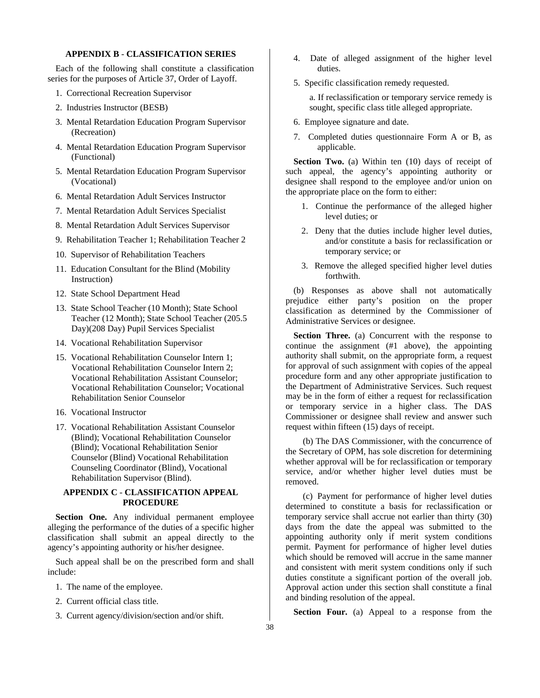# **APPENDIX B** - **CLASSIFICATION SERIES**

Each of the following shall constitute a classification series for the purposes of Article 37, Order of Layoff.

- 1. Correctional Recreation Supervisor
- 2. Industries Instructor (BESB)
- 3. Mental Retardation Education Program Supervisor (Recreation)
- 4. Mental Retardation Education Program Supervisor (Functional)
- 5. Mental Retardation Education Program Supervisor (Vocational)
- 6. Mental Retardation Adult Services Instructor
- 7. Mental Retardation Adult Services Specialist
- 8. Mental Retardation Adult Services Supervisor
- 9. Rehabilitation Teacher 1; Rehabilitation Teacher 2
- 10. Supervisor of Rehabilitation Teachers
- 11. Education Consultant for the Blind (Mobility Instruction)
- 12. State School Department Head
- 13. State School Teacher (10 Month); State School Teacher (12 Month); State School Teacher (205.5 Day)(208 Day) Pupil Services Specialist
- 14. Vocational Rehabilitation Supervisor
- 15. Vocational Rehabilitation Counselor Intern 1; Vocational Rehabilitation Counselor Intern 2; Vocational Rehabilitation Assistant Counselor; Vocational Rehabilitation Counselor; Vocational Rehabilitation Senior Counselor
- 16. Vocational Instructor
- 17. Vocational Rehabilitation Assistant Counselor (Blind); Vocational Rehabilitation Counselor (Blind); Vocational Rehabilitation Senior Counselor (Blind) Vocational Rehabilitation Counseling Coordinator (Blind), Vocational Rehabilitation Supervisor (Blind).

# **APPENDIX C** - **CLASSIFICATION APPEAL PROCEDURE**

**Section One.** Any individual permanent employee alleging the performance of the duties of a specific higher classification shall submit an appeal directly to the agency's appointing authority or his/her designee.

Such appeal shall be on the prescribed form and shall include:

- 1. The name of the employee.
- 2. Current official class title.
- 3. Current agency/division/section and/or shift.
- 4. Date of alleged assignment of the higher level duties.
- 5. Specific classification remedy requested.

a. If reclassification or temporary service remedy is sought, specific class title alleged appropriate.

- 6. Employee signature and date.
- 7. Completed duties questionnaire Form A or B, as applicable.

Section Two. (a) Within ten (10) days of receipt of such appeal, the agency's appointing authority or designee shall respond to the employee and/or union on the appropriate place on the form to either:

- 1. Continue the performance of the alleged higher level duties; or
- 2. Deny that the duties include higher level duties, and/or constitute a basis for reclassification or temporary service; or
- 3. Remove the alleged specified higher level duties forthwith.

(b) Responses as above shall not automatically prejudice either party's position on the proper classification as determined by the Commissioner of Administrative Services or designee.

**Section Three.** (a) Concurrent with the response to continue the assignment (#1 above), the appointing authority shall submit, on the appropriate form, a request for approval of such assignment with copies of the appeal procedure form and any other appropriate justification to the Department of Administrative Services. Such request may be in the form of either a request for reclassification or temporary service in a higher class. The DAS Commissioner or designee shall review and answer such request within fifteen (15) days of receipt.

(b) The DAS Commissioner, with the concurrence of the Secretary of OPM, has sole discretion for determining whether approval will be for reclassification or temporary service, and/or whether higher level duties must be removed.

(c) Payment for performance of higher level duties determined to constitute a basis for reclassification or temporary service shall accrue not earlier than thirty (30) days from the date the appeal was submitted to the appointing authority only if merit system conditions permit. Payment for performance of higher level duties which should be removed will accrue in the same manner and consistent with merit system conditions only if such duties constitute a significant portion of the overall job. Approval action under this section shall constitute a final and binding resolution of the appeal.

**Section Four.** (a) Appeal to a response from the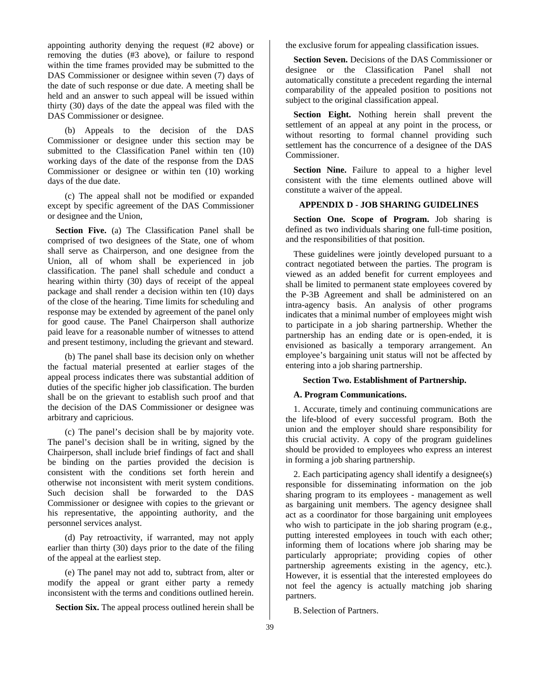appointing authority denying the request (#2 above) or removing the duties (#3 above), or failure to respond within the time frames provided may be submitted to the DAS Commissioner or designee within seven (7) days of the date of such response or due date. A meeting shall be held and an answer to such appeal will be issued within thirty (30) days of the date the appeal was filed with the DAS Commissioner or designee.

(b) Appeals to the decision of the DAS Commissioner or designee under this section may be submitted to the Classification Panel within ten (10) working days of the date of the response from the DAS Commissioner or designee or within ten (10) working days of the due date.

(c) The appeal shall not be modified or expanded except by specific agreement of the DAS Commissioner or designee and the Union,

**Section Five.** (a) The Classification Panel shall be comprised of two designees of the State, one of whom shall serve as Chairperson, and one designee from the Union, all of whom shall be experienced in job classification. The panel shall schedule and conduct a hearing within thirty (30) days of receipt of the appeal package and shall render a decision within ten (10) days of the close of the hearing. Time limits for scheduling and response may be extended by agreement of the panel only for good cause. The Panel Chairperson shall authorize paid leave for a reasonable number of witnesses to attend and present testimony, including the grievant and steward.

(b) The panel shall base its decision only on whether the factual material presented at earlier stages of the appeal process indicates there was substantial addition of duties of the specific higher job classification. The burden shall be on the grievant to establish such proof and that the decision of the DAS Commissioner or designee was arbitrary and capricious.

(c) The panel's decision shall be by majority vote. The panel's decision shall be in writing, signed by the Chairperson, shall include brief findings of fact and shall be binding on the parties provided the decision is consistent with the conditions set forth herein and otherwise not inconsistent with merit system conditions. Such decision shall be forwarded to the DAS Commissioner or designee with copies to the grievant or his representative, the appointing authority, and the personnel services analyst.

(d) Pay retroactivity, if warranted, may not apply earlier than thirty (30) days prior to the date of the filing of the appeal at the earliest step.

(e) The panel may not add to, subtract from, alter or modify the appeal or grant either party a remedy inconsistent with the terms and conditions outlined herein.

**Section Six.** The appeal process outlined herein shall be

the exclusive forum for appealing classification issues.

**Section Seven.** Decisions of the DAS Commissioner or designee or the Classification Panel shall not automatically constitute a precedent regarding the internal comparability of the appealed position to positions not subject to the original classification appeal.

**Section Eight.** Nothing herein shall prevent the settlement of an appeal at any point in the process, or without resorting to formal channel providing such settlement has the concurrence of a designee of the DAS Commissioner.

Section Nine. Failure to appeal to a higher level consistent with the time elements outlined above will constitute a waiver of the appeal.

# **APPENDIX D** *-* **JOB SHARING GUIDELINES**

**Section One. Scope of Program.** Job sharing is defined as two individuals sharing one full-time position, and the responsibilities of that position.

These guidelines were jointly developed pursuant to a contract negotiated between the parties. The program is viewed as an added benefit for current employees and shall be limited to permanent state employees covered by the P-3B Agreement and shall be administered on an intra-agency basis. An analysis of other programs indicates that a minimal number of employees might wish to participate in a job sharing partnership. Whether the partnership has an ending date or is open-ended, it is envisioned as basically a temporary arrangement. An employee's bargaining unit status will not be affected by entering into a job sharing partnership.

# **Section Two. Establishment of Partnership.**

### **A. Program Communications.**

1. Accurate, timely and continuing communications are the life-blood of every successful program. Both the union and the employer should share responsibility for this crucial activity. A copy of the program guidelines should be provided to employees who express an interest in forming a job sharing partnership.

2. Each participating agency shall identify a designee(s) responsible for disseminating information on the job sharing program to its employees *-* management as well as bargaining unit members. The agency designee shall act as a coordinator for those bargaining unit employees who wish to participate in the job sharing program (e.g., putting interested employees in touch with each other; informing them of locations where job sharing may be particularly appropriate; providing copies of other partnership agreements existing in the agency, etc.). However, it is essential that the interested employees do not feel the agency is actually matching job sharing partners.

B. Selection of Partners.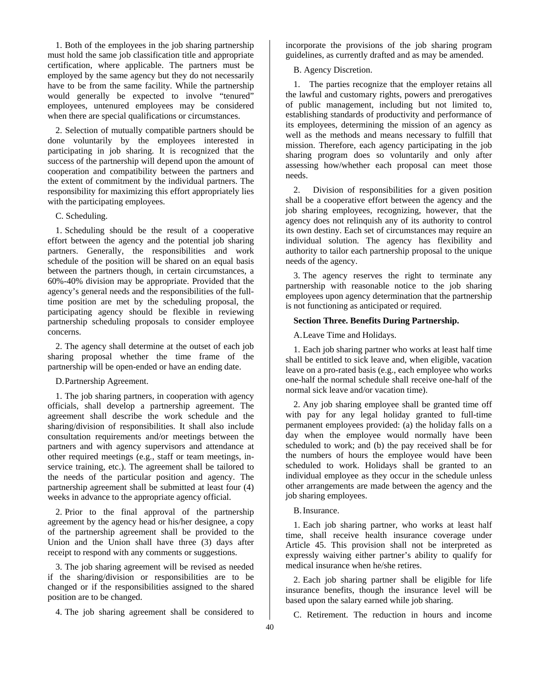1. Both of the employees in the job sharing partnership must hold the same job classification title and appropriate certification, where applicable. The partners must be employed by the same agency but they do not necessarily have to be from the same facility. While the partnership would generally be expected to involve "tenured" employees, untenured employees may be considered when there are special qualifications or circumstances.

2. Selection of mutually compatible partners should be done voluntarily by the employees interested in participating in job sharing. It is recognized that the success of the partnership will depend upon the amount of cooperation and compatibility between the partners and the extent of commitment by the individual partners. The responsibility for maximizing this effort appropriately lies with the participating employees.

### C. Scheduling.

1. Scheduling should be the result of a cooperative effort between the agency and the potential job sharing partners. Generally, the responsibilities and work schedule of the position will be shared on an equal basis between the partners though, in certain circumstances, a 60%-40% division may be appropriate. Provided that the agency's general needs and the responsibilities of the fulltime position are met by the scheduling proposal, the participating agency should be flexible in reviewing partnership scheduling proposals to consider employee concerns.

2. The agency shall determine at the outset of each job sharing proposal whether the time frame of the partnership will be open-ended or have an ending date.

D. Partnership Agreement.

1. The job sharing partners, in cooperation with agency officials, shall develop a partnership agreement. The agreement shall describe the work schedule and the sharing/division of responsibilities. It shall also include consultation requirements and/or meetings between the partners and with agency supervisors and attendance at other required meetings (e.g., staff or team meetings, inservice training, etc.). The agreement shall be tailored to the needs of the particular position and agency. The partnership agreement shall be submitted at least four (4) weeks in advance to the appropriate agency official.

2. Prior to the final approval of the partnership agreement by the agency head or his/her designee, a copy of the partnership agreement shall be provided to the Union and the Union shall have three (3) days after receipt to respond with any comments or suggestions.

3. The job sharing agreement will be revised as needed if the sharing/division or responsibilities are to be changed or if the responsibilities assigned to the shared position are to be changed.

4. The job sharing agreement shall be considered to

incorporate the provisions of the job sharing program guidelines, as currently drafted and as may be amended.

B. Agency Discretion.

1. The parties recognize that the employer retains all the lawful and customary rights, powers and prerogatives of public management, including but not limited to, establishing standards of productivity and performance of its employees, determining the mission of an agency as well as the methods and means necessary to fulfill that mission. Therefore, each agency participating in the job sharing program does so voluntarily and only after assessing how/whether each proposal can meet those needs.

2. Division of responsibilities for a given position shall be a cooperative effort between the agency and the job sharing employees, recognizing, however, that the agency does not relinquish any of its authority to control its own destiny. Each set of circumstances may require an individual solution. The agency has flexibility and authority to tailor each partnership proposal to the unique needs of the agency.

3. The agency reserves the right to terminate any partnership with reasonable notice to the job sharing employees upon agency determination that the partnership is not functioning as anticipated or required.

# **Section Three. Benefits During Partnership.**

A.Leave Time and Holidays.

1. Each job sharing partner who works at least half time shall be entitled to sick leave and, when eligible, vacation leave on a pro-rated basis (e.g., each employee who works one-half the normal schedule shall receive one-half of the normal sick leave and/or vacation time).

2. Any job sharing employee shall be granted time off with pay for any legal holiday granted to full-time permanent employees provided: (a) the holiday falls on a day when the employee would normally have been scheduled to work; and (b) the pay received shall be for the numbers of hours the employee would have been scheduled to work. Holidays shall be granted to an individual employee as they occur in the schedule unless other arrangements are made between the agency and the job sharing employees.

B. Insurance.

1. Each job sharing partner, who works at least half time, shall receive health insurance coverage under Article 45. This provision shall not be interpreted as expressly waiving either partner's ability to qualify for medical insurance when he/she retires.

2. Each job sharing partner shall be eligible for life insurance benefits, though the insurance level will be based upon the salary earned while job sharing.

C. Retirement. The reduction in hours and income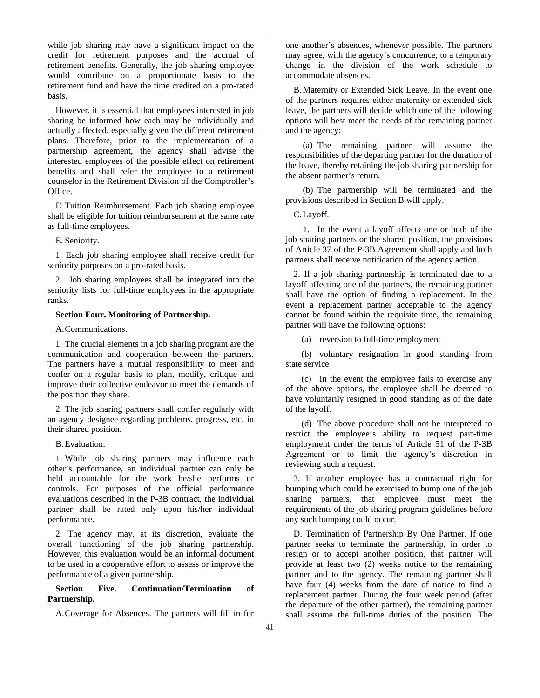while job sharing may have a significant impact on the credit for retirement purposes and the accrual of retirement benefits. Generally, the job sharing employee would contribute on a proportionate basis to the retirement fund and have the time credited on a pro-rated basis.

However, it is essential that employees interested in job sharing be informed how each may be individually and actually affected, especially given the different retirement plans. Therefore, prior to the implementation of a partnership agreement, the agency shall advise the interested employees of the possible effect on retirement benefits and shall refer the employee to a retirement counselor in the Retirement Division of the Comptroller's Office.

D. Tuition Reimbursement. Each job sharing employee shall be eligible for tuition reimbursement at the same rate as full-time employees.

E. Seniority.

1. Each job sharing employee shall receive credit for seniority purposes on a pro-rated basis.

2. Job sharing employees shall be integrated into the seniority lists for full-time employees in the appropriate ranks.

# **Section Four. Monitoring of Partnership.**

A. Communications.

1. The crucial elements in a job sharing program are the communication and cooperation between the partners. The partners have a mutual responsibility to meet and confer on a regular basis to plan, modify, critique and improve their collective endeavor to meet the demands of the position they share.

2. The job sharing partners shall confer regularly with an agency designee regarding problems, progress, etc. in their shared position.

B. Evaluation.

1. While job sharing partners may influence each other's performance, an individual partner can only be held accountable for the work he/she performs or controls. For purposes of the official performance evaluations described in the P-3B contract, the individual partner shall be rated only upon his/her individual performance.

2. The agency may, at its discretion, evaluate the overall functioning of the job sharing partnership. However, this evaluation would be an informal document to be used in a cooperative effort to assess or improve the performance of a given partnership.

# **Section Five. Continuation/Termination of Partnership.**

A.Coverage for Absences. The partners will fill in for

one another's absences, whenever possible. The partners may agree, with the agency's concurrence, to a temporary change in the division of the work schedule to accommodate absences.

B. Maternity or Extended Sick Leave. In the event one of the partners requires either maternity or extended sick leave, the partners will decide which one of the following options will best meet the needs of the remaining partner and the agency:

(a) The remaining partner will assume the responsibilities of the departing partner for the duration of the leave, thereby retaining the job sharing partnership for the absent partner's return.

(b) The partnership will be terminated and the provisions described in Section B will apply.

C. Layoff.

1. In the event a layoff affects one or both of the job sharing partners or the shared position, the provisions of Article 37 of the P-3B Agreement shall apply and both partners shall receive notification of the agency action.

2. If a job sharing partnership is terminated due to a layoff affecting one of the partners, the remaining partner shall have the option of finding a replacement. In the event a replacement partner acceptable to the agency cannot be found within the requisite time, the remaining partner will have the following options:

(a) reversion to full-time employment

(b) voluntary resignation in good standing from state service

(c) In the event the employee fails to exercise any of the above options, the employee shall be deemed to have voluntarily resigned in good standing as of the date of the layoff.

(d) The above procedure shall not he interpreted to restrict the employee's ability to request part-time employment under the terms of Article 51 of the P-3B Agreement or to limit the agency's discretion in reviewing such a request.

3. If another employee has a contractual right for bumping which could be exercised to bump one of the job sharing partners, that employee must meet the requirements of the job sharing program guidelines before any such bumping could occur.

D. Termination of Partnership By One Partner. If one partner seeks to terminate the partnership, in order to resign or to accept another position, that partner will provide at least two (2) weeks notice to the remaining partner and to the agency. The remaining partner shall have four (4) weeks from the date of notice to find a replacement partner. During the four week period (after the departure of the other partner), the remaining partner shall assume the full-time duties of the position. The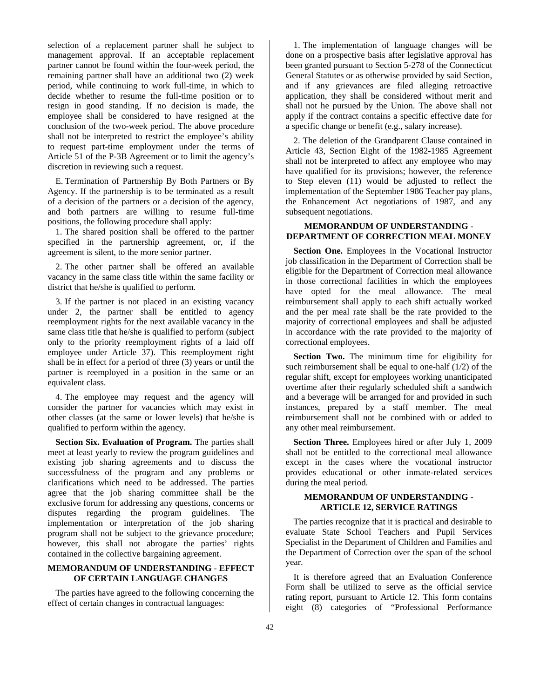selection of a replacement partner shall he subject to management approval. If an acceptable replacement partner cannot be found within the four-week period, the remaining partner shall have an additional two (2) week period, while continuing to work full-time, in which to decide whether to resume the full-time position or to resign in good standing. If no decision is made, the employee shall be considered to have resigned at the conclusion of the two-week period. The above procedure shall not be interpreted to restrict the employee's ability to request part-time employment under the terms of Article 51 of the P-3B Agreement or to limit the agency's discretion in reviewing such a request.

E. Termination of Partnership By Both Partners or By Agency. If the partnership is to be terminated as a result of a decision of the partners or a decision of the agency, and both partners are willing to resume full-time positions, the following procedure shall apply:

1. The shared position shall be offered to the partner specified in the partnership agreement, or, if the agreement is silent, to the more senior partner.

2. The other partner shall be offered an available vacancy in the same class title within the same facility or district that he/she is qualified to perform.

3. If the partner is not placed in an existing vacancy under 2, the partner shall be entitled to agency reemployment rights for the next available vacancy in the same class title that he/she is qualified to perform (subject only to the priority reemployment rights of a laid off employee under Article 37). This reemployment right shall be in effect for a period of three (3) years or until the partner is reemployed in a position in the same or an equivalent class.

4. The employee may request and the agency will consider the partner for vacancies which may exist in other classes (at the same or lower levels) that he/she is qualified to perform within the agency.

**Section Six. Evaluation of Program.** The parties shall meet at least yearly to review the program guidelines and existing job sharing agreements and to discuss the successfulness of the program and any problems or clarifications which need to be addressed. The parties agree that the job sharing committee shall be the exclusive forum for addressing any questions, concerns or disputes regarding the program guidelines. The implementation or interpretation of the job sharing program shall not be subject to the grievance procedure; however, this shall not abrogate the parties' rights contained in the collective bargaining agreement.

# **MEMORANDUM OF UNDERSTANDING** - **EFFECT OF CERTAIN LANGUAGE CHANGES**

The parties have agreed to the following concerning the effect of certain changes in contractual languages:

1. The implementation of language changes will be done on a prospective basis after legislative approval has been granted pursuant to Section 5-278 of the Connecticut General Statutes or as otherwise provided by said Section, and if any grievances are filed alleging retroactive application, they shall be considered without merit and shall not he pursued by the Union. The above shall not apply if the contract contains a specific effective date for a specific change or benefit (e.g., salary increase).

2. The deletion of the Grandparent Clause contained in Article 43, Section Eight of the 1982-1985 Agreement shall not be interpreted to affect any employee who may have qualified for its provisions; however, the reference to Step eleven (11) would be adjusted to reflect the implementation of the September 1986 Teacher pay plans, the Enhancement Act negotiations of 1987, and any subsequent negotiations.

# **MEMORANDUM OF UNDERSTANDING** - **DEPARTMENT OF CORRECTION MEAL MONEY**

**Section One.** Employees in the Vocational Instructor job classification in the Department of Correction shall be eligible for the Department of Correction meal allowance in those correctional facilities in which the employees have opted for the meal allowance. The meal reimbursement shall apply to each shift actually worked and the per meal rate shall be the rate provided to the majority of correctional employees and shall be adjusted in accordance with the rate provided to the majority of correctional employees.

**Section Two.** The minimum time for eligibility for such reimbursement shall be equal to one-half (1/2) of the regular shift, except for employees working unanticipated overtime after their regularly scheduled shift a sandwich and a beverage will be arranged for and provided in such instances, prepared by a staff member. The meal reimbursement shall not be combined with or added to any other meal reimbursement.

**Section Three.** Employees hired or after July 1, 2009 shall not be entitled to the correctional meal allowance except in the cases where the vocational instructor provides educational or other inmate-related services during the meal period.

# **MEMORANDUM OF UNDERSTANDING** - **ARTICLE 12, SERVICE RATINGS**

The parties recognize that it is practical and desirable to evaluate State School Teachers and Pupil Services Specialist in the Department of Children and Families and the Department of Correction over the span of the school year.

It is therefore agreed that an Evaluation Conference Form shall be utilized to serve as the official service rating report, pursuant to Article 12. This form contains eight (8) categories of "Professional Performance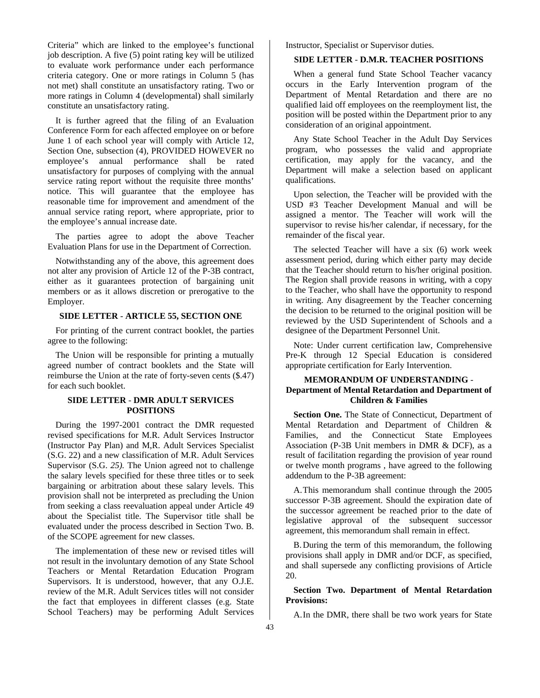Criteria" which are linked to the employee's functional job description. A five (5) point rating key will be utilized to evaluate work performance under each performance criteria category. One or more ratings in Column 5 (has not met) shall constitute an unsatisfactory rating. Two or more ratings in Column 4 (developmental) shall similarly constitute an unsatisfactory rating.

It is further agreed that the filing of an Evaluation Conference Form for each affected employee on or before June 1 of each school year will comply with Article 12, Section One, subsection (4), PROVIDED HOWEVER no employee's annual performance shall be rated unsatisfactory for purposes of complying with the annual service rating report without the requisite three months' notice. This will guarantee that the employee has reasonable time for improvement and amendment of the annual service rating report, where appropriate, prior to the employee's annual increase date.

The parties agree to adopt the above Teacher Evaluation Plans for use in the Department of Correction.

Notwithstanding any of the above, this agreement does not alter any provision of Article 12 of the P-3B contract, either as it guarantees protection of bargaining unit members or as it allows discretion or prerogative to the Employer.

# **SIDE LETTER** - **ARTICLE 55, SECTION ONE**

For printing of the current contract booklet, the parties agree to the following:

The Union will be responsible for printing a mutually agreed number of contract booklets and the State will reimburse the Union at the rate of forty-seven cents (\$.47) for each such booklet.

# **SIDE LETTER** - **DMR ADULT SERVICES POSITIONS**

During the 1997-2001 contract the DMR requested revised specifications for M.R. Adult Services Instructor (Instructor Pay Plan) and M,R. Adult Services Specialist (S.G. 22) and a new classification of M.R. Adult Services Supervisor (S.G. *25).* The Union agreed not to challenge the salary levels specified for these three titles or to seek bargaining or arbitration about these salary levels. This provision shall not be interpreted as precluding the Union from seeking a class reevaluation appeal under Article 49 about the Specialist title. The Supervisor title shall be evaluated under the process described in Section Two. B. of the SCOPE agreement for new classes.

The implementation of these new or revised titles will not result in the involuntary demotion of any State School Teachers or Mental Retardation Education Program Supervisors. It is understood, however, that any O.J.E. review of the M.R. Adult Services titles will not consider the fact that employees in different classes (e.g. State School Teachers) may be performing Adult Services

Instructor, Specialist or Supervisor duties.

# **SIDE LETTER** - **D.M.R. TEACHER POSITIONS**

When a general fund State School Teacher vacancy occurs in the Early Intervention program of the Department of Mental Retardation and there are no qualified laid off employees on the reemployment list, the position will be posted within the Department prior to any consideration of an original appointment.

Any State School Teacher in the Adult Day Services program, who possesses the valid and appropriate certification, may apply for the vacancy, and the Department will make a selection based on applicant qualifications.

Upon selection, the Teacher will be provided with the USD #3 Teacher Development Manual and will be assigned a mentor. The Teacher will work will the supervisor to revise his/her calendar, if necessary, for the remainder of the fiscal year.

The selected Teacher will have a six (6) work week assessment period, during which either party may decide that the Teacher should return to his/her original position. The Region shall provide reasons in writing, with a copy to the Teacher, who shall have the opportunity to respond in writing. Any disagreement by the Teacher concerning the decision to be returned to the original position will be reviewed by the USD Superintendent of Schools and a designee of the Department Personnel Unit.

Note: Under current certification law, Comprehensive Pre-K through 12 Special Education is considered appropriate certification for Early Intervention.

# **MEMORANDUM OF UNDERSTANDING** - **Department of Mental Retardation and Department of Children & Families**

Section One. The State of Connecticut, Department of Mental Retardation and Department of Children & Families, and the Connecticut State Employees Association (P-3B Unit members in DMR & DCF), as a result of facilitation regarding the provision of year round or twelve month programs , have agreed to the following addendum to the P-3B agreement:

A. This memorandum shall continue through the 2005 successor P-3B agreement. Should the expiration date of the successor agreement be reached prior to the date of legislative approval of the subsequent successor agreement, this memorandum shall remain in effect.

B. During the term of this memorandum, the following provisions shall apply in DMR and/or DCF, as specified, and shall supersede any conflicting provisions of Article 20.

# **Section Two. Department of Mental Retardation Provisions:**

A. In the DMR, there shall be two work years for State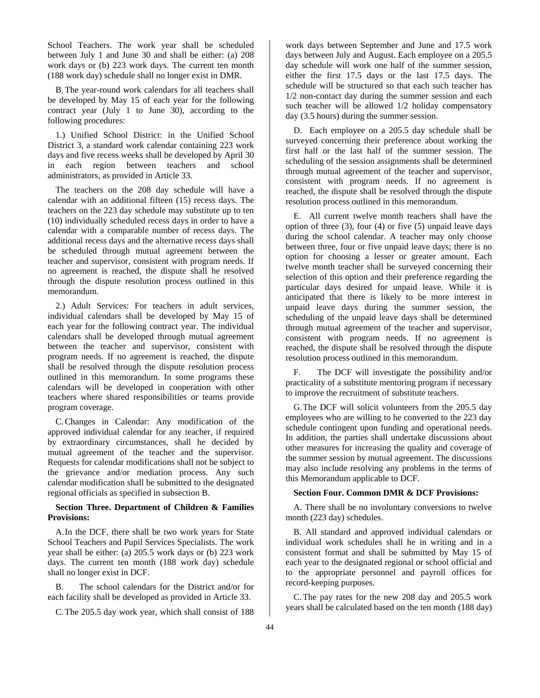School Teachers. The work year shall be scheduled between July 1 and June 30 and shall be either: (a) 208 work days or (b) 223 work days. The current ten month (188 work day) schedule shall no longer exist in DMR.

B. The year-round work calendars for all teachers shall be developed by May 15 of each year for the following contract year (July 1 to June 30), according to the following procedures:

1.) Unified School District: in the Unified School District 3, a standard work calendar containing 223 work days and five recess weeks shall be developed by April 30 in each region between teachers and school administrators, as provided in Article 33.

The teachers on the 208 day schedule will have a calendar with an additional fifteen (15) recess days. The teachers on the 223 day schedule may substitute up to ten (10) individually scheduled recess days in order to have a calendar with a comparable number of recess days. The additional recess days and the alternative recess days shall be scheduled through mutual agreement between the teacher and supervisor, consistent with program needs. If no agreement is reached, the dispute shall he resolved through the dispute resolution process outlined in this memorandum.

2.) Adult Services: For teachers in adult services, individual calendars shall be developed by May 15 of each year for the following contract year. The individual calendars shall be developed through mutual agreement between the teacher and supervisor, consistent with program needs. If no agreement is reached, the dispute shall be resolved through the dispute resolution process outlined in this memorandum. In some programs these calendars will be developed in cooperation with other teachers where shared responsibilities or teams provide program coverage.

C. Changes in Calendar: Any modification of the approved individual calendar for any teacher, if required by extraordinary circumstances, shall he decided by mutual agreement of the teacher and the supervisor. Requests for calendar modifications shall not be subject to the grievance and/or mediation process. Any such calendar modification shall be submitted to the designated regional officials as specified in subsection B.

# **Section Three. Department of Children & Families Provisions:**

A. In the DCF, there shall be two work years for State School Teachers and Pupil Services Specialists. The work year shall be either: (a) 205.5 work days or (b) 223 work days. The current ten month (188 work day) schedule shall no longer exist in DCF.

B. The school calendars for the District and/or for each facility shall be developed as provided in Article 33.

C. The 205.5 day work year, which shall consist of 188

work days between September and June and 17.5 work days between July and August. Each employee on a 205.5 day schedule will work one half of the summer session, either the first 17.5 days or the last 17.5 days. The schedule will be structured so that each such teacher has 1/2 non-contact day during the summer session and each such teacher will be allowed 1/2 holiday compensatory day (3.5 hours) during the summer session.

D. Each employee on a 205.5 day schedule shall be surveyed concerning their preference about working the first half or the last half of the summer session. The scheduling of the session assignments shall be determined through mutual agreement of the teacher and supervisor, consistent with program needs. If no agreement is reached, the dispute shall be resolved through the dispute resolution process outlined in this memorandum.

E. All current twelve month teachers shall have the option of three (3), four (4) or five (5) unpaid leave days during the school calendar. A teacher may only choose between three, four or five unpaid leave days; there is no option for choosing a lesser or greater amount. Each twelve month teacher shall be surveyed concerning their selection of this option and their preference regarding the particular days desired for unpaid leave. While it is anticipated that there is likely to be more interest in unpaid leave days during the summer session, the scheduling of the unpaid leave days shall be determined through mutual agreement of the teacher and supervisor, consistent with program needs. If no agreement is reached, the dispute shall be resolved through the dispute resolution process outlined in this memorandum.

F. The DCF will investigate the possibility and/or practicality of a substitute mentoring program if necessary to improve the recruitment of substitute teachers.

G. The DCF will solicit volunteers from the 205.5 day employees who are willing to he converted to the 223 day schedule contingent upon funding and operational needs. In addition, the parties shall undertake discussions about other measures for increasing the quality and coverage of the summer session by mutual agreement. The discussions may also include resolving any problems in the terms of this Memorandum applicable to DCF.

### **Section Four. Common DMR & DCF Provisions:**

A. There shall be no involuntary conversions to twelve month (223 day) schedules.

B. All standard and approved individual calendars or individual work schedules shall he in writing and in a consistent format and shall be submitted by May 15 of each year to the designated regional or school official and to the appropriate personnel and payroll offices for record-keeping purposes.

C. The pay rates for the new 208 day and 205.5 work years shall be calculated based on the ten month (188 day)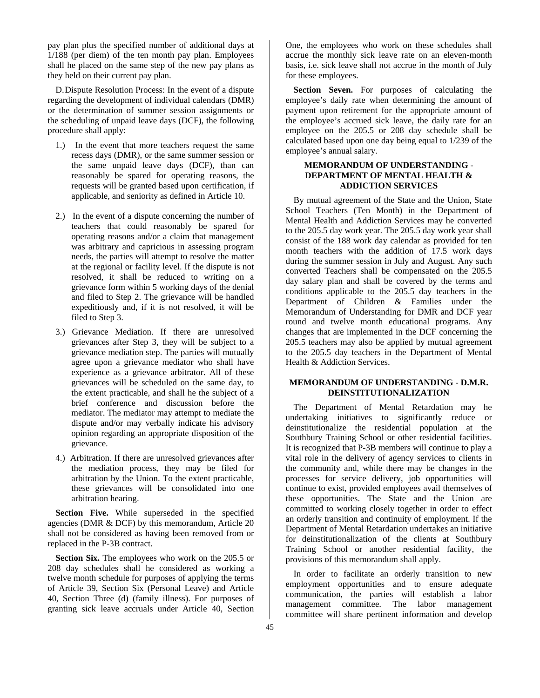pay plan plus the specified number of additional days at 1/188 (per diem) of the ten month pay plan. Employees shall he placed on the same step of the new pay plans as they held on their current pay plan.

D. Dispute Resolution Process: In the event of a dispute regarding the development of individual calendars (DMR) or the determination of summer session assignments or the scheduling of unpaid leave days (DCF), the following procedure shall apply:

- 1.) In the event that more teachers request the same recess days (DMR), or the same summer session or the same unpaid leave days (DCF), than can reasonably be spared for operating reasons, the requests will be granted based upon certification, if applicable, and seniority as defined in Article 10.
- 2.) In the event of a dispute concerning the number of teachers that could reasonably be spared for operating reasons and/or a claim that management was arbitrary and capricious in assessing program needs, the parties will attempt to resolve the matter at the regional or facility level. If the dispute is not resolved, it shall be reduced to writing on a grievance form within 5 working days of the denial and filed to Step 2. The grievance will be handled expeditiously and, if it is not resolved, it will be filed to Step 3.
- 3.) Grievance Mediation. If there are unresolved grievances after Step 3, they will be subject to a grievance mediation step. The parties will mutually agree upon a grievance mediator who shall have experience as a grievance arbitrator. All of these grievances will be scheduled on the same day, to the extent practicable, and shall he the subject of a brief conference and discussion before the mediator. The mediator may attempt to mediate the dispute and/or may verbally indicate his advisory opinion regarding an appropriate disposition of the grievance.
- 4.) Arbitration. If there are unresolved grievances after the mediation process, they may be filed for arbitration by the Union. To the extent practicable, these grievances will be consolidated into one arbitration hearing.

**Section Five.** While superseded in the specified agencies (DMR & DCF) by this memorandum, Article 20 shall not be considered as having been removed from or replaced in the P-3B contract.

**Section Six.** The employees who work on the 205.5 or 208 day schedules shall he considered as working a twelve month schedule for purposes of applying the terms of Article 39, Section Six (Personal Leave) and Article 40, Section Three (d) (family illness). For purposes of granting sick leave accruals under Article 40, Section

One, the employees who work on these schedules shall accrue the monthly sick leave rate on an eleven-month basis, i.e. sick leave shall not accrue in the month of July for these employees.

**Section Seven.** For purposes of calculating the employee's daily rate when determining the amount of payment upon retirement for the appropriate amount of the employee's accrued sick leave, the daily rate for an employee on the 205.5 or 208 day schedule shall be calculated based upon one day being equal to 1/239 of the employee's annual salary.

# **MEMORANDUM OF UNDERSTANDING** - **DEPARTMENT OF MENTAL HEALTH & ADDICTION SERVICES**

By mutual agreement of the State and the Union, State School Teachers (Ten Month) in the Department of Mental Health and Addiction Services may he converted to the 205.5 day work year. The 205.5 day work year shall consist of the 188 work day calendar as provided for ten month teachers with the addition of 17.5 work days during the summer session in July and August. Any such converted Teachers shall be compensated on the 205.5 day salary plan and shall be covered by the terms and conditions applicable to the 205.5 day teachers in the Department of Children & Families under the Memorandum of Understanding for DMR and DCF year round and twelve month educational programs. Any changes that are implemented in the DCF concerning the 205.5 teachers may also be applied by mutual agreement to the 205.5 day teachers in the Department of Mental Health & Addiction Services.

# **MEMORANDUM OF UNDERSTANDING** - **D.M.R. DEINSTITUTIONALIZATION**

The Department of Mental Retardation may he undertaking initiatives to significantly reduce or deinstitutionalize the residential population at the Southbury Training School or other residential facilities. It is recognized that P-3B members will continue to play a vital role in the delivery of agency services to clients in the community and, while there may be changes in the processes for service delivery, job opportunities will continue to exist, provided employees avail themselves of these opportunities. The State and the Union are committed to working closely together in order to effect an orderly transition and continuity of employment. If the Department of Mental Retardation undertakes an initiative for deinstitutionalization of the clients at Southbury Training School or another residential facility, the provisions of this memorandum shall apply.

In order to facilitate an orderly transition to new employment opportunities and to ensure adequate communication, the parties will establish a labor management committee. The labor management committee will share pertinent information and develop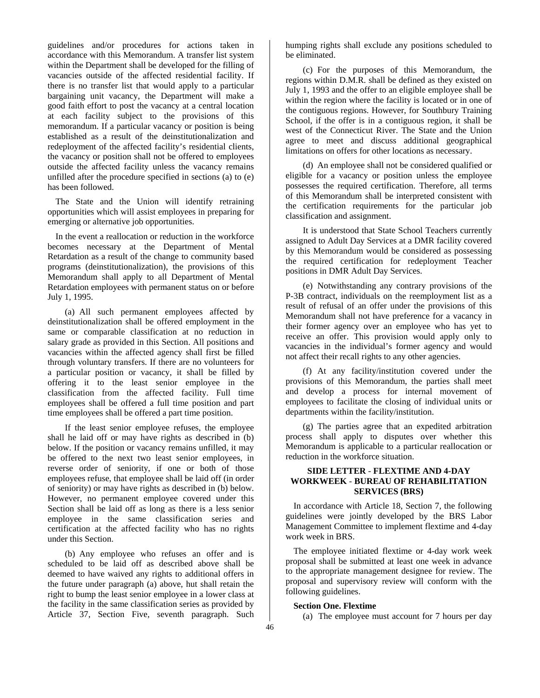guidelines and/or procedures for actions taken in accordance with this Memorandum. A transfer list system within the Department shall be developed for the filling of vacancies outside of the affected residential facility. If there is no transfer list that would apply to a particular bargaining unit vacancy, the Department will make a good faith effort to post the vacancy at a central location at each facility subject to the provisions of this memorandum. If a particular vacancy or position is being established as a result of the deinstitutionalization and redeployment of the affected facility's residential clients, the vacancy or position shall not be offered to employees outside the affected facility unless the vacancy remains unfilled after the procedure specified in sections (a) to (e) has been followed.

The State and the Union will identify retraining opportunities which will assist employees in preparing for emerging or alternative job opportunities.

In the event a reallocation or reduction in the workforce becomes necessary at the Department of Mental Retardation as a result of the change to community based programs (deinstitutionalization), the provisions of this Memorandum shall apply to all Department of Mental Retardation employees with permanent status on or before July 1, 1995.

(a) All such permanent employees affected by deinstitutionalization shall be offered employment in the same or comparable classification at no reduction in salary grade as provided in this Section. All positions and vacancies within the affected agency shall first be filled through voluntary transfers. If there are no volunteers for a particular position or vacancy, it shall be filled by offering it to the least senior employee in the classification from the affected facility. Full time employees shall be offered a full time position and part time employees shall be offered a part time position.

If the least senior employee refuses, the employee shall he laid off or may have rights as described in (b) below. If the position or vacancy remains unfilled, it may be offered to the next two least senior employees, in reverse order of seniority, if one or both of those employees refuse, that employee shall be laid off (in order of seniority) or may have rights as described in (b) below. However, no permanent employee covered under this Section shall be laid off as long as there is a less senior employee in the same classification series and certification at the affected facility who has no rights under this Section.

(b) Any employee who refuses an offer and is scheduled to be laid off as described above shall be deemed to have waived any rights to additional offers in the future under paragraph (a) above, hut shall retain the right to bump the least senior employee in a lower class at the facility in the same classification series as provided by Article 37, Section Five, seventh paragraph. Such

humping rights shall exclude any positions scheduled to be eliminated.

(c) For the purposes of this Memorandum, the regions within D.M.R. shall be defined as they existed on July 1, 1993 and the offer to an eligible employee shall be within the region where the facility is located or in one of the contiguous regions. However, for Southbury Training School, if the offer is in a contiguous region, it shall be west of the Connecticut River. The State and the Union agree to meet and discuss additional geographical limitations on offers for other locations as necessary.

(d) An employee shall not be considered qualified or eligible for a vacancy or position unless the employee possesses the required certification. Therefore, all terms of this Memorandum shall be interpreted consistent with the certification requirements for the particular job classification and assignment.

It is understood that State School Teachers currently assigned to Adult Day Services at a DMR facility covered by this Memorandum would be considered as possessing the required certification for redeployment Teacher positions in DMR Adult Day Services.

(e) Notwithstanding any contrary provisions of the P-3B contract, individuals on the reemployment list as a result of refusal of an offer under the provisions of this Memorandum shall not have preference for a vacancy in their former agency over an employee who has yet to receive an offer. This provision would apply only to vacancies in the individual's former agency and would not affect their recall rights to any other agencies.

(f) At any facility/institution covered under the provisions of this Memorandum, the parties shall meet and develop a process for internal movement of employees to facilitate the closing of individual units or departments within the facility/institution.

(g) The parties agree that an expedited arbitration process shall apply to disputes over whether this Memorandum is applicable to a particular reallocation or reduction in the workforce situation.

# **SIDE LETTER** - **FLEXTIME AND 4-DAY WORKWEEK** - **BUREAU OF REHABILITATION SERVICES (BRS)**

In accordance with Article 18, Section 7, the following guidelines were jointly developed by the BRS Labor Management Committee to implement flextime and 4-day work week in BRS.

The employee initiated flextime or 4-day work week proposal shall be submitted at least one week in advance to the appropriate management designee for review. The proposal and supervisory review will conform with the following guidelines.

# **Section One. Flextime**

(a) The employee must account for 7 hours per day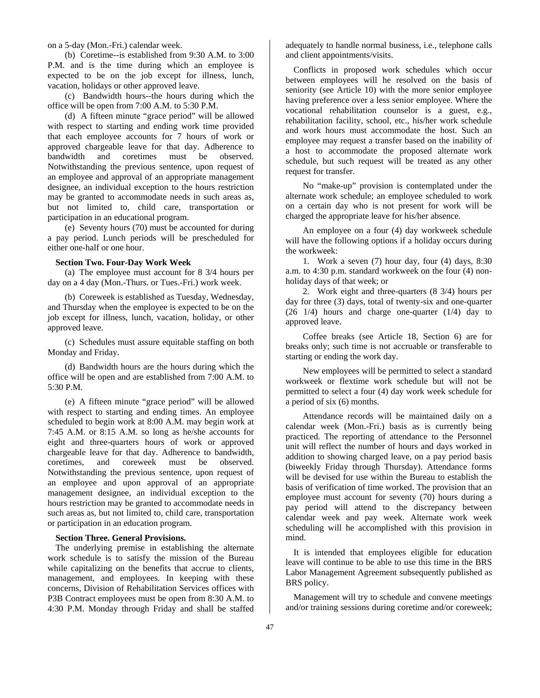on a 5-day (Mon.-Fri.) calendar week.

(b) Coretime--is established from 9:30 A.M. to 3:00 P.M. and is the time during which an employee is expected to be on the job except for illness, lunch, vacation, holidays or other approved leave.

(c) Bandwidth hours--the hours during which the office will be open from 7:00 A.M. to 5:30 P.M.

(d) A fifteen minute "grace period" will be allowed with respect to starting and ending work time provided that each employee accounts for 7 hours of work or approved chargeable leave for that day. Adherence to bandwidth and coretimes must be observed. Notwithstanding the previous sentence, upon request of an employee and approval of an appropriate management designee, an individual exception to the hours restriction may be granted to accommodate needs in such areas as, but not limited to, child care, transportation or participation in an educational program.

(e) Seventy hours (70) must be accounted for during a pay period. Lunch periods will be prescheduled for either one-half or one hour.

### **Section Two. Four-Day Work Week**

(a) The employee must account for 8 3/4 hours per day on a 4 day (Mon.-Thurs. or Tues.-Fri.) work week.

(b) Coreweek is established as Tuesday, Wednesday, and Thursday when the employee is expected to be on the job except for illness, lunch, vacation, holiday, or other approved leave.

(c) Schedules must assure equitable staffing on both Monday and Friday.

(d) Bandwidth hours are the hours during which the office will be open and are established from 7:00 A.M. to 5:30 P.M.

(e) A fifteen minute "grace period" will be allowed with respect to starting and ending times. An employee scheduled to begin work at 8:00 A.M. may begin work at 7:45 A.M. or 8:15 A.M. so long as he/she accounts for eight and three-quarters hours of work or approved chargeable leave for that day. Adherence to bandwidth, coretimes, and coreweek must be observed. Notwithstanding the previous sentence, upon request of an employee and upon approval of an appropriate management designee, an individual exception to the hours restriction may be granted to accommodate needs in such areas as, but not limited to, child care, transportation or participation in an education program.

# **Section Three. General Provisions.**

The underlying premise in establishing the alternate work schedule is to satisfy the mission of the Bureau while capitalizing on the benefits that accrue to clients, management, and employees. In keeping with these concerns, Division of Rehabilitation Services offices with P3B Contract employees must be open from 8:30 A.M. to 4:30 P.M. Monday through Friday and shall be staffed

adequately to handle normal business, i.e., telephone calls and client appointments/visits.

Conflicts in proposed work schedules which occur between employees will he resolved on the basis of seniority (see Article 10) with the more senior employee having preference over a less senior employee. Where the vocational rehabilitation counselor is a guest, e.g., rehabilitation facility, school, etc., his/her work schedule and work hours must accommodate the host. Such an employee may request a transfer based on the inability of a host to accommodate the proposed alternate work schedule, but such request will be treated as any other request for transfer.

No "make-up" provision is contemplated under the alternate work schedule; an employee scheduled to work on a certain day who is not present for work will be charged the appropriate leave for his/her absence.

An employee on a four (4) day workweek schedule will have the following options if a holiday occurs during the workweek:

1. Work a seven (7) hour day, four (4) days, 8:30 a.m. to 4:30 p.m. standard workweek on the four (4) nonholiday days of that week; or

2. Work eight and three-quarters (8 3/4) hours per day for three (3) days, total of twenty-six and one-quarter (26 1/4) hours and charge one-quarter (1/4) day to approved leave.

Coffee breaks (see Article 18, Section 6) are for breaks only; such time is not accruable or transferable to starting or ending the work day.

New employees will be permitted to select a standard workweek or flextime work schedule but will not be permitted to select a four (4) day work week schedule for a period of six (6) months.

Attendance records will be maintained daily on a calendar week (Mon.-Fri.) basis as is currently being practiced. The reporting of attendance to the Personnel unit will reflect the number of hours and days worked in addition to showing charged leave, on a pay period basis (biweekly Friday through Thursday). Attendance forms will be devised for use within the Bureau to establish the basis of verification of time worked. The provision that an employee must account for seventy (70) hours during a pay period will attend to the discrepancy between calendar week and pay week. Alternate work week scheduling will he accomplished with this provision in mind.

It is intended that employees eligible for education leave will continue to be able to use this time in the BRS Labor Management Agreement subsequently published as BRS policy.

Management will try to schedule and convene meetings and/or training sessions during coretime and/or coreweek;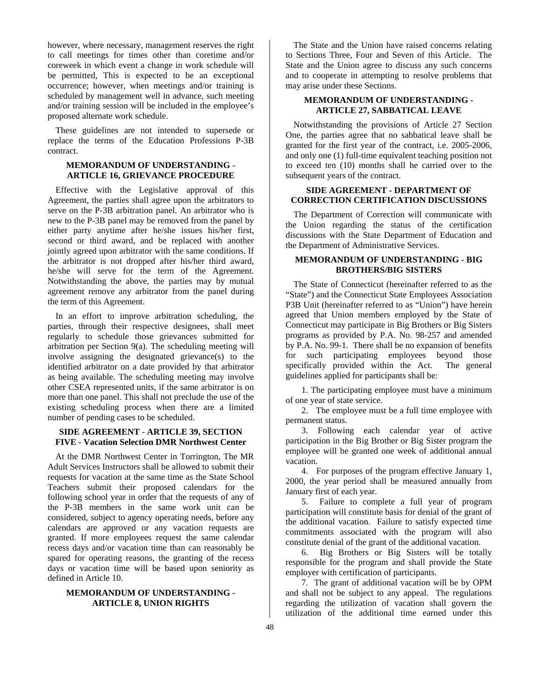however, where necessary, management reserves the right to call meetings for times other than coretime and/or coreweek in which event a change in work schedule will be permitted, This is expected to be an exceptional occurrence; however, when meetings and/or training is scheduled by management well in advance, such meeting and/or training session will be included in the employee's proposed alternate work schedule.

These guidelines are not intended to supersede or replace the terms of the Education Professions P-3B contract.

# **MEMORANDUM OF UNDERSTANDING** - **ARTICLE 16, GRIEVANCE PROCEDURE**

Effective with the Legislative approval of this Agreement, the parties shall agree upon the arbitrators to serve on the P-3B arbitration panel. An arbitrator who is new to the P-3B panel may be removed from the panel by either party anytime after he/she issues his/her first, second or third award, and be replaced with another jointly agreed upon arbitrator with the same conditions. If the arbitrator is not dropped after his/her third award, he/she will serve for the term of the Agreement. Notwithstanding the above, the parties may by mutual agreement remove any arbitrator from the panel during the term of this Agreement.

In an effort to improve arbitration scheduling, the parties, through their respective designees, shall meet regularly to schedule those grievances submitted for arbitration per Section 9(a). The scheduling meeting will involve assigning the designated grievance(s) to the identified arbitrator on a date provided by that arbitrator as being available. The scheduling meeting may involve other CSEA represented units, if the same arbitrator is on more than one panel. This shall not preclude the use of the existing scheduling process when there are a limited number of pending cases to be scheduled.

# **SIDE AGREEMENT** - **ARTICLE 39, SECTION FIVE - Vacation Selection DMR Northwest Center**

At the DMR Northwest Center in Torrington, The MR Adult Services Instructors shall be allowed to submit their requests for vacation at the same time as the State School Teachers submit their proposed calendars for the following school year in order that the requests of any of the P-3B members in the same work unit can be considered, subject to agency operating needs, before any calendars are approved or any vacation requests are granted. If more employees request the same calendar recess days and/or vacation time than can reasonably be spared for operating reasons, the granting of the recess days or vacation time will be based upon seniority as defined in Article 10.

# **MEMORANDUM OF UNDERSTANDING - ARTICLE 8, UNION RIGHTS**

The State and the Union have raised concerns relating to Sections Three, Four and Seven of this Article. The State and the Union agree to discuss any such concerns and to cooperate in attempting to resolve problems that may arise under these Sections.

# **MEMORANDUM OF UNDERSTANDING - ARTICLE 27, SABBATICAL LEAVE**

Notwithstanding the provisions of Article 27 Section One, the parties agree that no sabbatical leave shall be granted for the first year of the contract, i.e. 2005-2006, and only one (1) full-time equivalent teaching position not to exceed ten (10) months shall he carried over to the subsequent years of the contract.

# **SIDE AGREEMENT - DEPARTMENT OF CORRECTION CERTIFICATION DISCUSSIONS**

The Department of Correction will communicate with the Union regarding the status of the certification discussions with the State Department of Education and the Department of Administrative Services.

# **MEMORANDUM OF UNDERSTANDING - BIG BROTHERS/BIG SISTERS**

The State of Connecticut (hereinafter referred to as the "State") and the Connecticut State Employees Association P3B Unit (hereinafter referred to as "Union") have herein agreed that Union members employed by the State of Connecticut may participate in Big Brothers or Big Sisters programs as provided by P.A. No. 98-257 and amended by P.A. No. 99-1. There shall be no expansion of benefits for such participating employees beyond those specifically provided within the Act. The general guidelines applied for participants shall be:

1. The participating employee must have a minimum of one year of state service.

2. The employee must be a full time employee with permanent status.

3. Following each calendar year of active participation in the Big Brother or Big Sister program the employee will be granted one week of additional annual vacation.

4. For purposes of the program effective January 1, 2000, the year period shall be measured annually from January first of each year.

5. Failure to complete a full year of program participation will constitute basis for denial of the grant of the additional vacation. Failure to satisfy expected time commitments associated with the program will also constitute denial of the grant of the additional vacation.

6. Big Brothers or Big Sisters will be totally responsible for the program and shall provide the State employer with certification of participants.

7. The grant of additional vacation will be by OPM and shall not be subject to any appeal. The regulations regarding the utilization of vacation shall govern the utilization of the additional time earned under this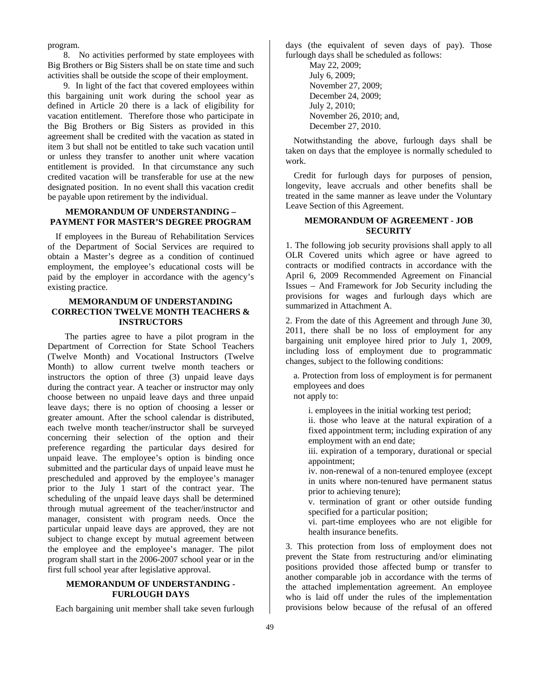program.

8. No activities performed by state employees with Big Brothers or Big Sisters shall be on state time and such activities shall be outside the scope of their employment.

9. In light of the fact that covered employees within this bargaining unit work during the school year as defined in Article 20 there is a lack of eligibility for vacation entitlement. Therefore those who participate in the Big Brothers or Big Sisters as provided in this agreement shall be credited with the vacation as stated in item 3 but shall not be entitled to take such vacation until or unless they transfer to another unit where vacation entitlement is provided. In that circumstance any such credited vacation will be transferable for use at the new designated position. In no event shall this vacation credit be payable upon retirement by the individual.

# **MEMORANDUM OF UNDERSTANDING – PAYMENT FOR MASTER'S DEGREE PROGRAM**

If employees in the Bureau of Rehabilitation Services of the Department of Social Services are required to obtain a Master's degree as a condition of continued employment, the employee's educational costs will be paid by the employer in accordance with the agency's existing practice.

# **MEMORANDUM OF UNDERSTANDING CORRECTION TWELVE MONTH TEACHERS & INSTRUCTORS**

 The parties agree to have a pilot program in the Department of Correction for State School Teachers (Twelve Month) and Vocational Instructors (Twelve Month) to allow current twelve month teachers or instructors the option of three (3) unpaid leave days during the contract year. A teacher or instructor may only choose between no unpaid leave days and three unpaid leave days; there is no option of choosing a lesser or greater amount. After the school calendar is distributed, each twelve month teacher/instructor shall be surveyed concerning their selection of the option and their preference regarding the particular days desired for unpaid leave. The employee's option is binding once submitted and the particular days of unpaid leave must he prescheduled and approved by the employee's manager prior to the July 1 start of the contract year. The scheduling of the unpaid leave days shall be determined through mutual agreement of the teacher/instructor and manager, consistent with program needs. Once the particular unpaid leave days are approved, they are not subject to change except by mutual agreement between the employee and the employee's manager. The pilot program shall start in the 2006-2007 school year or in the first full school year after legislative approval.

# **MEMORANDUM OF UNDERSTANDING - FURLOUGH DAYS**

Each bargaining unit member shall take seven furlough

days (the equivalent of seven days of pay). Those furlough days shall be scheduled as follows:

> May 22, 2009; July 6, 2009; November 27, 2009; December 24, 2009; July 2, 2010; November 26, 2010; and, December 27, 2010.

Notwithstanding the above, furlough days shall be taken on days that the employee is normally scheduled to work.

Credit for furlough days for purposes of pension, longevity, leave accruals and other benefits shall be treated in the same manner as leave under the Voluntary Leave Section of this Agreement.

# **MEMORANDUM OF AGREEMENT - JOB SECURITY**

1. The following job security provisions shall apply to all OLR Covered units which agree or have agreed to contracts or modified contracts in accordance with the April 6, 2009 Recommended Agreement on Financial Issues – And Framework for Job Security including the provisions for wages and furlough days which are summarized in Attachment A.

2. From the date of this Agreement and through June 30, 2011, there shall be no loss of employment for any bargaining unit employee hired prior to July 1, 2009, including loss of employment due to programmatic changes, subject to the following conditions:

a. Protection from loss of employment is for permanent employees and does not apply to:

i. employees in the initial working test period;

ii. those who leave at the natural expiration of a fixed appointment term; including expiration of any employment with an end date;

iii. expiration of a temporary, durational or special appointment;

iv. non-renewal of a non-tenured employee (except in units where non-tenured have permanent status prior to achieving tenure);

v. termination of grant or other outside funding specified for a particular position;

vi. part-time employees who are not eligible for health insurance benefits.

3. This protection from loss of employment does not prevent the State from restructuring and/or eliminating positions provided those affected bump or transfer to another comparable job in accordance with the terms of the attached implementation agreement. An employee who is laid off under the rules of the implementation provisions below because of the refusal of an offered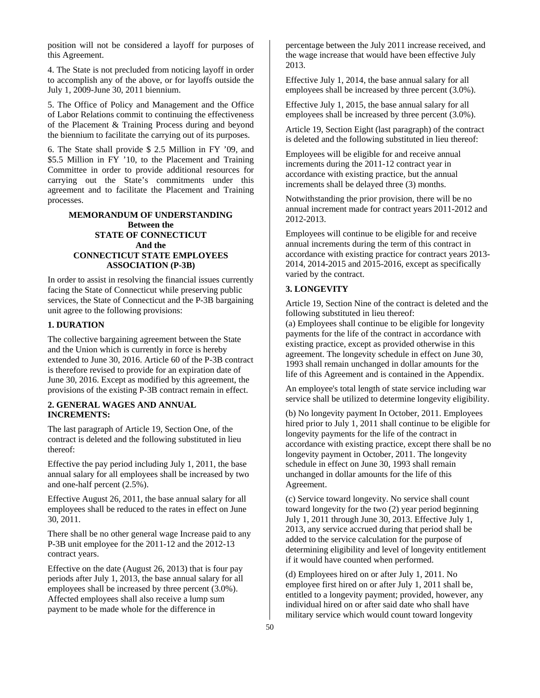position will not be considered a layoff for purposes of this Agreement.

4. The State is not precluded from noticing layoff in order to accomplish any of the above, or for layoffs outside the July 1, 2009-June 30, 2011 biennium.

5. The Office of Policy and Management and the Office of Labor Relations commit to continuing the effectiveness of the Placement & Training Process during and beyond the biennium to facilitate the carrying out of its purposes.

6. The State shall provide \$ 2.5 Million in FY '09, and \$5.5 Million in FY '10, to the Placement and Training Committee in order to provide additional resources for carrying out the State's commitments under this agreement and to facilitate the Placement and Training processes.

# **MEMORANDUM OF UNDERSTANDING Between the STATE OF CONNECTICUT And the CONNECTICUT STATE EMPLOYEES ASSOCIATION (P-3B)**

In order to assist in resolving the financial issues currently facing the State of Connecticut while preserving public services, the State of Connecticut and the P-3B bargaining unit agree to the following provisions:

# **1. DURATION**

The collective bargaining agreement between the State and the Union which is currently in force is hereby extended to June 30, 2016. Article 60 of the P-3B contract is therefore revised to provide for an expiration date of June 30, 2016. Except as modified by this agreement, the provisions of the existing P-3B contract remain in effect.

# **2. GENERAL WAGES AND ANNUAL INCREMENTS:**

The last paragraph of Article 19, Section One, of the contract is deleted and the following substituted in lieu thereof:

Effective the pay period including July 1, 2011, the base annual salary for all employees shall be increased by two and one-half percent (2.5%).

Effective August 26, 2011, the base annual salary for all employees shall be reduced to the rates in effect on June 30, 2011.

There shall be no other general wage Increase paid to any P-3B unit employee for the 2011-12 and the 2012-13 contract years.

Effective on the date (August 26, 2013) that is four pay periods after July 1, 2013, the base annual salary for all employees shall be increased by three percent (3.0%). Affected employees shall also receive a lump sum payment to be made whole for the difference in

percentage between the July 2011 increase received, and the wage increase that would have been effective July 2013.

Effective July 1, 2014, the base annual salary for all employees shall be increased by three percent (3.0%).

Effective July 1, 2015, the base annual salary for all employees shall be increased by three percent (3.0%).

Article 19, Section Eight (last paragraph) of the contract is deleted and the following substituted in lieu thereof:

Employees will be eligible for and receive annual increments during the 2011-12 contract year in accordance with existing practice, but the annual increments shall be delayed three (3) months.

Notwithstanding the prior provision, there will be no annual increment made for contract years 2011-2012 and 2012-2013.

Employees will continue to be eligible for and receive annual increments during the term of this contract in accordance with existing practice for contract years 2013- 2014, 2014-2015 and 2015-2016, except as specifically varied by the contract.

# **3. LONGEVITY**

Article 19, Section Nine of the contract is deleted and the following substituted in lieu thereof:

(a) Employees shall continue to be eligible for longevity payments for the life of the contract in accordance with existing practice, except as provided otherwise in this agreement. The longevity schedule in effect on June 30, 1993 shall remain unchanged in dollar amounts for the life of this Agreement and is contained in the Appendix.

An employee's total length of state service including war service shall be utilized to determine longevity eligibility.

(b) No longevity payment In October, 2011. Employees hired prior to July 1, 2011 shall continue to be eligible for longevity payments for the life of the contract in accordance with existing practice, except there shall be no longevity payment in October, 2011. The longevity schedule in effect on June 30, 1993 shall remain unchanged in dollar amounts for the life of this Agreement.

(c) Service toward longevity. No service shall count toward longevity for the two (2) year period beginning July 1, 2011 through June 30, 2013. Effective July 1, 2013, any service accrued during that period shall be added to the service calculation for the purpose of determining eligibility and level of longevity entitlement if it would have counted when performed.

(d) Employees hired on or after July 1, 2011. No employee first hired on or after July 1, 2011 shall be, entitled to a longevity payment; provided, however, any individual hired on or after said date who shall have military service which would count toward longevity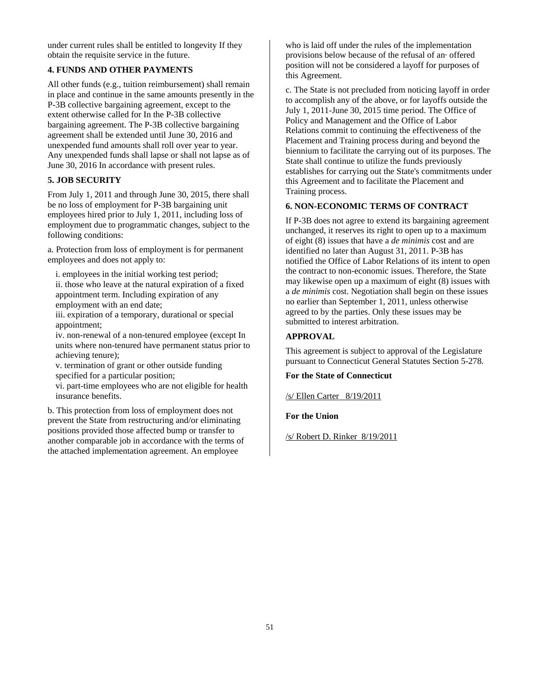under current rules shall be entitled to longevity If they obtain the requisite service in the future.

# **4. FUNDS AND OTHER PAYMENTS**

All other funds (e.g., tuition reimbursement) shall remain in place and continue in the same amounts presently in the P-3B collective bargaining agreement, except to the extent otherwise called for In the P-3B collective bargaining agreement. The P-3B collective bargaining agreement shall be extended until June 30, 2016 and unexpended fund amounts shall roll over year to year. Any unexpended funds shall lapse or shall not lapse as of June 30, 2016 In accordance with present rules.

# **5. JOB SECURITY**

From July 1, 2011 and through June 30, 2015, there shall be no loss of employment for P-3B bargaining unit employees hired prior to July 1, 2011, including loss of employment due to programmatic changes, subject to the following conditions:

a. Protection from loss of employment is for permanent employees and does not apply to:

i. employees in the initial working test period; ii. those who leave at the natural expiration of a fixed appointment term. Including expiration of any employment with an end date;

iii. expiration of a temporary, durational or special appointment;

iv. non-renewal of a non-tenured employee (except In units where non-tenured have permanent status prior to achieving tenure);

v. termination of grant or other outside funding specified for a particular position;

vi. part-time employees who are not eligible for health insurance benefits.

b. This protection from loss of employment does not prevent the State from restructuring and/or eliminating positions provided those affected bump or transfer to another comparable job in accordance with the terms of the attached implementation agreement. An employee

who is laid off under the rules of the implementation provisions below because of the refusal of an· offered position will not be considered a layoff for purposes of this Agreement.

c. The State is not precluded from noticing layoff in order to accomplish any of the above, or for layoffs outside the July 1, 2011-June 30, 2015 time period. The Office of Policy and Management and the Office of Labor Relations commit to continuing the effectiveness of the Placement and Training process during and beyond the biennium to facilitate the carrying out of its purposes. The State shall continue to utilize the funds previously establishes for carrying out the State's commitments under this Agreement and to facilitate the Placement and Training process.

# **6. NON-ECONOMIC TERMS OF CONTRACT**

If P-3B does not agree to extend its bargaining agreement unchanged, it reserves its right to open up to a maximum of eight (8) issues that have a *de minimis* cost and are identified no later than August 31, 2011. P-3B has notified the Office of Labor Relations of its intent to open the contract to non-economic issues. Therefore, the State may likewise open up a maximum of eight (8) issues with a *de minimis* cost. Negotiation shall begin on these issues no earlier than September 1, 2011, unless otherwise agreed to by the parties. Only these issues may be submitted to interest arbitration.

# **APPROVAL**

This agreement is subject to approval of the Legislature pursuant to Connecticut General Statutes Section 5-278.

# **For the State of Connecticut**

/s/ Ellen Carter 8/19/2011

# **For the Union**

/s/ Robert D. Rinker 8/19/2011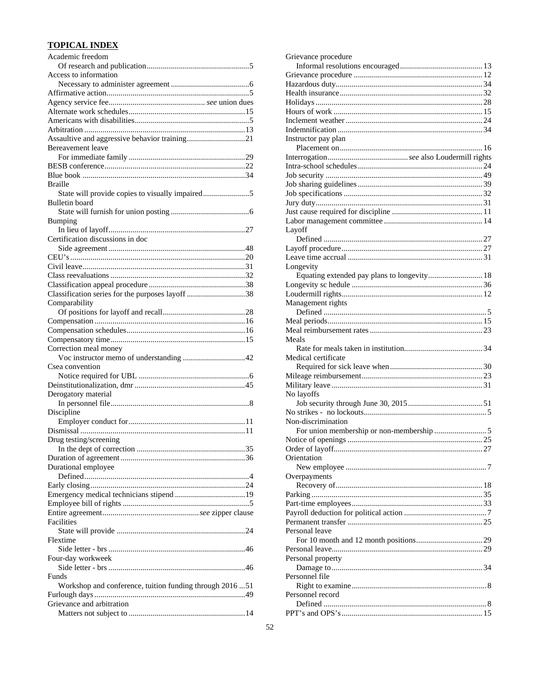# **TOPICAL INDEX**

| Academic freedom                                        |
|---------------------------------------------------------|
|                                                         |
| Access to information                                   |
|                                                         |
|                                                         |
|                                                         |
|                                                         |
|                                                         |
|                                                         |
| Assaultive and aggressive behavior training21           |
| <b>Bereavement</b> leave                                |
|                                                         |
|                                                         |
|                                                         |
| <b>Braille</b>                                          |
| State will provide copies to visually impaired5         |
| <b>Bulletin</b> board                                   |
|                                                         |
| Bumping                                                 |
|                                                         |
| Certification discussions in doc                        |
|                                                         |
|                                                         |
|                                                         |
|                                                         |
|                                                         |
| Classification series for the purposes layoff 38        |
| Comparability                                           |
|                                                         |
|                                                         |
|                                                         |
|                                                         |
|                                                         |
|                                                         |
| Correction meal money                                   |
| Csea convention                                         |
|                                                         |
|                                                         |
|                                                         |
| Derogatory material                                     |
|                                                         |
| Discipline                                              |
|                                                         |
|                                                         |
| Drug testing/screening                                  |
|                                                         |
|                                                         |
| Durational employee                                     |
|                                                         |
|                                                         |
|                                                         |
|                                                         |
|                                                         |
| Facilities                                              |
|                                                         |
| Flextime                                                |
|                                                         |
| Four-day workweek                                       |
|                                                         |
| Funds                                                   |
| Workshop and conference, tuition funding through 201651 |
|                                                         |
| Grievance and arbitration                               |

| Grievance procedure                         |
|---------------------------------------------|
|                                             |
|                                             |
|                                             |
|                                             |
|                                             |
|                                             |
|                                             |
|                                             |
| Instructor pay plan                         |
|                                             |
|                                             |
|                                             |
|                                             |
|                                             |
|                                             |
|                                             |
|                                             |
| Layoff                                      |
|                                             |
|                                             |
|                                             |
| Longevity                                   |
| Equating extended pay plans to longevity 18 |
|                                             |
|                                             |
| Management rights                           |
|                                             |
|                                             |
|                                             |
| Meals                                       |
|                                             |
|                                             |
|                                             |
| Medical certificate                         |
|                                             |
|                                             |
|                                             |
| No layoffs                                  |
|                                             |
| Non-discrimination                          |
|                                             |
|                                             |
|                                             |
| Orientation                                 |
|                                             |
|                                             |
| Overpayments                                |
|                                             |
|                                             |
|                                             |
|                                             |
| Personal leave                              |
|                                             |
|                                             |
| Personal property                           |
|                                             |
| Personnel file                              |
|                                             |
| Personnel record                            |
|                                             |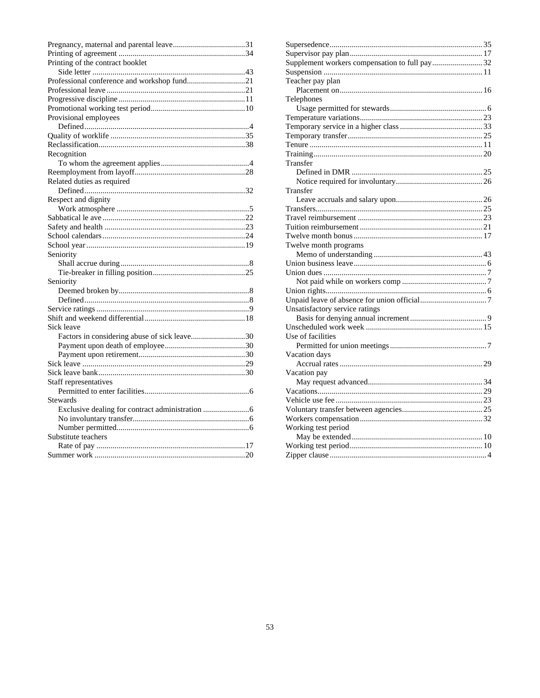| Printing of the contract booklet             |  |
|----------------------------------------------|--|
|                                              |  |
| Professional conference and workshop fund21  |  |
|                                              |  |
|                                              |  |
|                                              |  |
| Provisional employees                        |  |
|                                              |  |
|                                              |  |
|                                              |  |
| Recognition                                  |  |
|                                              |  |
|                                              |  |
| Related duties as required                   |  |
|                                              |  |
| Respect and dignity                          |  |
|                                              |  |
|                                              |  |
|                                              |  |
|                                              |  |
|                                              |  |
| Seniority                                    |  |
|                                              |  |
|                                              |  |
| Seniority                                    |  |
|                                              |  |
|                                              |  |
|                                              |  |
|                                              |  |
| Sick leave                                   |  |
| Factors in considering abuse of sick leave30 |  |
|                                              |  |
|                                              |  |
|                                              |  |
|                                              |  |
|                                              |  |
| Staff representatives                        |  |
| Stewards                                     |  |
|                                              |  |
|                                              |  |
|                                              |  |
|                                              |  |
| Substitute teachers                          |  |
|                                              |  |
|                                              |  |

| Supplement workers compensation to full pay 32 |  |
|------------------------------------------------|--|
|                                                |  |
| Teacher pay plan                               |  |
|                                                |  |
| Telephones                                     |  |
|                                                |  |
|                                                |  |
|                                                |  |
|                                                |  |
|                                                |  |
|                                                |  |
| Transfer                                       |  |
|                                                |  |
|                                                |  |
| Transfer                                       |  |
|                                                |  |
|                                                |  |
|                                                |  |
|                                                |  |
|                                                |  |
| Twelve month programs                          |  |
|                                                |  |
|                                                |  |
|                                                |  |
|                                                |  |
|                                                |  |
|                                                |  |
| Unsatisfactory service ratings                 |  |
|                                                |  |
|                                                |  |
| Use of facilities                              |  |
|                                                |  |
| Vacation days                                  |  |
|                                                |  |
| Vacation pay                                   |  |
|                                                |  |
|                                                |  |
|                                                |  |
|                                                |  |
|                                                |  |
| Working test period                            |  |
|                                                |  |
|                                                |  |
|                                                |  |
|                                                |  |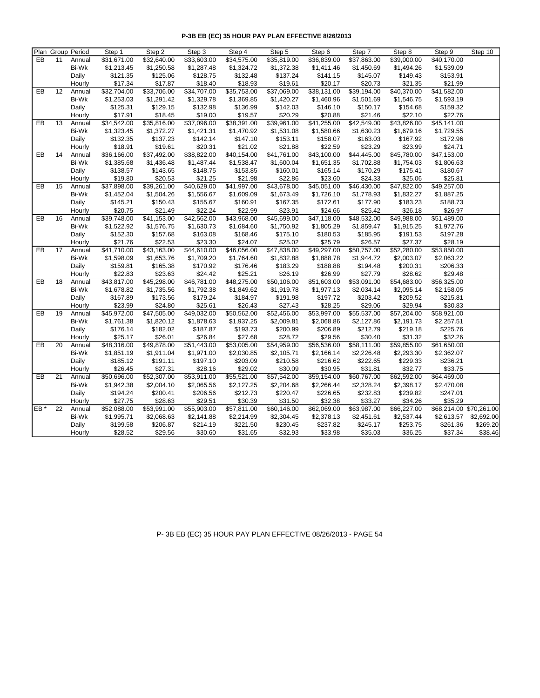|     |                 | Plan Group Period | Step 1                  | Step 2      | Step 3      | Step 4      | Step 5      | Step 6      | Step 7      | Step 8      | Step 9                  | Step 10    |
|-----|-----------------|-------------------|-------------------------|-------------|-------------|-------------|-------------|-------------|-------------|-------------|-------------------------|------------|
| EB  | 11              | Annual            | \$31,671.00             | \$32,640.00 | \$33,603.00 | \$34,575.00 | \$35,819.00 | \$36,839.00 | \$37,863.00 | \$39,000.00 | \$40,170.00             |            |
|     |                 | <b>Bi-Wk</b>      | \$1,213.45              | \$1,250.58  | \$1,287.48  | \$1,324.72  | \$1,372.38  | \$1,411.46  | \$1,450.69  | \$1,494.26  | \$1,539.09              |            |
|     |                 | Daily             | \$121.35                | \$125.06    | \$128.75    | \$132.48    | \$137.24    | \$141.15    | \$145.07    | \$149.43    | \$153.91                |            |
|     |                 | Hourly            | \$17.34                 | \$17.87     | \$18.40     | \$18.93     | \$19.61     | \$20.17     | \$20.73     | \$21.35     | \$21.99                 |            |
| EB  | 12              | Annual            | $\overline{$}32,704.00$ | \$33,706.00 | \$34,707.00 | \$35,753.00 | \$37,069.00 | \$38,131.00 | \$39,194.00 | \$40,370.00 | \$41,582.00             |            |
|     |                 | Bi-Wk             | \$1,253.03              | \$1,291.42  | \$1,329.78  | \$1,369.85  | \$1,420.27  | \$1,460.96  | \$1,501.69  | \$1,546.75  | \$1,593.19              |            |
|     |                 | Daily             | \$125.31                | \$129.15    | \$132.98    | \$136.99    | \$142.03    | \$146.10    | \$150.17    | \$154.68    | \$159.32                |            |
|     |                 | Hourly            | \$17.91                 | \$18.45     | \$19.00     | \$19.57     | \$20.29     | \$20.88     | \$21.46     | \$22.10     | \$22.76                 |            |
| EB  | 13              | Annual            | \$34,542.00             | \$35,816.00 | \$37,096.00 | \$38,391.00 | \$39,961.00 | \$41,255.00 | \$42,549.00 | \$43,826.00 | \$45,141.00             |            |
|     |                 | Bi-Wk             | \$1,323.45              | \$1,372.27  | \$1,421.31  | \$1,470.92  | \$1,531.08  | \$1,580.66  | \$1,630.23  | \$1,679.16  | \$1,729.55              |            |
|     |                 | Daily             | \$132.35                | \$137.23    | \$142.14    | \$147.10    | \$153.11    | \$158.07    | \$163.03    | \$167.92    | \$172.96                |            |
|     |                 | Hourly            | \$18.91                 | \$19.61     | \$20.31     | \$21.02     | \$21.88     | \$22.59     | \$23.29     | \$23.99     | \$24.71                 |            |
| EB  | 14              | Annual            | \$36,166.00             | \$37,492.00 | \$38,822.00 | \$40,154.00 | \$41,761.00 | \$43,100.00 | \$44,445.00 | \$45,780.00 | \$47,153.00             |            |
|     |                 | <b>Bi-Wk</b>      | \$1,385.68              | \$1,436.48  | \$1,487.44  | \$1,538.47  | \$1,600.04  | \$1,651.35  | \$1,702.88  | \$1,754.03  | \$1,806.63              |            |
|     |                 | Daily             | \$138.57                | \$143.65    | \$148.75    | \$153.85    | \$160.01    | \$165.14    | \$170.29    | \$175.41    | \$180.67                |            |
|     |                 | Hourly            | \$19.80                 | \$20.53     | \$21.25     | \$21.98     | \$22.86     | \$23.60     | \$24.33     | \$25.06     | \$25.81                 |            |
| EB  | 15              | Annual            | \$37,898.00             | \$39,261.00 | \$40,629.00 | \$41,997.00 | \$43,678.00 | \$45,051.00 | \$46,430.00 | \$47,822.00 | \$49,257.00             |            |
|     |                 | Bi-Wk             | \$1,452.04              | \$1,504.26  | \$1,556.67  | \$1,609.09  | \$1,673.49  | \$1,726.10  | \$1,778.93  | \$1,832.27  | \$1,887.25              |            |
|     |                 | Daily             | \$145.21                | \$150.43    | \$155.67    | \$160.91    | \$167.35    | \$172.61    | \$177.90    | \$183.23    | \$188.73                |            |
|     |                 | Hourly            | \$20.75                 | \$21.49     | \$22.24     | \$22.99     | \$23.91     | \$24.66     | \$25.42     | \$26.18     | \$26.97                 |            |
| EB  | 16              | Annual            | \$39,748.00             | \$41,153.00 | \$42,562.00 | \$43,968.00 | \$45,699.00 | \$47,118.00 | \$48,532.00 | \$49,988.00 | \$51,489.00             |            |
|     |                 | Bi-Wk             | \$1,522.92              | \$1,576.75  | \$1,630.73  | \$1,684.60  | \$1,750.92  | \$1,805.29  | \$1,859.47  | \$1,915.25  | \$1,972.76              |            |
|     |                 | Daily             | \$152.30                | \$157.68    | \$163.08    | \$168.46    | \$175.10    | \$180.53    | \$185.95    | \$191.53    | \$197.28                |            |
|     |                 | Hourly            | \$21.76                 | \$22.53     | \$23.30     | \$24.07     | \$25.02     | \$25.79     | \$26.57     | \$27.37     | \$28.19                 |            |
| EB  | 17              | Annual            | \$41,710.00             | \$43,163.00 | \$44,610.00 | \$46,056.00 | \$47,838.00 | \$49,297.00 | \$50,757.00 | \$52,280.00 | \$53,850.00             |            |
|     |                 | Bi-Wk             | \$1,598.09              | \$1,653.76  | \$1,709.20  | \$1,764.60  | \$1,832.88  | \$1,888.78  | \$1,944.72  | \$2,003.07  | \$2,063.22              |            |
|     |                 | Daily             | \$159.81                | \$165.38    | \$170.92    | \$176.46    | \$183.29    | \$188.88    | \$194.48    | \$200.31    | \$206.33                |            |
|     |                 | Hourly            | \$22.83                 | \$23.63     | \$24.42     | \$25.21     | \$26.19     | \$26.99     | \$27.79     | \$28.62     | \$29.48                 |            |
| EB  | 18              | Annual            | \$43,817.00             | \$45,298.00 | \$46,781.00 | \$48,275.00 | \$50,106.00 | \$51,603.00 | \$53,091.00 | \$54,683.00 | \$56,325.00             |            |
|     |                 | Bi-Wk             | \$1,678.82              | \$1,735.56  | \$1,792.38  | \$1,849.62  | \$1,919.78  | \$1,977.13  | \$2,034.14  | \$2,095.14  | \$2,158.05              |            |
|     |                 | Daily             | \$167.89                | \$173.56    | \$179.24    | \$184.97    | \$191.98    | \$197.72    | \$203.42    | \$209.52    | \$215.81                |            |
|     |                 | Hourly            | \$23.99                 | \$24.80     | \$25.61     | \$26.43     | \$27.43     | \$28.25     | \$29.06     | \$29.94     | \$30.83                 |            |
| EB  | 19              | Annual            | \$45,972.00             | \$47,505.00 | \$49,032.00 | \$50,562.00 | \$52,456.00 | \$53,997.00 | \$55,537.00 | \$57,204.00 | \$58,921.00             |            |
|     |                 | Bi-Wk             | \$1,761.38              | \$1,820.12  | \$1,878.63  | \$1,937.25  | \$2,009.81  | \$2,068.86  | \$2,127.86  | \$2,191.73  | \$2,257.51              |            |
|     |                 | Daily             | \$176.14                | \$182.02    | \$187.87    | \$193.73    | \$200.99    | \$206.89    | \$212.79    | \$219.18    | \$225.76                |            |
|     |                 | Hourly            | \$25.17                 | \$26.01     | \$26.84     | \$27.68     | \$28.72     | \$29.56     | \$30.40     | \$31.32     | \$32.26                 |            |
| EB  | 20              | Annual            | \$48,316.00             | \$49,878.00 | \$51,443.00 | \$53,005.00 | \$54,959.00 | \$56,536.00 | \$58,111.00 | \$59,855.00 | \$61,650.00             |            |
|     |                 | Bi-Wk             | \$1,851.19              | \$1,911.04  | \$1,971.00  | \$2,030.85  | \$2,105.71  | \$2,166.14  | \$2,226.48  | \$2,293.30  | \$2,362.07              |            |
|     |                 | Daily             | \$185.12                | \$191.11    | \$197.10    | \$203.09    | \$210.58    | \$216.62    | \$222.65    | \$229.33    | \$236.21                |            |
|     |                 | Hourly            | \$26.45                 | \$27.31     | \$28.16     | \$29.02     | \$30.09     | \$30.95     | \$31.81     | \$32.77     | \$33.75                 |            |
| EB  | 21              | Annual            | \$50,696.00             | \$52,307.00 | \$53,911.00 | \$55,521.00 | \$57,542.00 | \$59,154.00 | \$60,767.00 | \$62,592.00 | \$64,469.00             |            |
|     |                 | Bi-Wk             | \$1,942.38              | \$2,004.10  | \$2,065.56  | \$2,127.25  | \$2,204.68  | \$2,266.44  | \$2,328.24  | \$2,398.17  | \$2,470.08              |            |
|     |                 | Daily             | \$194.24                | \$200.41    | \$206.56    | \$212.73    | \$220.47    | \$226.65    | \$232.83    | \$239.82    | \$247.01                |            |
|     |                 | Hourly            | \$27.75                 | \$28.63     | \$29.51     | \$30.39     | \$31.50     | \$32.38     | \$33.27     | \$34.26     | \$35.29                 |            |
| EB* | $\overline{22}$ | Annual            | \$52,088.00             | \$53,991.00 | \$55,903.00 | \$57,811.00 | \$60,146.00 | \$62,069.00 | \$63,987.00 | \$66,227.00 | \$68,214.00 \$70,261.00 |            |
|     |                 | <b>Bi-Wk</b>      | \$1,995.71              | \$2,068.63  | \$2,141.88  | \$2,214.99  | \$2,304.45  | \$2,378.13  | \$2,451.61  | \$2,537.44  | \$2,613.57              | \$2,692.00 |
|     |                 | Daily             | \$199.58                | \$206.87    | \$214.19    | \$221.50    | \$230.45    | \$237.82    | \$245.17    | \$253.75    | \$261.36                | \$269.20   |
|     |                 | Hourly            | \$28.52                 | \$29.56     | \$30.60     | \$31.65     | \$32.93     | \$33.98     | \$35.03     | \$36.25     | \$37.34                 | \$38.46    |

P- 3B EB (EC) 35 HOUR PAY PLAN EFFECTIVE 08/26/2013 - PAGE 54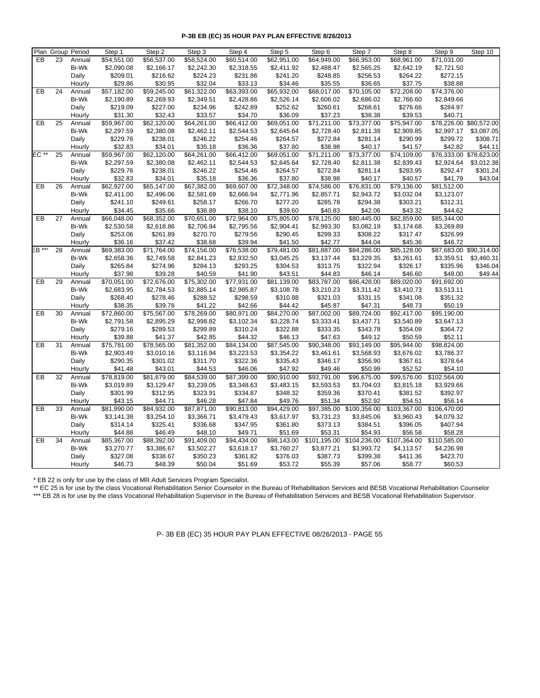|        |    | Plan Group Period | Step 1      | Step 2      | Step 3      | Step 4      | Step 5      | Step 6       | Step 7                   | Step 8       | Step 9                  | Step 10    |
|--------|----|-------------------|-------------|-------------|-------------|-------------|-------------|--------------|--------------------------|--------------|-------------------------|------------|
| EB     | 23 | Annual            | \$54,551.00 | \$56,537.00 | \$58,524.00 | \$60,514.00 | \$62,951.00 | \$64,949.00  | \$66,953.00              | \$68,961.00  | \$71,031.00             |            |
|        |    | Bi-Wk             | \$2,090.08  | \$2,166.17  | \$2,242.30  | \$2,318.55  | \$2,411.92  | \$2,488.47   | \$2,565.25               | \$2,642.19   | \$2,721.50              |            |
|        |    | Daily             | \$209.01    | \$216.62    | \$224.23    | \$231.86    | \$241.20    | \$248.85     | \$256.53                 | \$264.22     | \$272.15                |            |
|        |    | Hourly            | \$29.86     | \$30.95     | \$32.04     | \$33.13     | \$34.46     | \$35.55      | \$36.65                  | \$37.75      | \$38.88                 |            |
| EB     | 24 | Annual            | \$57,182.00 | \$59,245.00 | \$61,322.00 | \$63,393.00 | \$65,932.00 | \$68,017.00  | \$70,105.00              | \$72,208.00  | \$74,376.00             |            |
|        |    | <b>Bi-Wk</b>      | \$2,190.89  | \$2,269.93  | \$2,349.51  | \$2,428.86  | \$2,526.14  | \$2,606.02   | \$2,686.02               | \$2,766.60   | \$2,849.66              |            |
|        |    | Daily             | \$219.09    | \$227.00    | \$234.96    | \$242.89    | \$252.62    | \$260.61     | \$268.61                 | \$276.66     | \$284.97                |            |
|        |    | Hourly            | \$31.30     | \$32.43     | \$33.57     | \$34.70     | \$36.09     | \$37.23      | \$38.38                  | \$39.53      | \$40.71                 |            |
| EB     | 25 | Annual            | \$59,967.00 | \$62,120.00 | \$64,261.00 | \$66,412.00 | \$69,051.00 | \$71,211.00  | \$73,377.00              | \$75,947.00  | \$78,226.00 \$80,572.00 |            |
|        |    | Bi-Wk             | \$2,297.59  | \$2,380.08  | \$2,462.11  | \$2,544.53  | \$2,645.64  | \$2,728.40   | \$2,811.38               | \$2,909.85   | \$2,997.17              | \$3,087.05 |
|        |    | Daily             | \$229.76    | \$238.01    | \$246.22    | \$254.46    | \$264.57    | \$272.84     | \$281.14                 | \$290.99     | \$299.72                | \$308.71   |
|        |    | Hourly            | \$32.83     | \$34.01     | \$35.18     | \$36.36     | \$37.80     | \$38.98      | \$40.17                  | \$41.57      | \$42.82                 | \$44.11    |
| EC **  | 25 | Annual            | \$59,967.00 | \$62,120.00 | \$64,261.00 | \$66,412.00 | \$69,051.00 | \$71,211.00  | \$73,377.00              | \$74,109.00  | \$76,333.00 \$78,623.00 |            |
|        |    | <b>Bi-Wk</b>      | \$2,297.59  | \$2,380.08  | \$2,462.11  | \$2,544.53  | \$2,645.64  | \$2,728.40   | \$2,811.38               | \$2,839.43   | \$2,924.64              | \$3,012.38 |
|        |    | Daily             | \$229.76    | \$238.01    | \$246.22    | \$254.46    | \$264.57    | \$272.84     | \$281.14                 | \$283.95     | \$292.47                | \$301.24   |
|        |    | Hourly            | \$32.83     | \$34.01     | \$35.18     | \$36.36     | \$37.80     | \$38.98      | \$40.17                  | \$40.57      | \$41.79                 | \$43.04    |
| EB     | 26 | Annual            | \$62,927.00 | \$65,147.00 | \$67,382.00 | \$69,607.00 | \$72,348.00 | \$74,586.00  | \$76,831.00              | \$79,136.00  | \$81,512.00             |            |
|        |    | <b>Bi-Wk</b>      | \$2,411.00  | \$2,496.06  | \$2,581.69  | \$2,666.94  | \$2,771.96  | \$2,857.71   | \$2,943.72               | \$3,032.04   | \$3,123.07              |            |
|        |    | Daily             | \$241.10    | \$249.61    | \$258.17    | \$266.70    | \$277.20    | \$285.78     | \$294.38                 | \$303.21     | \$312.31                |            |
|        |    | Hourly            | \$34.45     | \$35.66     | \$36.89     | \$38.10     | \$39.60     | \$40.83      | \$42.06                  | \$43.32      | \$44.62                 |            |
| EB     | 27 | Annual            | \$66,048.00 | \$68,352.00 | \$70,651.00 | \$72,964.00 | \$75,805.00 | \$78,125.00  | \$80,445.00              | \$82,859.00  | \$85,344.00             |            |
|        |    | Bi-Wk             | \$2,530.58  | \$2,618.86  | \$2,706.94  | \$2,795.56  | \$2,904.41  | \$2,993.30   | \$3,082.19               | \$3,174.68   | \$3,269.89              |            |
|        |    | Daily             | \$253.06    | \$261.89    | \$270.70    | \$279.56    | \$290.45    | \$299.33     | \$308.22                 | \$317.47     | \$326.99                |            |
|        |    | Hourly            | \$36.16     | \$37.42     | \$38.68     | \$39.94     | \$41.50     | \$42.77      | \$44.04                  | \$45.36      | \$46.72                 |            |
| EB *** | 28 | Annual            | \$69,383.00 | \$71,764.00 | \$74,156.00 | \$76,538.00 | \$79,481.00 | \$81,887.00  | \$84,286.00              | \$85,128.00  | \$87,683.00 \$90,314.00 |            |
|        |    | Bi-Wk             | \$2,658.36  | \$2,749.58  | \$2,841.23  | \$2,932.50  | \$3,045.25  | \$3,137.44   | \$3,229.35               | \$3,261.61   | \$3,359.51              | \$3,460.31 |
|        |    | Daily             | \$265.84    | \$274.96    | \$284.13    | \$293.25    | \$304.53    | \$313.75     | \$322.94                 | \$326.17     | \$335.96                | \$346.04   |
|        |    | Hourly            | \$37.98     | \$39.28     | \$40.59     | \$41.90     | \$43.51     | \$44.83      | \$46.14                  | \$46.60      | \$48.00                 | \$49.44    |
| EB     | 29 | Annual            | \$70,051.00 | \$72,676.00 | \$75,302.00 | \$77,931.00 | \$81,139.00 | \$83,787.00  | \$86,428.00              | \$89,020.00  | \$91,692.00             |            |
|        |    | <b>Bi-Wk</b>      | \$2,683.95  | \$2,784.53  | \$2,885.14  | \$2,985.87  | \$3,108.78  | \$3,210.23   | \$3,311.42               | \$3,410.73   | \$3,513.11              |            |
|        |    | Daily             | \$268.40    | \$278.46    | \$288.52    | \$298.59    | \$310.88    | \$321.03     | \$331.15                 | \$341.08     | \$351.32                |            |
|        |    | Hourly            | \$38.35     | \$39.78     | \$41.22     | \$42.66     | \$44.42     | \$45.87      | \$47.31                  | \$48.73      | \$50.19                 |            |
| EB     | 30 | Annual            | \$72,860.00 | \$75,567.00 | \$78,269.00 | \$80,971.00 | \$84,270.00 | \$87,002.00  | \$89,724.00              | \$92,417.00  | \$95,190.00             |            |
|        |    | <b>Bi-Wk</b>      | \$2,791.58  | \$2,895.29  | \$2,998.82  | \$3,102.34  | \$3,228.74  | \$3,333.41   | \$3,437.71               | \$3,540.89   | \$3,647.13              |            |
|        |    | Daily             | \$279.16    | \$289.53    | \$299.89    | \$310.24    | \$322.88    | \$333.35     | \$343.78                 | \$354.09     | \$364.72                |            |
|        |    | Hourly            | \$39.88     | \$41.37     | \$42.85     | \$44.32     | \$46.13     | \$47.63      | \$49.12                  | \$50.59      | \$52.11                 |            |
| EB     | 31 | Annual            | \$75,781.00 | \$78,565.00 | \$81,352.00 | \$84,134.00 | \$87,545.00 | \$90,348.00  | \$93,149.00              | \$95,944.00  | \$98,824.00             |            |
|        |    | Bi-Wk             | \$2,903.49  | \$3,010.16  | \$3,116.94  | \$3,223.53  | \$3,354.22  | \$3,461.61   | \$3,568.93               | \$3,676.02   | \$3,786.37              |            |
|        |    | Daily             | \$290.35    | \$301.02    | \$311.70    | \$322.36    | \$335.43    | \$346.17     | \$356.90                 | \$367.61     | \$378.64                |            |
|        |    | Hourly            | \$41.48     | \$43.01     | \$44.53     | \$46.06     | \$47.92     | \$49.46      | \$50.99                  | \$52.52      | \$54.10                 |            |
| EB     | 32 | Annual            | \$78,819.00 | \$81,679.00 | \$84,539.00 | \$87,399.00 | \$90,910.00 | \$93,791.00  | \$96,675.00              | \$99,576.00  | \$102,564.00            |            |
|        |    | Bi-Wk             | \$3,019.89  | \$3,129.47  | \$3,239.05  | \$3,348.63  | \$3,483.15  | \$3,593.53   | \$3,704.03               | \$3,815.18   | \$3,929.66              |            |
|        |    | Daily             | \$301.99    | \$312.95    | \$323.91    | \$334.87    | \$348.32    | \$359.36     | \$370.41                 | \$381.52     | \$392.97                |            |
|        |    | Hourly            | \$43.15     | \$44.71     | \$46.28     | \$47.84     | \$49.76     | \$51.34      | \$52.92                  | \$54.51      | \$56.14                 |            |
| EB     | 33 | Annual            | \$81,990.00 | \$84,932.00 | \$87,871.00 | \$90,813.00 | \$94,429.00 |              | \$97,385.00 \$100,356.00 | \$103,367.00 | \$106,470.00            |            |
|        |    | Bi-Wk             | \$3,141.38  | \$3,254.10  | \$3,366.71  | \$3,479.43  | \$3,617.97  | \$3,731.23   | \$3,845.06               | \$3,960.43   | \$4,079.32              |            |
|        |    | Daily             | \$314.14    | \$325.41    | \$336.68    | \$347.95    | \$361.80    | \$373.13     | \$384.51                 | \$396.05     | \$407.94                |            |
|        |    | Hourly            | \$44.88     | \$46.49     | \$48.10     | \$49.71     | \$51.69     | \$53.31      | \$54.93                  | \$56.58      | \$58.28                 |            |
| EB     | 34 | Annual            | \$85,367.00 | \$88,392.00 | \$91,409.00 | \$94,434.00 | \$98,143.00 | \$101,195.00 | \$104,236.00             | \$107,364.00 | \$110,585.00            |            |
|        |    | Bi-Wk             | \$3,270.77  | \$3,386.67  | \$3,502.27  | \$3,618.17  | \$3,760.27  | \$3,877.21   | \$3,993.72               | \$4,113.57   | \$4,236.98              |            |
|        |    | Daily             | \$327.08    | \$338.67    | \$350.23    | \$361.82    | \$376.03    | \$387.73     | \$399.38                 | \$411.36     | \$423.70                |            |
|        |    | Hourly            | \$46.73     | \$48.39     | \$50.04     | \$51.69     | \$53.72     | \$55.39      | \$57.06                  | \$58.77      | \$60.53                 |            |

\* EB 22 is only for use by the class of MR Adult Services Program Specialist.

\*\* EC 25 is for use by the class Vocational Rehabilitation Senior Counselor in the Bureau of Rehabilitation Services and BESB Vocational Rehabilitation Counselor \*\*\* EB 28 is for use by the class Vocational Rehabilitation Supervisor in the Bureau of Rehabilitation Services and BESB Vocational Rehabilitation Supervisor.

P- 3B EB (EC) 35 HOUR PAY PLAN EFFECTIVE 08/26/2013 - PAGE 55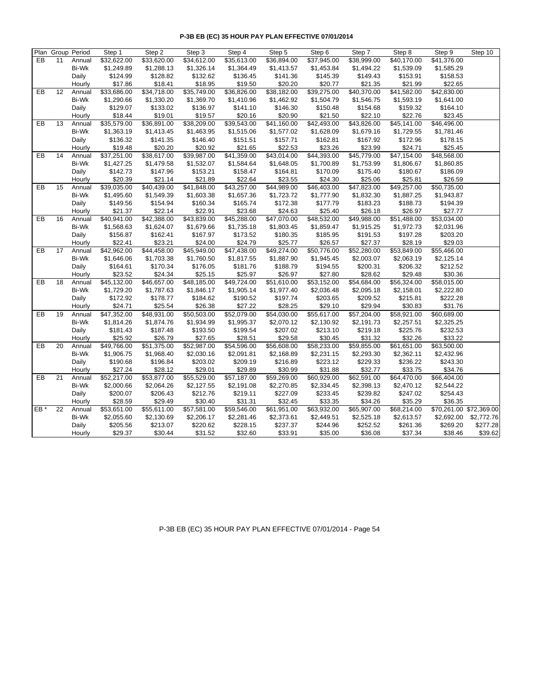|     |    | Plan Group Period | Step 1      | Step 2      | Step 3      | $\overline{\mathsf{Step 4}}$ | Step 5      | Step 6      | Step 7      | Step 8      | Step 9                  | Step 10    |
|-----|----|-------------------|-------------|-------------|-------------|------------------------------|-------------|-------------|-------------|-------------|-------------------------|------------|
| EB  | 11 | Annual            | \$32,622.00 | \$33,620.00 | \$34,612.00 | \$35,613.00                  | \$36,894.00 | \$37,945.00 | \$38,999.00 | \$40,170.00 | \$41,376.00             |            |
|     |    | Bi-Wk             | \$1,249.89  | \$1,288.13  | \$1,326.14  | \$1,364.49                   | \$1,413.57  | \$1,453.84  | \$1,494.22  | \$1,539.09  | \$1,585.29              |            |
|     |    | Daily             | \$124.99    | \$128.82    | \$132.62    | \$136.45                     | \$141.36    | \$145.39    | \$149.43    | \$153.91    | \$158.53                |            |
|     |    | Hourly            | \$17.86     | \$18.41     | \$18.95     | \$19.50                      | \$20.20     | \$20.77     | \$21.35     | \$21.99     | \$22.65                 |            |
| EB  | 12 | Annual            | \$33,686.00 | \$34,718.00 | \$35,749.00 | \$36,826.00                  | \$38,182.00 | \$39,275.00 | \$40,370.00 | \$41,582.00 | \$42,830.00             |            |
|     |    | Bi-Wk             | \$1,290.66  | \$1,330.20  | \$1,369.70  | \$1,410.96                   | \$1,462.92  | \$1,504.79  | \$1,546.75  | \$1,593.19  | \$1,641.00              |            |
|     |    | Daily             | \$129.07    | \$133.02    | \$136.97    | \$141.10                     | \$146.30    | \$150.48    | \$154.68    | \$159.32    | \$164.10                |            |
|     |    | Hourly            | \$18.44     | \$19.01     | \$19.57     | \$20.16                      | \$20.90     | \$21.50     | \$22.10     | \$22.76     | \$23.45                 |            |
| EB  | 13 | Annual            | \$35,579.00 | \$36,891.00 | \$38,209.00 | \$39,543.00                  | \$41,160.00 | \$42,493.00 | \$43,826.00 | \$45,141.00 | \$46,496.00             |            |
|     |    | Bi-Wk             | \$1,363.19  | \$1,413.45  | \$1,463.95  | \$1,515.06                   | \$1,577.02  | \$1,628.09  | \$1,679.16  | \$1,729.55  | \$1,781.46              |            |
|     |    | Daily             | \$136.32    | \$141.35    | \$146.40    | \$151.51                     | \$157.71    | \$162.81    | \$167.92    | \$172.96    | \$178.15                |            |
|     |    | Hourly            | \$19.48     | \$20.20     | \$20.92     | \$21.65                      | \$22.53     | \$23.26     | \$23.99     | \$24.71     | \$25.45                 |            |
| EB  | 14 | Annual            | \$37,251.00 | \$38,617.00 | \$39,987.00 | \$41,359.00                  | \$43,014.00 | \$44,393.00 | \$45,779.00 | \$47,154.00 | \$48,568.00             |            |
|     |    | Bi-Wk             | \$1,427.25  | \$1,479.58  | \$1,532.07  | \$1,584.64                   | \$1,648.05  | \$1,700.89  | \$1,753.99  | \$1,806.67  | \$1,860.85              |            |
|     |    | Daily             | \$142.73    | \$147.96    | \$153.21    | \$158.47                     | \$164.81    | \$170.09    | \$175.40    | \$180.67    | \$186.09                |            |
|     |    | Hourly            | \$20.39     | \$21.14     | \$21.89     | \$22.64                      | \$23.55     | \$24.30     | \$25.06     | \$25.81     | \$26.59                 |            |
| EB  | 15 | Annual            | \$39,035.00 | \$40,439.00 | \$41,848.00 | \$43,257.00                  | \$44,989.00 | \$46,403.00 | \$47,823.00 | \$49,257.00 | \$50,735.00             |            |
|     |    | Bi-Wk             | \$1,495.60  | \$1,549.39  | \$1,603.38  | \$1,657.36                   | \$1,723.72  | \$1,777.90  | \$1,832.30  | \$1,887.25  | \$1,943.87              |            |
|     |    | Daily             | \$149.56    | \$154.94    | \$160.34    | \$165.74                     | \$172.38    | \$177.79    | \$183.23    | \$188.73    | \$194.39                |            |
|     |    | Hourly            | \$21.37     | \$22.14     | \$22.91     | \$23.68                      | \$24.63     | \$25.40     | \$26.18     | \$26.97     | \$27.77                 |            |
| EB  | 16 | Annual            | \$40,941.00 | \$42,388.00 | \$43,839.00 | \$45,288.00                  | \$47,070.00 | \$48,532.00 | \$49,988.00 | \$51,488.00 | \$53,034.00             |            |
|     |    | Bi-Wk             | \$1,568.63  | \$1,624.07  | \$1,679.66  | \$1,735.18                   | \$1,803.45  | \$1,859.47  | \$1,915.25  | \$1,972.73  | \$2,031.96              |            |
|     |    | Daily             | \$156.87    | \$162.41    | \$167.97    | \$173.52                     | \$180.35    | \$185.95    | \$191.53    | \$197.28    | \$203.20                |            |
|     |    | Hourly            | \$22.41     | \$23.21     | \$24.00     | \$24.79                      | \$25.77     | \$26.57     | \$27.37     | \$28.19     | \$29.03                 |            |
| EB  | 17 | Annual            | \$42,962.00 | \$44,458.00 | \$45,949.00 | \$47,438.00                  | \$49,274.00 | \$50,776.00 | \$52,280.00 | \$53,849.00 | \$55,466.00             |            |
|     |    | Bi-Wk             | \$1,646.06  | \$1,703.38  | \$1,760.50  | \$1,817.55                   | \$1,887.90  | \$1,945.45  | \$2,003.07  | \$2,063.19  | \$2,125.14              |            |
|     |    | Daily             | \$164.61    | \$170.34    | \$176.05    | \$181.76                     | \$188.79    | \$194.55    | \$200.31    | \$206.32    | \$212.52                |            |
|     |    | Hourly            | \$23.52     | \$24.34     | \$25.15     | \$25.97                      | \$26.97     | \$27.80     | \$28.62     | \$29.48     | \$30.36                 |            |
| EB  | 18 | Annual            | \$45,132.00 | \$46,657.00 | \$48,185.00 | \$49,724.00                  | \$51,610.00 | \$53,152.00 | \$54,684.00 | \$56,324.00 | \$58,015.00             |            |
|     |    | Bi-Wk             | \$1,729.20  | \$1,787.63  | \$1,846.17  | \$1,905.14                   | \$1,977.40  | \$2,036.48  | \$2,095.18  | \$2,158.01  | \$2,222.80              |            |
|     |    | Daily             | \$172.92    | \$178.77    | \$184.62    | \$190.52                     | \$197.74    | \$203.65    | \$209.52    | \$215.81    | \$222.28                |            |
|     |    | Hourly            | \$24.71     | \$25.54     | \$26.38     | \$27.22                      | \$28.25     | \$29.10     | \$29.94     | \$30.83     | \$31.76                 |            |
| EB  | 19 | Annual            | \$47,352.00 | \$48,931.00 | \$50,503.00 | \$52,079.00                  | \$54,030.00 | \$55,617.00 | \$57,204.00 | \$58,921.00 | \$60,689.00             |            |
|     |    | Bi-Wk             | \$1,814.26  | \$1,874.76  | \$1,934.99  | \$1,995.37                   | \$2,070.12  | \$2,130.92  | \$2,191.73  | \$2,257.51  | \$2,325.25              |            |
|     |    | Daily             | \$181.43    | \$187.48    | \$193.50    | \$199.54                     | \$207.02    | \$213.10    | \$219.18    | \$225.76    | \$232.53                |            |
|     |    | Hourly            | \$25.92     | \$26.79     | \$27.65     | \$28.51                      | \$29.58     | \$30.45     | \$31.32     | \$32.26     | \$33.22                 |            |
| EB  | 20 | Annual            | \$49,766.00 | \$51,375.00 | \$52,987.00 | \$54,596.00                  | \$56,608.00 | \$58,233.00 | \$59,855.00 | \$61,651.00 | \$63,500.00             |            |
|     |    | Bi-Wk             | \$1,906.75  | \$1,968.40  | \$2,030.16  | \$2,091.81                   | \$2,168.89  | \$2,231.15  | \$2,293.30  | \$2,362.11  | \$2,432.96              |            |
|     |    | Daily             | \$190.68    | \$196.84    | \$203.02    | \$209.19                     | \$216.89    | \$223.12    | \$229.33    | \$236.22    | \$243.30                |            |
|     |    | Hourly            | \$27.24     | \$28.12     | \$29.01     | \$29.89                      | \$30.99     | \$31.88     | \$32.77     | \$33.75     | \$34.76                 |            |
| EB  | 21 | Annual            | \$52,217.00 | \$53,877.00 | \$55,529.00 | \$57,187.00                  | \$59,269.00 | \$60,929.00 | \$62,591.00 | \$64,470.00 | \$66,404.00             |            |
|     |    | Bi-Wk             | \$2,000.66  | \$2,064.26  | \$2,127.55  | \$2,191.08                   | \$2,270.85  | \$2,334.45  | \$2,398.13  | \$2,470.12  | \$2,544.22              |            |
|     |    | Daily             | \$200.07    | \$206.43    | \$212.76    | \$219.11                     | \$227.09    | \$233.45    | \$239.82    | \$247.02    | \$254.43                |            |
|     |    | Hourly            | \$28.59     | \$29.49     | \$30.40     | \$31.31                      | \$32.45     | \$33.35     | \$34.26     | \$35.29     | \$36.35                 |            |
| EB* | 22 | Annual            | \$53,651.00 | \$55,611.00 | \$57,581.00 | \$59,546.00                  | \$61,951.00 | \$63,932.00 | \$65,907.00 | \$68,214.00 | \$70,261.00 \$72,369.00 |            |
|     |    | Bi-Wk             | \$2,055.60  | \$2,130.69  | \$2,206.17  | \$2,281.46                   | \$2,373.61  | \$2,449.51  | \$2,525.18  | \$2,613.57  | \$2,692.00              | \$2,772.76 |
|     |    | Daily             | \$205.56    | \$213.07    | \$220.62    | \$228.15                     | \$237.37    | \$244.96    | \$252.52    | \$261.36    | \$269.20                | \$277.28   |
|     |    | Hourly            | \$29.37     | \$30.44     | \$31.52     | \$32.60                      | \$33.91     | \$35.00     | \$36.08     | \$37.34     | \$38.46                 | \$39.62    |

P-3B EB (EC) 35 HOUR PAY PLAN EFFECTIVE 07/01/2014 - Page 54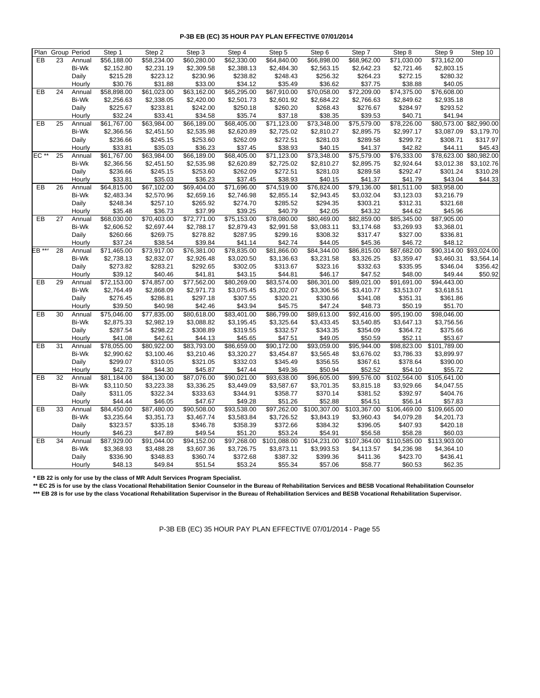|                        | Plan Group Period |                 | Step 1                    | Step 2                    | Step 3                    | Step 4                    | Step 5                    | Step 6                     | Step 7                     | Step 8                     | Step 9                     | Step 10                 |
|------------------------|-------------------|-----------------|---------------------------|---------------------------|---------------------------|---------------------------|---------------------------|----------------------------|----------------------------|----------------------------|----------------------------|-------------------------|
| EB                     | 23                | Annual          | \$56,188.00               | \$58,234.00               | \$60,280.00               | \$62,330.00               | \$64,840.00               | \$66,898.00                | \$68,962.00                | \$71,030.00                | \$73,162.00                |                         |
|                        |                   | Bi-Wk           | \$2,152.80                | \$2,231.19                | \$2,309.58                | \$2,388.13                | \$2,484.30                | \$2,563.15                 | \$2,642.23                 | \$2,721.46                 | \$2,803.15                 |                         |
|                        |                   | Daily           | \$215.28                  | \$223.12                  | \$230.96                  | \$238.82                  | \$248.43                  | \$256.32                   | \$264.23                   | \$272.15                   | \$280.32                   |                         |
|                        |                   | Hourly          | \$30.76                   | \$31.88                   | \$33.00                   | \$34.12                   | \$35.49                   | \$36.62                    | \$37.75                    | \$38.88                    | \$40.05                    |                         |
| $E$ B                  | 24                | Annual          | \$58,898.00               | \$61,023.00               | \$63,162.00               | \$65,295.00               | \$67,910.00               | \$70,058.00                | \$72,209.00                | \$74,375.00                | \$76,608.00                |                         |
|                        |                   | Bi-Wk           | \$2,256.63                | \$2,338.05                | \$2,420.00                | \$2,501.73                | \$2,601.92                | \$2,684.22                 | \$2,766.63                 | \$2,849.62                 | \$2,935.18                 |                         |
|                        |                   | Daily           | \$225.67                  | \$233.81                  | \$242.00                  | \$250.18                  | \$260.20                  | \$268.43                   | \$276.67                   | \$284.97                   | \$293.52                   |                         |
|                        |                   | Hourly          | \$32.24                   | \$33.41                   | \$34.58                   | \$35.74                   | \$37.18                   | \$38.35                    | \$39.53                    | \$40.71                    | \$41.94                    |                         |
| EB                     | 25                | Annual          | \$61,767.00               | \$63,984.00               | \$66,189.00               | \$68,405.00               | \$71,123.00               | \$73,348.00                | \$75,579.00                | \$78,226.00                |                            | \$80,573.00 \$82,990.00 |
|                        |                   | Bi-Wk           | \$2,366.56                | \$2,451.50                | \$2,535.98                | \$2,620.89                | \$2,725.02                | \$2,810.27                 | \$2,895.75                 | \$2,997.17                 | \$3,087.09                 | \$3,179.70              |
|                        |                   | Daily           | \$236.66                  | \$245.15                  | \$253.60                  | \$262.09                  | \$272.51                  | \$281.03                   | \$289.58                   | \$299.72                   | \$308.71                   | \$317.97                |
|                        |                   | Hourly          | \$33.81                   | \$35.03                   | \$36.23                   | \$37.45                   | \$38.93                   | \$40.15                    | \$41.37                    | \$42.82                    | \$44.11                    | \$45.43                 |
| EC <sup>**</sup>       | 25                | Annual          | \$61,767.00               | \$63,984.00               | \$66,189.00               | \$68,405.00               | \$71,123.00               | \$73,348.00                | \$75,579.00                | \$76,333.00                |                            | \$78,623.00 \$80,982.00 |
|                        |                   | Bi-Wk           | \$2,366.56                | \$2,451.50                | \$2,535.98                | \$2,620.89                | \$2,725.02                | \$2,810.27                 | \$2,895.75                 | \$2,924.64                 | \$3,012.38                 | \$3,102.76              |
|                        |                   | Daily           | \$236.66                  | \$245.15                  | \$253.60                  | \$262.09                  | \$272.51                  | \$281.03                   | \$289.58                   | \$292.47                   | \$301.24                   | \$310.28                |
|                        |                   | Hourly          | \$33.81                   | \$35.03                   | \$36.23                   | \$37.45                   | \$38.93                   | \$40.15                    | \$41.37                    | \$41.79                    | \$43.04                    | \$44.33                 |
| EB                     | 26                | Annual          | \$64,815.00               | \$67,102.00               | \$69,404.00               | \$71,696.00               | \$74,519.00               | \$76,824.00                | $\overline{$}79,136.00$    | \$81,511.00                | \$83,958.00                |                         |
|                        |                   | Bi-Wk           | \$2,483.34                | \$2,570.96                | \$2,659.16                | \$2,746.98                | \$2,855.14                | \$2,943.45                 | \$3,032.04                 | \$3,123.03                 | \$3,216.79                 |                         |
|                        |                   | Daily           | \$248.34                  | \$257.10                  | \$265.92                  | \$274.70                  | \$285.52                  | \$294.35                   | \$303.21                   | \$312.31                   | \$321.68                   |                         |
|                        |                   | Hourly          | \$35.48                   | \$36.73                   | \$37.99                   | \$39.25                   | \$40.79                   | \$42.05                    | \$43.32                    | \$44.62                    | \$45.96                    |                         |
| EB                     | 27                | Annual          | \$68,030.00               | \$70,403.00               | \$72,771.00               | \$75,153.00               | \$78,080.00               | \$80,469.00                | $\overline{$82,859.00}$    | \$85,345.00                | \$87,905.00                |                         |
|                        |                   | Bi-Wk           | \$2,606.52                | \$2,697.44                | \$2,788.17                | \$2,879.43                | \$2,991.58                | \$3,083.11                 | \$3,174.68                 | \$3,269.93                 | \$3,368.01                 |                         |
|                        |                   | Daily           | \$260.66                  | \$269.75                  | \$278.82                  | \$287.95                  | \$299.16                  | \$308.32                   | \$317.47                   | \$327.00                   | \$336.81                   |                         |
|                        |                   | Hourly          | \$37.24                   | \$38.54                   | \$39.84                   | \$41.14                   | \$42.74                   | \$44.05                    | \$45.36                    | \$46.72                    | \$48.12                    |                         |
| $EB \stackrel{***}{*}$ | 28                | Annual          | \$71,465.00               | \$73,917.00               | \$76,381.00               | \$78,835.00               | \$81,866.00               | \$84,344.00                | \$86,815.00                | \$87,682.00                |                            | \$90,314.00 \$93,024.00 |
|                        |                   | <b>Bi-Wk</b>    | \$2,738.13                | \$2,832.07                | \$2,926.48                | \$3,020.50                | \$3,136.63                | \$3,231.58                 | \$3,326.25                 | \$3,359.47                 | \$3,460.31                 | \$3,564.14              |
|                        |                   | Daily           | \$273.82                  | \$283.21                  | \$292.65                  | \$302.05                  | \$313.67                  | \$323.16                   | \$332.63                   | \$335.95                   | \$346.04                   | \$356.42                |
|                        |                   | Hourly          | \$39.12                   | \$40.46                   | \$41.81                   | \$43.15                   | \$44.81                   | \$46.17                    | \$47.52                    | \$48.00                    | \$49.44                    | \$50.92                 |
| EB                     | 29                | Annual          | \$72,153.00               | \$74,857.00               | \$77,562.00               | \$80,269.00               | $\overline{$83,574.00}$   | \$86,301.00                | \$89,021.00                | \$91,691.00                | \$94,443.00                |                         |
|                        |                   | Bi-Wk           | \$2,764.49                | \$2,868.09                | \$2,971.73                | \$3,075.45                | \$3,202.07                | \$3,306.56                 | \$3,410.77                 | \$3,513.07                 | \$3,618.51                 |                         |
|                        |                   | Daily           | \$276.45                  | \$286.81                  | \$297.18                  | \$307.55                  | \$320.21                  | \$330.66                   | \$341.08                   | \$351.31                   | \$361.86                   |                         |
|                        |                   | Hourly          | \$39.50                   | \$40.98                   | \$42.46                   | \$43.94                   | \$45.75                   | \$47.24                    | \$48.73                    | \$50.19                    | \$51.70                    |                         |
| EB                     | 30                | Annual          | \$75,046.00               | \$77,835.00               | \$80,618.00               | \$83,401.00               | \$86,799.00               | \$89,613.00                | \$92,416.00                | \$95,190.00                | \$98,046.00                |                         |
|                        |                   | Bi-Wk           | \$2,875.33                | \$2,982.19                | \$3,088.82                | \$3,195.45                | \$3,325.64                | \$3,433.45                 | \$3,540.85                 | \$3,647.13                 | \$3,756.56                 |                         |
|                        |                   | Daily           | \$287.54                  | \$298.22                  | \$308.89                  | \$319.55                  | \$332.57                  | \$343.35                   | \$354.09                   | \$364.72                   | \$375.66                   |                         |
|                        |                   | Hourly          | \$41.08                   | \$42.61                   | \$44.13                   | \$45.65                   | \$47.51                   | \$49.05                    | \$50.59                    | \$52.11                    | \$53.67                    |                         |
| EB                     | 31                | Annual          | \$78,055.00               | \$80,922.00               | \$83,793.00               | \$86,659.00               | \$90,172.00               | \$93,059.00                | \$95,944.00                | \$98,823.00                | \$101,789.00               |                         |
|                        |                   | Bi-Wk           | \$2,990.62                | \$3,100.46                | \$3,210.46                | \$3,320.27                | \$3,454.87                | \$3,565.48                 | \$3,676.02                 | \$3,786.33                 | \$3,899.97                 |                         |
|                        |                   | Daily           | \$299.07                  | \$310.05                  | \$321.05                  | \$332.03                  | \$345.49                  | \$356.55                   | \$367.61                   | \$378.64                   | \$390.00                   |                         |
|                        |                   | Hourly          | \$42.73                   | \$44.30                   | \$45.87                   | \$47.44                   | \$49.36                   | \$50.94                    | \$52.52                    | \$54.10                    | \$55.72                    |                         |
| EB                     | 32                | Annual          | \$81,184.00               | \$84,130.00               | \$87,076.00               | \$90,021.00               | \$93,638.00               | \$96,605.00                | \$99,576.00                | \$102,564.00               | \$105,641.00               |                         |
|                        |                   | Bi-Wk           | \$3,110.50                | \$3,223.38                | \$3,336.25                | \$3,449.09                | \$3,587.67                | \$3,701.35                 | \$3,815.18                 | \$3,929.66                 | \$4,047.55                 |                         |
|                        |                   |                 | \$311.05                  | \$322.34                  | \$333.63                  | \$344.91                  | \$358.77                  | \$370.14                   | \$381.52                   | \$392.97                   | \$404.76                   |                         |
|                        |                   | Daily<br>Hourly | \$44.44                   | \$46.05                   | \$47.67                   | \$49.28                   | \$51.26                   | \$52.88                    | \$54.51                    | \$56.14                    | \$57.83                    |                         |
|                        |                   |                 |                           |                           |                           |                           |                           |                            |                            |                            |                            |                         |
| EB                     | 33                | Annual<br>Bi-Wk | \$84,450.00<br>\$3,235.64 | \$87,480.00<br>\$3,351.73 | \$90,508.00<br>\$3,467.74 | \$93,538.00<br>\$3,583.84 | \$97,262.00<br>\$3,726.52 | \$100,307.00<br>\$3,843.19 | \$103,367.00<br>\$3,960.43 | \$106,469.00<br>\$4,079.28 | \$109,665.00<br>\$4,201.73 |                         |
|                        |                   |                 |                           |                           |                           | \$358.39                  |                           |                            |                            |                            |                            |                         |
|                        |                   | Daily           | \$323.57                  | \$335.18                  | \$346.78                  |                           | \$372.66                  | \$384.32                   | \$396.05                   | \$407.93                   | \$420.18                   |                         |
|                        |                   | Hourly          | \$46.23                   | \$47.89                   | \$49.54                   | \$51.20                   | \$53.24                   | \$54.91                    | \$56.58                    | \$58.28                    | \$60.03                    |                         |
| $E$ B                  | 34                | Annual          | \$87,929.00               | \$91,044.00               | \$94,152.00               | \$97,268.00               | \$101,088.00              | \$104,231.00               | \$107,364.00               | \$110,585.00               | \$113,903.00               |                         |
|                        |                   | Bi-Wk           | \$3,368.93                | \$3,488.28                | \$3,607.36                | \$3,726.75                | \$3,873.11                | \$3,993.53                 | \$4,113.57                 | \$4,236.98                 | \$4,364.10                 |                         |
|                        |                   | Daily           | \$336.90                  | \$348.83                  | \$360.74                  | \$372.68                  | \$387.32                  | \$399.36                   | \$411.36                   | \$423.70                   | \$436.41                   |                         |
|                        |                   | Hourly          | \$48.13                   | \$49.84                   | \$51.54                   | \$53.24                   | \$55.34                   | \$57.06                    | \$58.77                    | \$60.53                    | \$62.35                    |                         |

**\* EB 22 is only for use by the class of MR Adult Services Program Specialist.**

**\*\* EC 25 is for use by the class Vocational Rehabilitation Senior Counselor in the Bureau of Rehabilitation Services and BESB Vocational Rehabilitation Counselor \*\*\* EB 28 is for use by the class Vocational Rehabilitation Supervisor in the Bureau of Rehabilitation Services and BESB Vocational Rehabilitation Supervisor.**

P-3B EB (EC) 35 HOUR PAY PLAN EFFECTIVE 07/01/2014 - Page 55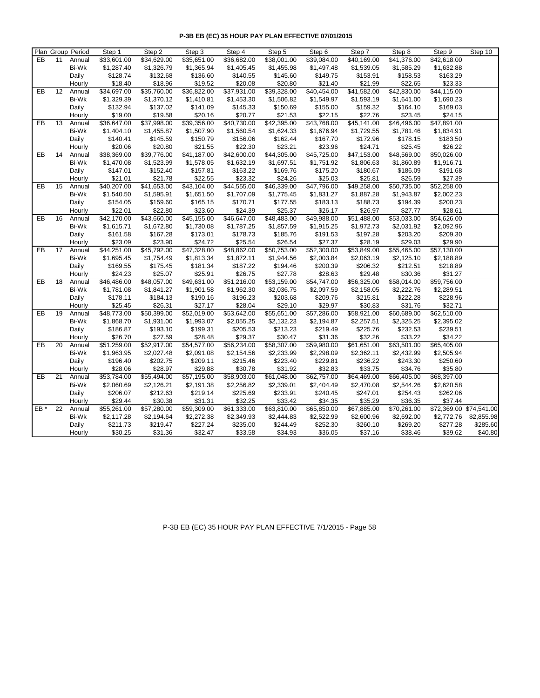| Plan Group Period         | Step 1      | Step 2      | Step 3      | Step 4      | Step 5                  | Step 6      | Step 7                  | Step 8      | Step 9                  | Step 10    |
|---------------------------|-------------|-------------|-------------|-------------|-------------------------|-------------|-------------------------|-------------|-------------------------|------------|
| EB<br>11<br>Annual        | \$33,601.00 | \$34,629.00 | \$35,651.00 | \$36,682.00 | \$38,001.00             | \$39,084.00 | \$40,169.00             | \$41,376.00 | \$42,618.00             |            |
| Bi-Wk                     | \$1,287.40  | \$1,326.79  | \$1,365.94  | \$1,405.45  | \$1,455.98              | \$1,497.48  | \$1,539.05              | \$1,585.29  | \$1,632.88              |            |
| Daily                     | \$128.74    | \$132.68    | \$136.60    | \$140.55    | \$145.60                | \$149.75    | \$153.91                | \$158.53    | \$163.29                |            |
| Hourly                    | \$18.40     | \$18.96     | \$19.52     | \$20.08     | \$20.80                 | \$21.40     | \$21.99                 | \$22.65     | \$23.33                 |            |
| EB<br>12<br>Annual        | \$34,697.00 | \$35,760.00 | \$36,822.00 | \$37,931.00 | \$39,328.00             | \$40,454.00 | \$41,582.00             | \$42,830.00 | \$44,115.00             |            |
| Bi-Wk                     | \$1,329.39  | \$1,370.12  | \$1,410.81  | \$1,453.30  | \$1,506.82              | \$1,549.97  | \$1,593.19              | \$1,641.00  | \$1,690.23              |            |
| Daily                     | \$132.94    | \$137.02    | \$141.09    | \$145.33    | \$150.69                | \$155.00    | \$159.32                | \$164.10    | \$169.03                |            |
| Hourly                    | \$19.00     | \$19.58     | \$20.16     | \$20.77     | \$21.53                 | \$22.15     | \$22.76                 | \$23.45     | \$24.15                 |            |
| <b>EB</b><br>13<br>Annual | \$36,647.00 | \$37,998.00 | \$39,356.00 | \$40,730.00 | \$42,395.00             | \$43,768.00 | \$45,141.00             | \$46,496.00 | \$47,891.00             |            |
| Bi-Wk                     | \$1,404.10  | \$1,455.87  | \$1,507.90  | \$1,560.54  | \$1,624.33              | \$1,676.94  | \$1,729.55              | \$1,781.46  | \$1,834.91              |            |
| Daily                     | \$140.41    | \$145.59    | \$150.79    | \$156.06    | \$162.44                | \$167.70    | \$172.96                | \$178.15    | \$183.50                |            |
| Hourly                    | \$20.06     | \$20.80     | \$21.55     | \$22.30     | \$23.21                 | \$23.96     | \$24.71                 | \$25.45     | \$26.22                 |            |
| EB<br>14<br>Annual        | \$38,369.00 | \$39,776.00 | \$41,187.00 | \$42,600.00 | $\overline{$44,305.00}$ | \$45,725.00 | $\overline{$47,153.00}$ | \$48,569.00 | \$50,026.00             |            |
| Bi-Wk                     | \$1,470.08  | \$1,523.99  | \$1,578.05  | \$1,632.19  | \$1,697.51              | \$1,751.92  | \$1,806.63              | \$1,860.89  | \$1,916.71              |            |
| Daily                     | \$147.01    | \$152.40    | \$157.81    | \$163.22    | \$169.76                | \$175.20    | \$180.67                | \$186.09    | \$191.68                |            |
| Hourly                    | \$21.01     | \$21.78     | \$22.55     | \$23.32     | \$24.26                 | \$25.03     | \$25.81                 | \$26.59     | \$27.39                 |            |
| EB<br>15<br>Annual        | \$40,207.00 | \$41,653.00 | \$43,104.00 | \$44,555.00 | \$46,339.00             | \$47,796.00 | \$49,258.00             | \$50,735.00 | \$52,258.00             |            |
| Bi-Wk                     | \$1,540.50  | \$1,595.91  | \$1,651.50  | \$1,707.09  | \$1,775.45              | \$1,831.27  | \$1,887.28              | \$1,943.87  | \$2,002.23              |            |
| Daily                     | \$154.05    | \$159.60    | \$165.15    | \$170.71    | \$177.55                | \$183.13    | \$188.73                | \$194.39    | \$200.23                |            |
| Hourly                    | \$22.01     | \$22.80     | \$23.60     | \$24.39     | \$25.37                 | \$26.17     | \$26.97                 | \$27.77     | \$28.61                 |            |
| EB<br>16<br>Annual        | \$42,170.00 | \$43,660.00 | \$45,155.00 | \$46,647.00 | \$48,483.00             | \$49,988.00 | \$51,488.00             | \$53,033.00 | \$54,626.00             |            |
| Bi-Wk                     | \$1,615.71  | \$1,672.80  | \$1,730.08  | \$1,787.25  | \$1,857.59              | \$1,915.25  | \$1,972.73              | \$2,031.92  | \$2,092.96              |            |
| Daily                     | \$161.58    | \$167.28    | \$173.01    | \$178.73    | \$185.76                | \$191.53    | \$197.28                | \$203.20    | \$209.30                |            |
| Hourly                    | \$23.09     | \$23.90     | \$24.72     | \$25.54     | \$26.54                 | \$27.37     | \$28.19                 | \$29.03     | \$29.90                 |            |
| EB<br>17<br>Annual        | \$44,251.00 | \$45,792.00 | \$47,328.00 | \$48,862.00 | \$50,753.00             | \$52,300.00 | \$53,849.00             | \$55,465.00 | \$57,130.00             |            |
| Bi-Wk                     | \$1,695.45  | \$1,754.49  | \$1,813.34  | \$1,872.11  | \$1,944.56              | \$2,003.84  | \$2,063.19              | \$2,125.10  | \$2,188.89              |            |
| Daily                     | \$169.55    | \$175.45    | \$181.34    | \$187.22    | \$194.46                | \$200.39    | \$206.32                | \$212.51    | \$218.89                |            |
| Hourly                    | \$24.23     | \$25.07     | \$25.91     | \$26.75     | \$27.78                 | \$28.63     | \$29.48                 | \$30.36     | \$31.27                 |            |
| 18<br>EB<br>Annual        | \$46,486.00 | \$48,057.00 | \$49,631.00 | \$51,216.00 | \$53,159.00             | \$54,747.00 | \$56,325.00             | \$58,014.00 | \$59,756.00             |            |
| Bi-Wk                     | \$1,781.08  | \$1,841.27  | \$1,901.58  | \$1,962.30  | \$2,036.75              | \$2,097.59  | \$2,158.05              | \$2,222.76  | \$2,289.51              |            |
| Daily                     | \$178.11    | \$184.13    | \$190.16    | \$196.23    | \$203.68                | \$209.76    | \$215.81                | \$222.28    | \$228.96                |            |
| Hourly                    | \$25.45     | \$26.31     | \$27.17     | \$28.04     | \$29.10                 | \$29.97     | \$30.83                 | \$31.76     | \$32.71                 |            |
| EB<br>19<br>Annual        | \$48,773.00 | \$50,399.00 | \$52,019.00 | \$53,642.00 | \$55,651.00             | \$57,286.00 | \$58,921.00             | \$60,689.00 | \$62,510.00             |            |
| Bi-Wk                     | \$1,868.70  | \$1,931.00  | \$1,993.07  | \$2,055.25  | \$2,132.23              | \$2,194.87  | \$2,257.51              | \$2,325.25  | \$2,395.02              |            |
| Daily                     | \$186.87    | \$193.10    | \$199.31    | \$205.53    | \$213.23                | \$219.49    | \$225.76                | \$232.53    | \$239.51                |            |
| Hourly                    | \$26.70     | \$27.59     | \$28.48     | \$29.37     | \$30.47                 | \$31.36     | \$32.26                 | \$33.22     | \$34.22                 |            |
| EB<br>20<br>Annual        | \$51,259.00 | \$52,917.00 | \$54,577.00 | \$56,234.00 | \$58,307.00             | \$59,980.00 | \$61,651.00             | \$63,501.00 | \$65,405.00             |            |
| Bi-Wk                     | \$1,963.95  | \$2,027.48  | \$2,091.08  | \$2,154.56  | \$2,233.99              | \$2,298.09  | \$2,362.11              | \$2,432.99  | \$2,505.94              |            |
| Daily                     | \$196.40    | \$202.75    | \$209.11    | \$215.46    | \$223.40                | \$229.81    | \$236.22                | \$243.30    | \$250.60                |            |
| Hourly                    | \$28.06     | \$28.97     | \$29.88     | \$30.78     | \$31.92                 | \$32.83     | \$33.75                 | \$34.76     | \$35.80                 |            |
| EB<br>21<br>Annual        | \$53,784.00 | \$55,494.00 | \$57,195.00 | \$58,903.00 | \$61,048.00             | \$62,757.00 | \$64,469.00             | \$66,405.00 | \$68,397.00             |            |
| Bi-Wk                     | \$2,060.69  | \$2,126.21  | \$2,191.38  | \$2,256.82  | \$2,339.01              | \$2,404.49  | \$2,470.08              | \$2,544.26  | \$2,620.58              |            |
| Daily                     | \$206.07    | \$212.63    | \$219.14    | \$225.69    | \$233.91                | \$240.45    | \$247.01                | \$254.43    | \$262.06                |            |
| Hourly                    | \$29.44     | \$30.38     | \$31.31     | \$32.25     | \$33.42                 | \$34.35     | \$35.29                 | \$36.35     | \$37.44                 |            |
| EB*<br>22<br>Annual       | \$55,261.00 | \$57,280.00 | \$59,309.00 | \$61,333.00 | \$63,810.00             | \$65,850.00 | \$67,885.00             | \$70,261.00 | \$72,369.00 \$74,541.00 |            |
| Bi-Wk                     | \$2,117.28  | \$2,194.64  | \$2,272.38  | \$2,349.93  | \$2,444.83              | \$2,522.99  | \$2,600.96              | \$2,692.00  | \$2,772.76              | \$2,855.98 |
| Daily                     | \$211.73    | \$219.47    | \$227.24    | \$235.00    | \$244.49                | \$252.30    | \$260.10                | \$269.20    | \$277.28                | \$285.60   |
| Hourly                    | \$30.25     | \$31.36     | \$32.47     | \$33.58     | \$34.93                 | \$36.05     | \$37.16                 | \$38.46     | \$39.62                 | \$40.80    |

P-3B EB (EC) 35 HOUR PAY PLAN EFFECTIVE 7/1/2015 - Page 58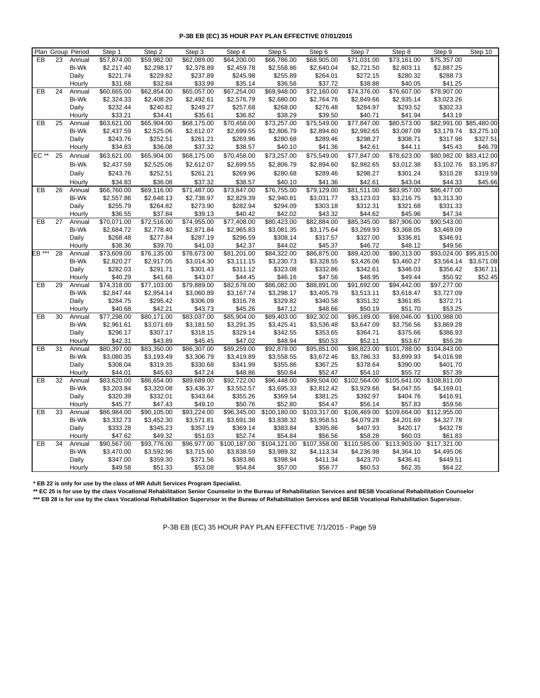|        | Plan Group Period |              | Step 1      | Step 2      | Step 3      | Step 4       | Step 5       | Step 6       | Step 7       | Step 8       | Step 9       | Step 10                 |
|--------|-------------------|--------------|-------------|-------------|-------------|--------------|--------------|--------------|--------------|--------------|--------------|-------------------------|
| EB     | 23                | Annual       | \$57,874.00 | \$59,982.00 | \$62,089.00 | \$64,200.00  | \$66,786.00  | \$68,905.00  | \$71,031.00  | \$73,161.00  | \$75,357.00  |                         |
|        |                   | Bi-Wk        | \$2,217.40  | \$2,298.17  | \$2,378.89  | \$2,459.78   | \$2,558.86   | \$2,640.04   | \$2,721.50   | \$2,803.11   | \$2,887.25   |                         |
|        |                   | Daily        | \$221.74    | \$229.82    | \$237.89    | \$245.98     | \$255.89     | \$264.01     | \$272.15     | \$280.32     | \$288.73     |                         |
|        |                   | Hourly       | \$31.68     | \$32.84     | \$33.99     | \$35.14      | \$36.56      | \$37.72      | \$38.88      | \$40.05      | \$41.25      |                         |
| EB     | 24                | Annual       | \$60,665.00 | \$62,854.00 | \$65,057.00 | \$67,254.00  | \$69,948.00  | \$72,160.00  | \$74,376.00  | \$76,607.00  | \$78,907.00  |                         |
|        |                   | Bi-Wk        | \$2,324.33  | \$2,408.20  | \$2,492.61  | \$2,576.79   | \$2,680.00   | \$2,764.76   | \$2,849.66   | \$2,935.14   | \$3,023.26   |                         |
|        |                   | Daily        | \$232.44    | \$240.82    | \$249.27    | \$257.68     | \$268.00     | \$276.48     | \$284.97     | \$293.52     | \$302.33     |                         |
|        |                   | Hourly       | \$33.21     | \$34.41     | \$35.61     | \$36.82      | \$38.29      | \$39.50      | \$40.71      | \$41.94      | \$43.19      |                         |
| EB     | 25                | Annual       | \$63,621.00 | \$65,904.00 | \$68,175.00 | \$70,458.00  | \$73,257.00  | \$75,549.00  | \$77,847.00  | \$80,573.00  |              | \$82,991.00 \$85,480.00 |
|        |                   | Bi-Wk        | \$2,437.59  | \$2,525.06  | \$2,612.07  | \$2,699.55   | \$2,806.79   | \$2,894.60   | \$2,982.65   | \$3,087.09   | \$3,179.74   | \$3,275.10              |
|        |                   | Daily        | \$243.76    | \$252.51    | \$261.21    | \$269.96     | \$280.68     | \$289.46     | \$298.27     | \$308.71     | \$317.98     | \$327.51                |
|        |                   | Hourly       | \$34.83     | \$36.08     | \$37.32     | \$38.57      | \$40.10      | \$41.36      | \$42.61      | \$44.11      | \$45.43      | \$46.79                 |
| EC **  | 25                | Annual       | \$63,621.00 | \$65,904.00 | \$68,175.00 | \$70,458.00  | \$73,257.00  | \$75,549.00  | \$77,847.00  | \$78,623.00  |              | \$80,982.00 \$83,412.00 |
|        |                   | Bi-Wk        | \$2,437.59  | \$2,525.06  | \$2,612.07  | \$2,699.55   | \$2,806.79   | \$2,894.60   | \$2,982.65   | \$3,012.38   | \$3,102.76   | \$3,195.87              |
|        |                   |              |             |             |             |              |              |              |              |              |              |                         |
|        |                   | Daily        | \$243.76    | \$252.51    | \$261.21    | \$269.96     | \$280.68     | \$289.46     | \$298.27     | \$301.24     | \$310.28     | \$319.59                |
|        |                   | Hourly       | \$34.83     | \$36.08     | \$37.32     | \$38.57      | \$40.10      | \$41.36      | \$42.61      | \$43.04      | \$44.33      | \$45.66                 |
| EB     | 26                | Annual       | \$66,760.00 | \$69,116.00 | \$71,487.00 | \$73,847.00  | \$76,755.00  | \$79,129.00  | \$81,511.00  | \$83,957.00  | \$86,477.00  |                         |
|        |                   | Bi-Wk        | \$2,557.86  | \$2,648.13  | \$2,738.97  | \$2,829.39   | \$2,940.81   | \$3,031.77   | \$3,123.03   | \$3,216.75   | \$3,313.30   |                         |
|        |                   | Daily        | \$255.79    | \$264.82    | \$273.90    | \$282.94     | \$294.09     | \$303.18     | \$312.31     | \$321.68     | \$331.33     |                         |
|        |                   | Hourly       | \$36.55     | \$37.84     | \$39.13     | \$40.42      | \$42.02      | \$43.32      | \$44.62      | \$45.96      | \$47.34      |                         |
| EB     | 27                | Annual       | \$70,071.00 | \$72,516.00 | \$74,955.00 | \$77,408.00  | \$80,423.00  | \$82,884.00  | \$85,345.00  | \$87,906.00  | \$90,543.00  |                         |
|        |                   | <b>Bi-Wk</b> | \$2,684.72  | \$2,778.40  | \$2,871.84  | \$2,965.83   | \$3,081.35   | \$3,175.64   | \$3,269.93   | \$3,368.05   | \$3,469.09   |                         |
|        |                   | Daily        | \$268.48    | \$277.84    | \$287.19    | \$296.59     | \$308.14     | \$317.57     | \$327.00     | \$336.81     | \$346.91     |                         |
|        |                   | Hourly       | \$38.36     | \$39.70     | \$41.03     | \$42.37      | \$44.02      | \$45.37      | \$46.72      | \$48.12      | \$49.56      |                         |
| EB *** | 28                | Annual       | \$73,609.00 | \$76,135.00 | \$78,673.00 | \$81,201.00  | \$84,322.00  | \$86,875.00  | \$89,420.00  | \$90,313.00  |              | \$93,024.00 \$95,815.00 |
|        |                   | Bi-Wk        | \$2,820.27  | \$2,917.05  | \$3,014.30  | \$3,111.15   | \$3,230.73   | \$3,328.55   | \$3,426.06   | \$3,460.27   | \$3,564.14   | \$3,671.08              |
|        |                   | Daily        | \$282.03    | \$291.71    | \$301.43    | \$311.12     | \$323.08     | \$332.86     | \$342.61     | \$346.03     | \$356.42     | \$367.11                |
|        |                   | Hourly       | \$40.29     | \$41.68     | \$43.07     | \$44.45      | \$46.16      | \$47.56      | \$48.95      | \$49.44      | \$50.92      | \$52.45                 |
| EB     | 29                | Annual       | \$74,318.00 | \$77,103.00 | \$79,889.00 | \$82,678.00  | \$86,082.00  | \$88,891.00  | \$91,692.00  | \$94,442.00  | \$97,277.00  |                         |
|        |                   | Bi-Wk        | \$2,847.44  | \$2,954.14  | \$3,060.89  | \$3,167.74   | \$3,298.17   | \$3,405.79   | \$3,513.11   | \$3,618.47   | \$3,727.09   |                         |
|        |                   | Daily        | \$284.75    | \$295.42    | \$306.09    | \$316.78     | \$329.82     | \$340.58     | \$351.32     | \$361.85     | \$372.71     |                         |
|        |                   | Hourly       | \$40.68     | \$42.21     | \$43.73     | \$45.26      | \$47.12      | \$48.66      | \$50.19      | \$51.70      | \$53.25      |                         |
| EB     | 30                | Annual       | \$77,298.00 | \$80,171.00 | \$83,037.00 | \$85,904.00  | \$89,403.00  | \$92,302.00  | \$95,189.00  | \$98,046.00  | \$100,988.00 |                         |
|        |                   | Bi-Wk        | \$2,961.61  | \$3,071.69  | \$3,181.50  | \$3,291.35   | \$3,425.41   | \$3,536.48   | \$3,647.09   | \$3,756.56   | \$3,869.28   |                         |
|        |                   | Daily        | \$296.17    | \$307.17    | \$318.15    | \$329.14     | \$342.55     | \$353.65     | \$364.71     | \$375.66     | \$386.93     |                         |
|        |                   | Hourly       | \$42.31     | \$43.89     | \$45.45     | \$47.02      | \$48.94      | \$50.53      | \$52.11      | \$53.67      | \$55.28      |                         |
| EB     | 31                | Annual       | \$80,397.00 | \$83,350.00 | \$86,307.00 | \$89,259.00  | \$92,878.00  | \$95,851.00  | \$98,823.00  | \$101,788.00 | \$104,843.00 |                         |
|        |                   | Bi-Wk        | \$3,080.35  | \$3,193.49  | \$3,306.79  | \$3,419.89   | \$3,558.55   | \$3,672.46   | \$3,786.33   | \$3,899.93   | \$4,016.98   |                         |
|        |                   | Daily        | \$308.04    | \$319.35    | \$330.68    | \$341.99     | \$355.86     | \$367.25     | \$378.64     | \$390.00     | \$401.70     |                         |
|        |                   | Hourly       | \$44.01     | \$45.63     | \$47.24     | \$48.86      | \$50.84      | \$52.47      | \$54.10      | \$55.72      | \$57.39      |                         |
| EB     | 32                | Annual       | \$83,620.00 | \$86,654.00 | \$89,689.00 | \$92,722.00  | \$96,448.00  | \$99,504.00  | \$102,564.00 | \$105,641.00 | \$108,811.00 |                         |
|        |                   | Bi-Wk        | \$3,203.84  | \$3,320.08  | \$3,436.37  | \$3,552.57   | \$3,695.33   | \$3,812.42   | \$3,929.66   | \$4,047.55   | \$4,169.01   |                         |
|        |                   | Daily        | \$320.39    | \$332.01    | \$343.64    | \$355.26     | \$369.54     | \$381.25     | \$392.97     | \$404.76     | \$416.91     |                         |
|        |                   | Hourly       | \$45.77     | \$47.43     | \$49.10     | \$50.76      | \$52.80      | \$54.47      | \$56.14      | \$57.83      | \$59.56      |                         |
| EB     | 33                | Annual       | \$86,984.00 | \$90,105.00 | \$93,224.00 | \$96,345.00  | \$100,180.00 | \$103,317.00 | \$106,469.00 | \$109,664.00 | \$112,955.00 |                         |
|        |                   | Bi-Wk        | \$3,332.73  | \$3,452.30  | \$3,571.81  | \$3,691.38   | \$3,838.32   | \$3,958.51   | \$4,079.28   | \$4,201.69   | \$4,327.78   |                         |
|        |                   | Daily        | \$333.28    | \$345.23    | \$357.19    | \$369.14     | \$383.84     | \$395.86     | \$407.93     | \$420.17     | \$432.78     |                         |
|        |                   | Hourly       | \$47.62     | \$49.32     | \$51.03     | \$52.74      | \$54.84      | \$56.56      | \$58.28      | \$60.03      | \$61.83      |                         |
| EB     | 34                | Annual       | \$90,567.00 | \$93,776.00 | \$96,977.00 | \$100,187.00 | \$104,121.00 | \$107,358.00 | \$110,585.00 | \$113,903.00 | \$117,321.00 |                         |
|        |                   | Bi-Wk        | \$3,470.00  | \$3,592.96  | \$3,715.60  | \$3,838.59   | \$3,989.32   | \$4,113.34   | \$4,236.98   | \$4,364.10   | \$4,495.06   |                         |
|        |                   | Daily        | \$347.00    | \$359.30    | \$371.56    | \$383.86     | \$398.94     | \$411.34     | \$423.70     | \$436.41     | \$449.51     |                         |
|        |                   | Hourly       | \$49.58     | \$51.33     | \$53.08     | \$54.84      | \$57.00      | \$58.77      | \$60.53      | \$62.35      | \$64.22      |                         |

**\* EB 22 is only for use by the class of MR Adult Services Program Specialist.**

**\*\* EC 25 is for use by the class Vocational Rehabilitation Senior Counselor in the Bureau of Rehabilitation Services and BESB Vocational Rehabilitation Counselor \*\*\* EB 28 is for use by the class Vocational Rehabilitation Supervisor in the Bureau of Rehabilitation Services and BESB Vocational Rehabilitation Supervisor.**

P-3B EB (EC) 35 HOUR PAY PLAN EFFECTIVE 7/1/2015 - Page 59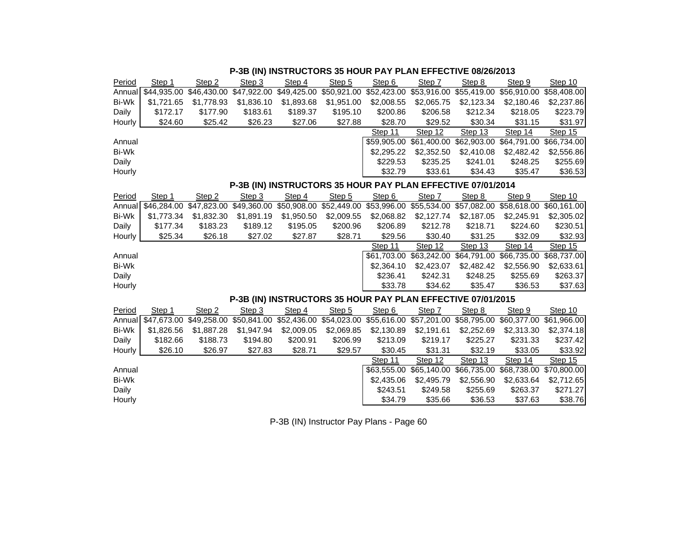| Period       | Step 1                                                      | Step 2      | Step 3                                                                                                      | Step 4      | Step 5     | Step 6                                                      | Step 7                  | Step 8     | Step 9                                                      | Step 10     |  |  |  |  |
|--------------|-------------------------------------------------------------|-------------|-------------------------------------------------------------------------------------------------------------|-------------|------------|-------------------------------------------------------------|-------------------------|------------|-------------------------------------------------------------|-------------|--|--|--|--|
| Annual       | $\sqrt{44,935.00}$                                          | \$46,430,00 | $\sqrt{47,922.00}$                                                                                          | \$49,425.00 |            | \$50,921.00 \$52,423.00                                     | \$53,916.00             |            | \$55,419.00 \$56,910.00                                     | \$58,408.00 |  |  |  |  |
| <b>Bi-Wk</b> | \$1,721.65                                                  | \$1,778.93  | \$1,836.10                                                                                                  | \$1,893.68  | \$1,951.00 | \$2,008.55                                                  | \$2,065.75              | \$2,123.34 | \$2,180.46                                                  | \$2,237.86  |  |  |  |  |
| Daily        | \$172.17                                                    | \$177.90    | \$183.61                                                                                                    | \$189.37    | \$195.10   | \$200.86                                                    | \$206.58                | \$212.34   | \$218.05                                                    | \$223.79    |  |  |  |  |
| Hourly       | \$24.60                                                     | \$25.42     | \$26.23                                                                                                     | \$27.06     | \$27.88    | \$28.70                                                     | \$29.52                 | \$30.34    | \$31.15                                                     | \$31.97     |  |  |  |  |
|              |                                                             |             |                                                                                                             |             |            | Step 11                                                     | Step 12                 | Step 13    | Step 14                                                     | Step 15     |  |  |  |  |
| Annual       |                                                             |             |                                                                                                             |             |            |                                                             |                         |            | \$59,905.00 \$61,400.00 \$62,903.00 \$64,791.00 \$66,734.00 |             |  |  |  |  |
| <b>Bi-Wk</b> |                                                             |             |                                                                                                             |             |            | \$2,295.22                                                  | \$2,352.50              | \$2,410.08 | \$2,482.42                                                  | \$2,556.86  |  |  |  |  |
| Daily        |                                                             |             |                                                                                                             |             |            | \$229.53                                                    | \$235.25                | \$241.01   | \$248.25                                                    | \$255.69    |  |  |  |  |
| Hourly       |                                                             |             |                                                                                                             |             |            | \$32.79                                                     | \$33.61                 | \$34.43    | \$35.47                                                     | \$36.53     |  |  |  |  |
|              | P-3B (IN) INSTRUCTORS 35 HOUR PAY PLAN EFFECTIVE 07/01/2014 |             |                                                                                                             |             |            |                                                             |                         |            |                                                             |             |  |  |  |  |
| Period       | Step 1                                                      | Step 2      | Step 3                                                                                                      | Step 4      | Step 5     | Step 6                                                      | Step 7                  | Step 8     | Step 9                                                      | Step 10     |  |  |  |  |
| Annual       | \$46,284.00                                                 |             | \$47,823.00 \$49,360.00 \$50,908.00 \$52,449.00 \$53,996.00 \$55,534.00 \$57,082.00 \$58,618.00 \$60,161.00 |             |            |                                                             |                         |            |                                                             |             |  |  |  |  |
| <b>Bi-Wk</b> | \$1,773.34                                                  | \$1,832.30  | \$1,891.19                                                                                                  | \$1,950.50  | \$2,009.55 | \$2,068.82                                                  | \$2,127.74              | \$2,187.05 | \$2,245.91                                                  | \$2,305.02  |  |  |  |  |
| Daily        | \$177.34                                                    | \$183.23    | \$189.12                                                                                                    | \$195.05    | \$200.96   | \$206.89                                                    | \$212.78                | \$218.71   | \$224.60                                                    | \$230.51    |  |  |  |  |
| Hourly       | \$25.34                                                     | \$26.18     | \$27.02                                                                                                     | \$27.87     | \$28.71    | \$29.56                                                     | \$30.40                 | \$31.25    | \$32.09                                                     | \$32.93     |  |  |  |  |
|              |                                                             |             |                                                                                                             |             |            | Step 11                                                     | Step 12                 | Step 13    | Step 14                                                     | Step 15     |  |  |  |  |
| Annual       |                                                             |             |                                                                                                             |             |            |                                                             | \$61,703.00 \$63,242.00 |            | \$64,791.00 \$66,735.00 \$68,737.00                         |             |  |  |  |  |
| <b>Bi-Wk</b> |                                                             |             |                                                                                                             |             |            | \$2,364.10                                                  | \$2,423.07              | \$2,482.42 | \$2,556.90                                                  | \$2,633.61  |  |  |  |  |
| Daily        |                                                             |             |                                                                                                             |             |            | \$236.41                                                    | \$242.31                | \$248.25   | \$255.69                                                    | \$263.37    |  |  |  |  |
| Hourly       |                                                             |             |                                                                                                             |             |            | \$33.78                                                     | \$34.62                 | \$35.47    | \$36.53                                                     | \$37.63     |  |  |  |  |
|              |                                                             |             |                                                                                                             |             |            | P-3B (IN) INSTRUCTORS 35 HOUR PAY PLAN EFFECTIVE 07/01/2015 |                         |            |                                                             |             |  |  |  |  |
| Period       | Step 1                                                      | Step 2      | Step 3                                                                                                      | Step 4      | Step 5     | Step 6                                                      | Step 7                  | Step 8     | Step 9                                                      | Step 10     |  |  |  |  |
| Annual       | \$47,673.00                                                 |             | \$49,258.00 \$50,841.00 \$52,436.00 \$54,023.00 \$55,616.00 \$57,201.00 \$58,795.00 \$60,377.00 \$61,966.00 |             |            |                                                             |                         |            |                                                             |             |  |  |  |  |
| <b>Bi-Wk</b> | \$1,826.56                                                  | \$1,887.28  | \$1,947.94                                                                                                  | \$2,009.05  | \$2,069.85 | \$2,130.89                                                  | \$2,191.61              | \$2,252.69 | \$2,313.30                                                  | \$2,374.18  |  |  |  |  |
| Daily        | \$182.66                                                    | \$188.73    | \$194.80                                                                                                    | \$200.91    | \$206.99   | \$213.09                                                    | \$219.17                | \$225.27   | \$231.33                                                    | \$237.42    |  |  |  |  |
| Hourly       | \$26.10                                                     | \$26.97     | \$27.83                                                                                                     | \$28.71     | \$29.57    | \$30.45                                                     | \$31.31                 | \$32.19    | \$33.05                                                     | \$33.92     |  |  |  |  |
|              |                                                             |             |                                                                                                             |             |            | Step 11                                                     | Step 12                 | Step 13    | Step 14                                                     | Step $15$   |  |  |  |  |
| Annual       |                                                             |             |                                                                                                             |             |            | \$63,555.00                                                 | \$65,140.00             |            | \$66,735.00 \$68,738.00 \$70,800.00                         |             |  |  |  |  |
| <b>Bi-Wk</b> |                                                             |             |                                                                                                             |             |            | \$2,435.06                                                  | \$2,495.79              | \$2,556.90 | \$2,633.64                                                  | \$2,712.65  |  |  |  |  |
| Daily        |                                                             |             |                                                                                                             |             |            | \$243.51                                                    | \$249.58                | \$255.69   | \$263.37                                                    | \$271.27    |  |  |  |  |
|              |                                                             |             |                                                                                                             |             |            |                                                             |                         |            |                                                             |             |  |  |  |  |

# **P-3B (IN) INSTRUCTORS 35 HOUR PAY PLAN EFFECTIVE 08/26/2013**

P-3B (IN) Instructor Pay Plans - Page 60

Hourly \$34.79 \$35.66 \$36.53 \$37.63 \$38.76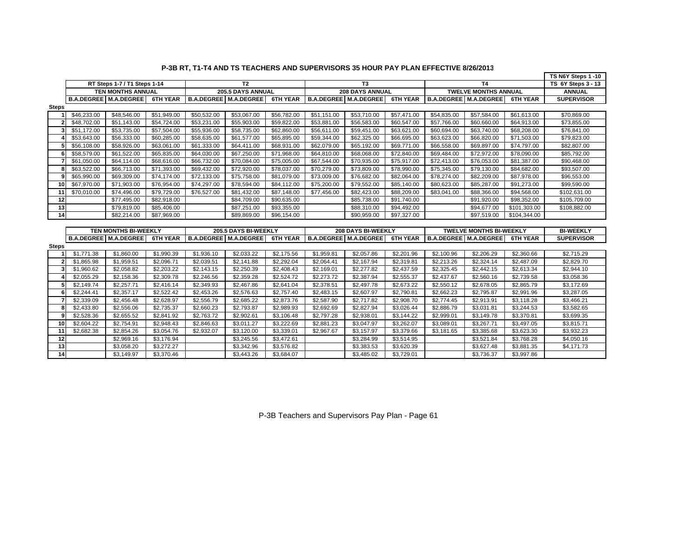|                         |                              |                              |                 |                              |                   |                 |                    |                              |                 |                                |                              |                 | TS N6Y Steps 1 -10 |
|-------------------------|------------------------------|------------------------------|-----------------|------------------------------|-------------------|-----------------|--------------------|------------------------------|-----------------|--------------------------------|------------------------------|-----------------|--------------------|
|                         |                              | RT Steps 1-7 / T1 Steps 1-14 |                 |                              | T <sub>2</sub>    |                 |                    | T <sub>3</sub>               |                 |                                | <b>T4</b>                    |                 | TS 6Y Steps 3 - 13 |
|                         |                              | <b>TEN MONTHS ANNUAL</b>     |                 |                              | 205.5 DAYS ANNUAL |                 |                    | <b>208 DAYS ANNUAL</b>       |                 |                                | <b>TWELVE MONTHS ANNUAL</b>  |                 | <b>ANNUAL</b>      |
|                         |                              | <b>B.A.DEGREE M.A.DEGREE</b> | <b>6TH YEAR</b> | <b>B.A.DEGREE M.A.DEGREE</b> |                   | <b>6TH YEAR</b> |                    | <b>B.A.DEGREE M.A.DEGREE</b> | <b>6TH YEAR</b> |                                | <b>B.A.DEGREE M.A.DEGREE</b> | <b>6TH YEAR</b> | <b>SUPERVISOR</b>  |
| <b>Steps</b>            |                              |                              |                 |                              |                   |                 |                    |                              |                 |                                |                              |                 |                    |
|                         | \$46,233.00                  | \$48,546.00                  | \$51,949.00     | \$50,532.00                  | \$53,067.00       | \$56,782.00     | \$51,151.00        | \$53,710.00                  | \$57,471.00     | \$54,835.00                    | \$57,584.00                  | \$61,613.00     | \$70,869.00        |
| 2                       | \$48,702.00                  | \$51,143.00                  | \$54,724.00     | \$53,231.00                  | \$55,903.00       | \$59,822.00     | \$53,881.00        | \$56,583.00                  | \$60,547.00     | \$57,766.00                    | \$60,660.00                  | \$64,913.00     | \$73,855.00        |
| 3                       | \$51,172.00                  | \$53,735.00                  | \$57,504.00     | \$55,936.00                  | \$58,735.00       | \$62,860.00     | \$56,611.00        | \$59,451.00                  | \$63,621.00     | \$60,694.00                    | \$63,740.00                  | \$68,208.00     | \$76,841.00        |
|                         | \$53,643.00                  | \$56,333.00                  | \$60,285.00     | \$58,635.00                  | \$61,577.00       | \$65,895.00     | \$59,344.00        | \$62,325.00                  | \$66,695.00     | \$63,623.00                    | \$66,820.00                  | \$71,503.00     | \$79,823.00        |
| 5                       | \$56,108.00                  | \$58,926.00                  | \$63,061.00     | \$61,333.00                  | \$64,411.00       | \$68,931.00     | \$62,079.00        | \$65,192.00                  | \$69,771.00     | \$66,558.00                    | \$69,897.00                  | \$74,797.00     | \$82,807.00        |
| 6                       | \$58,579.00                  | \$61,522.00                  | \$65,835.00     | \$64,030.00                  | \$67,250.00       | \$71,968.00     | \$64,810.00        | \$68,068.00                  | \$72,840.00     | \$69,484.00                    | \$72,972.00                  | \$78,090.00     | \$85,792.00        |
|                         | \$61,050.00                  | \$64,114.00                  | \$68,616.00     | \$66,732.00                  | \$70,084.00       | \$75,005.00     | \$67,544.00        | \$70,935.00                  | \$75,917.00     | \$72,413.00                    | \$76,053.00                  | \$81,387.00     | \$90,468.00        |
| 8                       | \$63,522.00                  | \$66,713.00                  | \$71,393.00     | \$69,432.00                  | \$72,920.00       | \$78,037.00     | \$70,279.00        | \$73,809.00                  | \$78,990.00     | \$75,345.00                    | \$79,130.00                  | \$84,682.00     | \$93,507.00        |
| q                       | \$65,990.00                  | \$69,309.00                  | \$74,174.00     | \$72,133.00                  | \$75,758.00       | \$81,079.00     | \$73,009.00        | \$76,682.00                  | \$82,064.00     | \$78,274.00                    | \$82,209.00                  | \$87,978.00     | \$96,553.00        |
| 10                      | \$67,970.00                  | \$71,903.00                  | \$76,954.00     | \$74,297.00                  | \$78,594.00       | \$84,112.00     | \$75,200.00        | \$79,552.00                  | \$85,140.00     | \$80,623.00                    | \$85,287.00                  | \$91,273.00     | \$99,590.00        |
| 11                      | \$70,010.00                  | \$74,496.00                  | \$79,729.00     | \$76,527.00                  | \$81,432.00       | \$87,148.00     | \$77,456.00        | \$82,423.00                  | \$88,209.00     | \$83,041.00                    | \$88,366.00                  | \$94,568.00     | \$102,631.00       |
| 12                      |                              | \$77,495.00                  | \$82,918.00     |                              | \$84,709.00       | \$90,635.00     |                    | \$85,738.00                  | \$91,740.00     |                                | \$91,920.00                  | \$98,352.00     | \$105,709.00       |
| 13                      |                              | \$79,819.00                  | \$85,406.00     |                              | \$87,251.00       | \$93,355.00     |                    | \$88,310.00                  | \$94,492.00     |                                | \$94,677.00                  | \$101,303.00    | \$108,882.00       |
| 14                      |                              | \$82,214.00                  | \$87,969.00     |                              | \$89,869.00       | \$96,154.00     |                    | \$90,959.00                  | \$97,327.00     |                                | \$97,519.00                  | \$104,344.00    |                    |
|                         |                              |                              |                 |                              |                   |                 |                    |                              |                 |                                |                              |                 |                    |
|                         |                              | <b>TEN MONTHS BI-WEEKLY</b>  |                 | 205.5 DAYS BI-WEEKLY         |                   |                 | 208 DAYS BI-WEEKLY |                              |                 | <b>TWELVE MONTHS BI-WEEKLY</b> | <b>BI-WEEKLY</b>             |                 |                    |
|                         | <b>B.A.DEGREE</b> M.A.DEGREE |                              | <b>6TH YEAR</b> | <b>B.A.DEGREE</b> M.A.DEGREE |                   | <b>6TH YEAR</b> |                    | <b>B.A.DEGREE</b> M.A.DEGREE | <b>6TH YEAR</b> |                                | <b>B.A.DEGREE M.A.DEGREE</b> | <b>6TH YEAR</b> | <b>SUPERVISOR</b>  |
| <b>Steps</b>            |                              |                              |                 |                              |                   |                 |                    |                              |                 |                                |                              |                 |                    |
|                         | \$1,771.38                   | \$1,860.00                   | \$1,990.39      | \$1,936.10                   | \$2,033.22        | \$2,175.56      | \$1,959.81         | \$2,057.86                   | \$2,201.96      | \$2,100.96                     | \$2,206.29                   | \$2,360.66      | \$2,715.29         |
| $\overline{\mathbf{z}}$ | \$1,865.98                   | \$1,959.51                   | \$2,096.71      | \$2,039.51                   | \$2,141.88        | \$2,292.04      | \$2,064.41         | \$2,167.94                   | \$2,319.81      | \$2,213.26                     | \$2,324.14                   | \$2,487.09      | \$2,829.70         |
| 3                       | \$1,960.62                   | \$2,058.82                   | \$2,203.22      | \$2,143.15                   | \$2,250.39        | \$2,408.43      | \$2,169.01         | \$2,277.82                   | \$2,437.59      | \$2,325.45                     | \$2,442.15                   | \$2,613.34      | \$2,944.10         |
|                         | \$2,055.29                   | \$2,158.36                   | \$2,309.78      | \$2,246.56                   | \$2,359.28        | \$2,524.72      | \$2,273.72         | \$2,387.94                   | \$2,555.37      | \$2,437.67                     | \$2,560.16                   | \$2,739.58      | \$3,058.36         |
| 5                       | \$2,149.74                   | \$2,257.71                   | \$2,416.14      | \$2,349.93                   | \$2,467.86        | \$2,641.04      | \$2,378.51         | \$2,497.78                   | \$2,673.22      | \$2,550.12                     | \$2,678.05                   | \$2,865.79      | \$3,172.69         |
| 6                       | \$2,244.41                   | \$2,357.17                   | \$2,522.42      | \$2,453.26                   | \$2,576.63        | \$2,757.40      | \$2,483.15         | \$2,607.97                   | \$2,790.81      | \$2,662.23                     | \$2,795.87                   | \$2,991.96      | \$3,287.05         |
|                         | \$2,339.09                   | \$2,456.48                   | \$2,628.97      | \$2,556.79                   | \$2,685.22        | \$2,873.76      | \$2,587.90         | \$2,717.82                   | \$2,908.70      | \$2,774.45                     | \$2,913.91                   | \$3,118.28      | \$3,466.21         |
| 8                       | \$2,433.80                   | \$2,556.06                   | \$2,735.37      | \$2,660.23                   | \$2,793.87        | \$2,989.93      | \$2,692.69         | \$2,827.94                   | \$3,026.44      | \$2,886.79                     | \$3,031.81                   | \$3,244.53      | \$3,582.65         |
| q                       | \$2,528.36                   | \$2,655.52                   | \$2,841.92      | \$2,763.72                   | \$2,902.61        | \$3,106.48      | \$2,797.28         | \$2,938.01                   | \$3,144.22      | \$2,999.01                     | \$3,149.78                   | \$3,370.81      | \$3,699.35         |
| 10                      | \$2,604.22                   | \$2,754.91                   | \$2,948.43      | \$2,846.63                   | \$3,011.27        | \$3,222.69      | \$2,881.23         | \$3,047.97                   | \$3,262.07      | \$3,089.01                     | \$3,267.71                   | \$3,497.05      | \$3,815.71         |
| 11                      | \$2,682.38                   | \$2,854.26                   | \$3,054.76      | \$2,932.07                   | \$3,120.00        | \$3,339.01      | \$2,967.67         | \$3,157.97                   | \$3,379.66      | \$3,181.65                     | \$3,385.68                   | \$3,623.30      | \$3,932.23         |
| 12                      |                              | \$2,969.16                   | \$3,176.94      |                              | \$3,245.56        | \$3,472.61      |                    | \$3,284.99                   | \$3,514.95      |                                | \$3,521.84                   | \$3,768.28      | \$4,050.16         |
| 13                      |                              | \$3,058.20                   | \$3,272.27      |                              | \$3,342.96        | \$3,576.82      |                    | \$3,383.53                   | \$3,620.39      |                                | \$3,627.48                   | \$3,881.35      | \$4,171.73         |
| 14                      |                              | \$3,149.97                   | \$3.370.46      |                              | \$3,443.26        | \$3.684.07      |                    | \$3.485.02                   | \$3,729.01      |                                | \$3.736.37                   | \$3,997.86      |                    |

# **P-3B RT, T1-T4 AND TS TEACHERS AND SUPERVISORS 35 HOUR PAY PLAN EFFECTIVE 8/26/2013**

P-3B Teachers and Supervisors Pay Plan - Page 61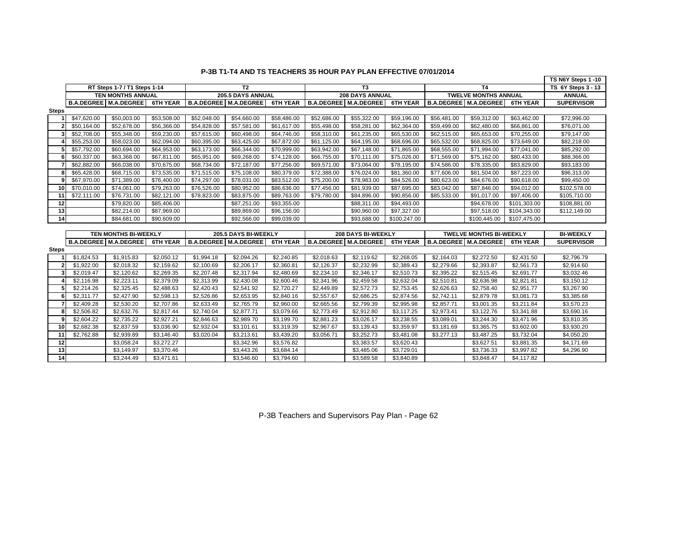|                 |             |                              |             |                      |                              |                 |                        |                              |                 |                         |                                | TS N6Y Steps 1 -10 |                    |
|-----------------|-------------|------------------------------|-------------|----------------------|------------------------------|-----------------|------------------------|------------------------------|-----------------|-------------------------|--------------------------------|--------------------|--------------------|
|                 |             | RT Steps 1-7 / T1 Steps 1-14 |             |                      | T <sub>2</sub>               |                 |                        | T <sub>3</sub>               |                 |                         | <b>T4</b>                      |                    | TS 6Y Steps 3 - 13 |
|                 |             | <b>TEN MONTHS ANNUAL</b>     |             |                      | 205.5 DAYS ANNUAL            |                 |                        | <b>208 DAYS ANNUAL</b>       |                 |                         | <b>TWELVE MONTHS ANNUAL</b>    |                    | <b>ANNUAL</b>      |
|                 |             | <b>B.A.DEGREE M.A.DEGREE</b> | 6TH YEAR    |                      | <b>B.A.DEGREE M.A.DEGREE</b> | <b>6TH YEAR</b> |                        | <b>B.A.DEGREE M.A.DEGREE</b> | <b>6TH YEAR</b> |                         | <b>B.A.DEGREE</b> M.A.DEGREE   | <b>6TH YEAR</b>    | <b>SUPERVISOR</b>  |
| <b>Steps</b>    |             |                              |             |                      |                              |                 |                        |                              |                 |                         |                                |                    |                    |
|                 | \$47,620.00 | \$50,003.00                  | \$53,508.00 | \$52,048.00          | \$54,660.00                  | \$58,486.00     | \$52,686.00            | \$55,322.00                  | \$59,196.00     | \$56,481.00             | \$59,312.00                    | \$63,462.00        | \$72,996.00        |
|                 | \$50,164.00 | \$52,678.00                  | \$56,366.00 | \$54,828.00          | \$57,581.00                  | \$61.617.00     | \$55,498.00            | \$58,281.00                  | \$62,364.00     | \$59,499.00             | \$62,480.00                    | \$66,861.00        | \$76.071.00        |
|                 | \$52,708.00 | \$55,348.00                  | \$59,230.00 | \$57,615.00          | \$60,498.00                  | \$64,746.00     | \$58,310.00            | \$61,235.00                  | \$65,530.00     | \$62,515.00             | \$65,653.00                    | \$70,255.00        | \$79,147.00        |
|                 | \$55,253.00 | \$58,023.00                  | \$62,094.00 | \$60,395.00          | \$63,425.00                  | \$67,872.00     | \$61,125.00            | \$64,195.00                  | \$68,696.00     | \$65,532.00             | \$68,825.00                    | \$73,649.00        | \$82,218.00        |
|                 | \$57,792.00 | \$60,694.00                  | \$64,953.00 | \$63,173.00          | \$66,344.00                  | \$70,999.00     | \$63,942.00            | \$67,148.00                  | \$71,865.00     | \$68,555.00             | \$71,994.00                    | \$77,041.00        | \$85,292.00        |
|                 | \$60,337.00 | \$63,368.00                  | \$67,811.00 | \$65,951.00          | \$69,268.00                  | \$74,128.00     | \$66,755.00            | \$70,111.00                  | \$75,026.00     | \$71,569.00             | \$75,162.00                    | \$80,433.00        | \$88,366.00        |
|                 | \$62,882.00 | \$66,038.00                  | \$70,675.00 | \$68,734.00          | \$72,187.00                  | \$77,256.00     | \$69,571.00            | \$73,064.00                  | \$78,195.00     | \$74,586.00             | \$78,335.00                    | \$83,829.00        | \$93,183.00        |
|                 | \$65,428.00 | \$68,715.00                  | \$73,535.00 | \$71,515.00          | \$75,108.00                  | \$80,379.00     | \$72,388.00            | \$76,024.00                  | \$81,360.00     | \$77,606.00             | \$81,504.00                    | \$87,223.00        | \$96,313.00        |
|                 | \$67,970.00 | \$71,389.00                  | \$76,400.00 | \$74,297.00          | \$78,031.00                  | \$83,512.00     | \$75,200.00            | \$78,983.00                  | \$84,526.00     | \$80,623.00             | \$84,676.00                    | \$90,618.00        | \$99,450.00        |
| 10              | \$70,010.00 | \$74,061.00                  | \$79,263.00 | \$76,526.00          | \$80,952.00                  | \$86,636.00     | \$77,456.00            | \$81,939.00                  | \$87,695.00     | \$83,042.00             | \$87,846.00                    | \$94,012.00        | \$102,578.00       |
| 11              | \$72,111.00 | \$76,731.00                  | \$82,121.00 | \$78,823.00          | \$83,875.00                  | \$89,763.00     | \$79,780.00            | \$84,896.00                  | \$90,856.00     | \$85,533.00             | \$91,017.00                    | \$97,406.00        | \$105,710.00       |
| $\overline{12}$ |             | \$79,820.00                  | \$85,406.00 |                      | \$87,251.00                  | \$93,355.00     |                        | \$88,311.00                  | \$94,493.00     |                         | \$94,678.00                    | \$101,303.00       | \$108,881.00       |
| 13              |             | \$82,214.00                  | \$87,969.00 |                      | \$89,869.00                  | \$96,156.00     |                        | \$90,960.00                  | \$97,327.00     |                         | \$97,518.00                    | \$104,343.00       | \$112,149.00       |
| 14              |             | \$84,681.00                  | \$90,609.00 |                      | \$92,566.00                  | \$99,039.00     |                        | \$93,688.00                  | \$100,247.00    |                         | \$100,445.00                   | \$107,475.00       |                    |
|                 |             |                              |             |                      |                              |                 |                        |                              |                 |                         |                                |                    |                    |
|                 |             | TEN MONTHS BI-WEEKLY         |             | 205.5 DAYS BI-WEEKLY |                              |                 | 208 DAYS BI-WEEKLY     |                              |                 | TWELVE MONTHS BI-WEEKLY |                                |                    | <b>BI-WEEKLY</b>   |
|                 |             | <b>B.A.DEGREE M.A.DEGREE</b> | 6TH YEAR    |                      | <b>B.A.DEGREE</b> M.A.DEGREE | <b>6TH YEAR</b> |                        | <b>B.A.DEGREE</b> M.A.DEGREE | <b>6TH YEAR</b> |                         | <b>B.A.DEGREE   M.A.DEGREE</b> | <b>6TH YEAR</b>    | <b>SUPERVISOR</b>  |
| <b>Steps</b>    |             |                              |             |                      |                              |                 |                        |                              |                 |                         |                                |                    |                    |
|                 | \$1,824.53  | \$1,915.83                   | \$2,050.12  | \$1,994.18           | \$2,094.26                   | \$2,240.85      | \$2,018.63             | \$2,119.62                   | \$2,268.05      | \$2,164.03              | \$2,272.50                     | \$2,431.50         | \$2,796.79         |
|                 | \$1,922.00  | \$2,018.32                   | \$2,159.62  | \$2,100.69           | \$2,206.17                   | \$2,360.81      | \$2,126.37             | \$2,232.99                   | \$2,389.43      | \$2,279.66              | \$2,393.87                     | \$2,561.73         | \$2,914.60         |
| 3               | \$2,019.47  | \$2,120.62                   | \$2,269.35  | \$2,207.48           | \$2,317.94                   | \$2,480.69      | \$2,234.10             | \$2,346.17                   | \$2,510.73      | \$2,395.22              | \$2,515.45                     | \$2,691.77         | \$3,032.46         |
|                 | \$2,116.98  | \$2,223.11                   | \$2,379.09  | \$2,313.99           | \$2,430.08                   | \$2,600.46      | \$2,341.96             | \$2,459.58                   | \$2,632.04      | \$2,510.81              | \$2,636.98                     | \$2,821.81         | \$3,150.12         |
| 5               | \$2,214.26  | \$2,325.45                   | \$2,488.63  | \$2,420.43           | \$2,541.92                   | \$2,720.27      | \$2,449.89             | \$2,572.73                   | \$2,753.45      | \$2,626.63              | \$2,758.40                     | \$2,951.77         | \$3,267.90         |
| 6               | \$2,311.77  | \$2,427.90                   | \$2,598.13  | \$2,526.86           | \$2,653.95                   | \$2,840.16      | \$2,557.67             | \$2,686.25                   | \$2,874.56      | \$2,742.11              | \$2,879.78                     | \$3,081.73         | \$3,385.68         |
|                 | \$2,409.28  | \$2,530.20                   | \$2,707.86  | \$2,633.49           | \$2,765.79                   | \$2,960.00      | \$2,665.56             | \$2,799.39                   | \$2,995.98      | \$2,857.71              | \$3,001.35                     | \$3,211.84         | \$3,570.23         |
| 8               |             |                              |             |                      |                              |                 |                        |                              |                 |                         |                                |                    |                    |
|                 | \$2,506.82  | \$2,632.76                   | \$2,817.44  | \$2,740.04           | \$2,877.71                   | \$3,079.66      | \$2,773.49             | \$2,912.80                   | \$3,117.25      | \$2,973.41              | \$3,122.76                     | \$3,341.88         | \$3,690.16         |
| 9               | \$2,604.22  | \$2,735.22                   | \$2,927.21  | \$2,846.63           | \$2,989.70                   | \$3,199.70      | \$2,881.23             | \$3,026.17                   | \$3,238.55      | \$3,089.01              | \$3,244.30                     | \$3,471.96         | \$3,810.35         |
| 10              | \$2,682.38  | \$2,837.59                   | \$3,036.90  | \$2,932.04           | \$3,101.61                   | \$3,319.39      | $$2,967.\overline{67}$ | \$3,139.43                   | \$3,359.97      | \$3,181.69              | \$3,365.75                     | \$3,602.00         | \$3,930.20         |
| 11              | \$2,762.88  | \$2,939.89                   | \$3,146.40  | \$3,020.04           | \$3,213.61                   | \$3,439.20      | \$3,056.71             | \$3,252.73                   | \$3,481.08      | \$3,277.13              | \$3,487.25                     | \$3,732.04         | \$4,050.20         |
| 12              |             | \$3,058.24                   | \$3,272.27  |                      | \$3,342.96                   | \$3,576.82      |                        | \$3,383.57                   | \$3,620.43      |                         | \$3,627.51                     | \$3,881.35         | \$4,171.69         |
| 13<br>14        |             | \$3,149.97                   | \$3,370.46  |                      | \$3,443.26                   | \$3,684.14      |                        | \$3,485.06                   | \$3,729.01      |                         | \$3,736.33                     | \$3,997.82         | \$4,296.90         |

### **P-3B T1-T4 AND TS TEACHERS 35 HOUR PAY PLAN EFFECTIVE 07/01/2014**

 $\sim$ 

P-3B Teachers and Supervisors Pay Plan - Page 62